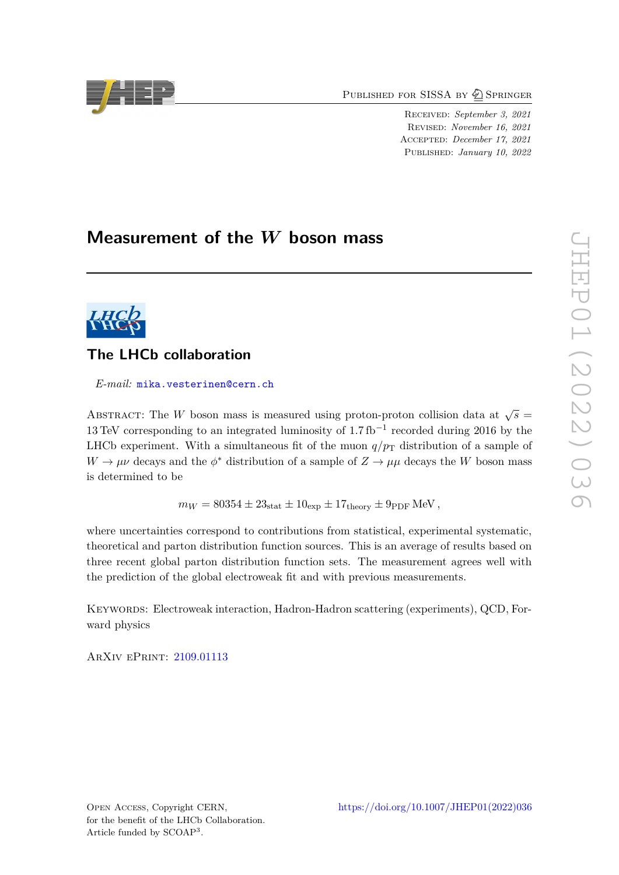PUBLISHED FOR SISSA BY 2 SPRINGER

Received: *September 3, 2021* Revised: *November 16, 2021* Accepted: *December 17, 2021* Published: *January 10, 2022*

# **Measurement of the** *W* **boson mass**



# **The LHCb collaboration**

*E-mail:* [mika.vesterinen@cern.ch](mailto:mika.vesterinen@cern.ch)

ABSTRACT: The *W* boson mass is measured using proton-proton collision data at  $\sqrt{s}$  = 13 TeV corresponding to an integrated luminosity of  $1.7 \text{ fb}^{-1}$  recorded during 2016 by the LHCb experiment. With a simultaneous fit of the muon  $q/p<sub>T</sub>$  distribution of a sample of  $W \to \mu\nu$  decays and the  $\phi^*$  distribution of a sample of  $Z \to \mu\mu$  decays the *W* boson mass is determined to be

 $m_W = 80354 \pm 23_{\text{stat}} \pm 10_{\text{exp}} \pm 17_{\text{theory}} \pm 9_{\text{PDF}} \text{MeV}$ ,

where uncertainties correspond to contributions from statistical, experimental systematic, theoretical and parton distribution function sources. This is an average of results based on three recent global parton distribution function sets. The measurement agrees well with the prediction of the global electroweak fit and with previous measurements.

Keywords: Electroweak interaction, Hadron-Hadron scattering (experiments), QCD, Forward physics

ArXiv ePrint: [2109.01113](https://arxiv.org/abs/2109.01113)

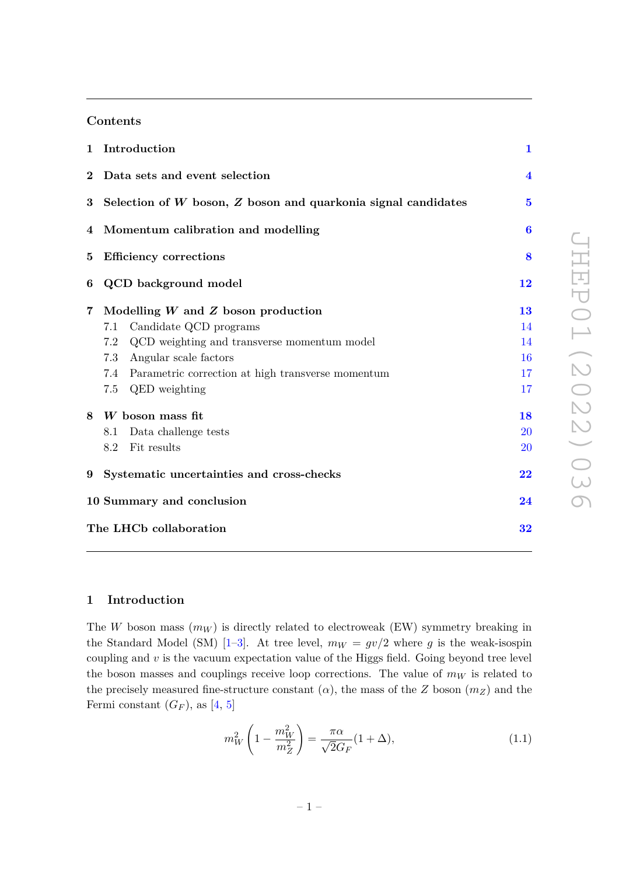# **Contents**

|                | 1 Introduction                                                | $\mathbf 1$             |
|----------------|---------------------------------------------------------------|-------------------------|
| $\bf{2}$       | Data sets and event selection                                 | $\overline{\mathbf{4}}$ |
| 3              | Selection of W boson, Z boson and quarkonia signal candidates | $5\phantom{.0}$         |
| 4              | Momentum calibration and modelling                            | $\bf{6}$                |
| 5              | <b>Efficiency corrections</b>                                 | 8                       |
| 6              | <b>QCD</b> background model                                   | 12                      |
| $\overline{7}$ | Modelling $W$ and $Z$ boson production                        | 13                      |
|                | Candidate QCD programs<br>7.1                                 | 14                      |
|                | QCD weighting and transverse momentum model<br>7.2            | 14                      |
|                | 7.3<br>Angular scale factors                                  | 16                      |
|                | Parametric correction at high transverse momentum<br>7.4      | 17                      |
|                | 7.5 QED weighting                                             | 17                      |
| 8              | $W$ boson mass fit                                            | 18                      |
|                | Data challenge tests<br>8.1                                   | 20                      |
|                | 8.2 Fit results                                               | 20                      |
|                | 9 Systematic uncertainties and cross-checks                   | $\overline{22}$         |
|                | 10 Summary and conclusion                                     | 24                      |
|                | The LHCb collaboration                                        | 32                      |

# <span id="page-1-0"></span>**1 Introduction**

The *W* boson mass  $(m_W)$  is directly related to electroweak (EW) symmetry breaking in the Standard Model (SM) [\[1](#page-27-0)[–3\]](#page-27-1). At tree level,  $m_W = gv/2$  where *g* is the weak-isospin coupling and  $v$  is the vacuum expectation value of the Higgs field. Going beyond tree level the boson masses and couplings receive loop corrections. The value of  $m_W$  is related to the precisely measured fine-structure constant  $(\alpha)$ , the mass of the *Z* boson  $(m_Z)$  and the Fermi constant  $(G_F)$ , as [\[4,](#page-27-2) [5\]](#page-28-0)

<span id="page-1-1"></span>
$$
m_W^2 \left(1 - \frac{m_W^2}{m_Z^2}\right) = \frac{\pi \alpha}{\sqrt{2}G_F}(1 + \Delta),\tag{1.1}
$$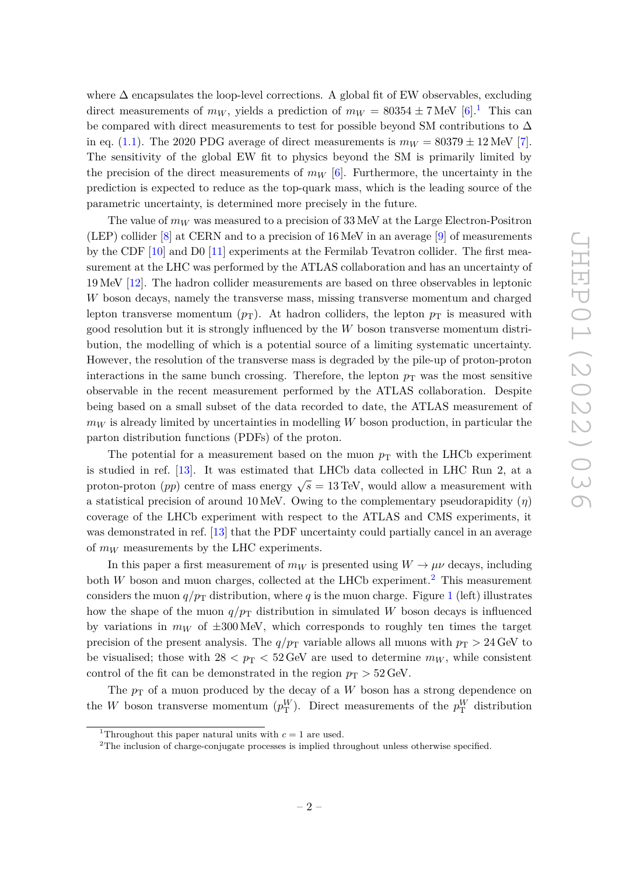where  $\Delta$  encapsulates the loop-level corrections. A global fit of EW observables, excluding direct measurements of  $m_W$ , yields a prediction of  $m_W = 80354 \pm 7$  MeV [\[6\]](#page-28-1).<sup>[1](#page-2-0)</sup> This can be compared with direct measurements to test for possible beyond SM contributions to  $\Delta$ in eq. [\(1.1\)](#page-1-1). The 2020 PDG average of direct measurements is  $m_W = 80379 \pm 12$  MeV [\[7\]](#page-28-2). The sensitivity of the global EW fit to physics beyond the SM is primarily limited by the precision of the direct measurements of  $m_W$  [\[6\]](#page-28-1). Furthermore, the uncertainty in the prediction is expected to reduce as the top-quark mass, which is the leading source of the parametric uncertainty, is determined more precisely in the future.

The value of  $m_W$  was measured to a precision of 33 MeV at the Large Electron-Positron (LEP) collider [\[8\]](#page-28-3) at CERN and to a precision of 16 MeV in an average [\[9\]](#page-28-4) of measurements by the CDF [\[10\]](#page-28-5) and D0 [\[11\]](#page-28-6) experiments at the Fermilab Tevatron collider. The first measurement at the LHC was performed by the ATLAS collaboration and has an uncertainty of 19 MeV [\[12\]](#page-28-7). The hadron collider measurements are based on three observables in leptonic *W* boson decays, namely the transverse mass, missing transverse momentum and charged lepton transverse momentum  $(p_T)$ . At hadron colliders, the lepton  $p_T$  is measured with good resolution but it is strongly influenced by the *W* boson transverse momentum distribution, the modelling of which is a potential source of a limiting systematic uncertainty. However, the resolution of the transverse mass is degraded by the pile-up of proton-proton interactions in the same bunch crossing. Therefore, the lepton  $p<sub>T</sub>$  was the most sensitive observable in the recent measurement performed by the ATLAS collaboration. Despite being based on a small subset of the data recorded to date, the ATLAS measurement of *m<sup>W</sup>* is already limited by uncertainties in modelling *W* boson production, in particular the parton distribution functions (PDFs) of the proton.

The potential for a measurement based on the muon  $p<sub>T</sub>$  with the LHCb experiment is studied in ref. [\[13\]](#page-28-8). It was estimated that LHCb data collected in LHC Run 2, at a proton-proton (*pp*) centre of mass energy  $\sqrt{s} = 13$  TeV, would allow a measurement with a statistical precision of around 10 MeV. Owing to the complementary pseudorapidity (*η*) coverage of the LHCb experiment with respect to the ATLAS and CMS experiments, it was demonstrated in ref. [\[13\]](#page-28-8) that the PDF uncertainty could partially cancel in an average of *m<sup>W</sup>* measurements by the LHC experiments.

In this paper a first measurement of  $m_W$  is presented using  $W \to \mu \nu$  decays, including both  $W$  boson and muon charges, collected at the LHCb experiment.<sup>[2](#page-2-1)</sup> This measurement considers the muon  $q/p<sub>T</sub>$  distribution, where *q* is the muon charge. Figure [1](#page-3-0) (left) illustrates how the shape of the muon  $q/p<sub>T</sub>$  distribution in simulated *W* boson decays is influenced by variations in  $m_W$  of  $\pm 300$  MeV, which corresponds to roughly ten times the target precision of the present analysis. The  $q/p<sub>T</sub>$  variable allows all muons with  $p<sub>T</sub> > 24$  GeV to be visualised; those with  $28 < p_T < 52$  GeV are used to determine  $m_W$ , while consistent control of the fit can be demonstrated in the region  $p_T > 52$  GeV.

The  $p_T$  of a muon produced by the decay of a  $W$  boson has a strong dependence on the *W* boson transverse momentum  $(p_T^W)$ . Direct measurements of the  $p_T^W$  distribution

<span id="page-2-0"></span><sup>&</sup>lt;sup>1</sup>Throughout this paper natural units with  $c = 1$  are used.

<span id="page-2-1"></span><sup>2</sup>The inclusion of charge-conjugate processes is implied throughout unless otherwise specified.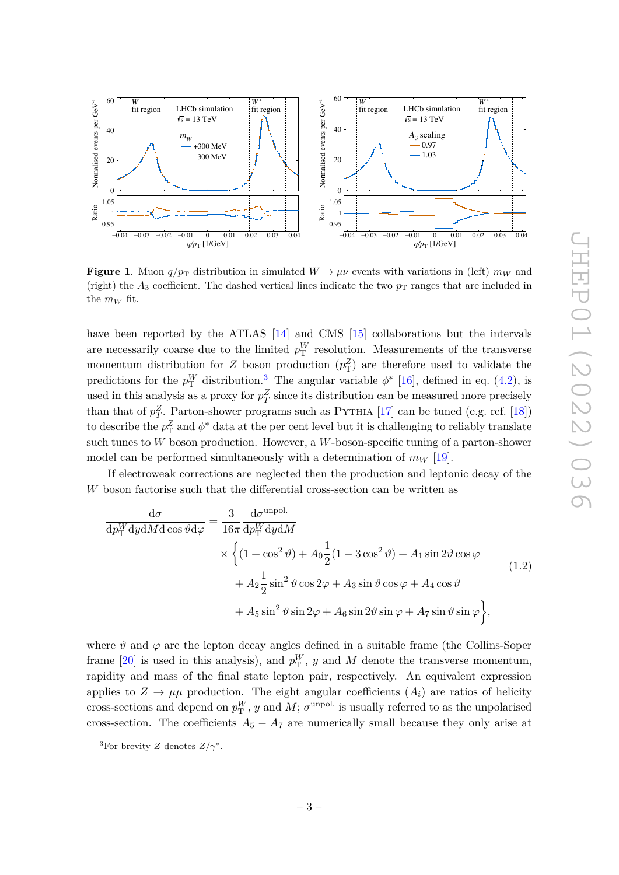

<span id="page-3-0"></span>**Figure 1**. Muon  $q/p_T$  distribution in simulated  $W \to \mu \nu$  events with variations in (left)  $m_W$  and (right) the  $A_3$  coefficient. The dashed vertical lines indicate the two  $p<sub>T</sub>$  ranges that are included in the  $m_W$  fit.

have been reported by the ATLAS [\[14\]](#page-28-9) and CMS [\[15\]](#page-28-10) collaborations but the intervals are necessarily coarse due to the limited  $p_T^W$  resolution. Measurements of the transverse momentum distribution for *Z* boson production  $(p_T^Z)$  are therefore used to validate the predictions for the  $p_T^W$  distribution.<sup>[3](#page-3-1)</sup> The angular variable  $\phi^*$  [\[16\]](#page-28-11), defined in eq. [\(4.2\)](#page-6-1), is used in this analysis as a proxy for  $p_T^Z$  since its distribution can be measured more precisely than that of  $p_T^Z$ . Parton-shower programs such as PYTHIA [\[17\]](#page-28-12) can be tuned (e.g. ref. [\[18\]](#page-28-13)) to describe the  $p_T^Z$  and  $\phi^*$  data at the per cent level but it is challenging to reliably translate such tunes to *W* boson production. However, a *W*-boson-specific tuning of a parton-shower model can be performed simultaneously with a determination of  $m_W$  [\[19\]](#page-28-14).

If electroweak corrections are neglected then the production and leptonic decay of the *W* boson factorise such that the differential cross-section can be written as

<span id="page-3-2"></span>
$$
\frac{d\sigma}{dp_T^W dy dM d \cos \vartheta d\varphi} = \frac{3}{16\pi} \frac{d\sigma^{unpol.}}{dp_T^W dy dM}
$$
\n
$$
\times \left\{ (1 + \cos^2 \vartheta) + A_0 \frac{1}{2} (1 - 3 \cos^2 \vartheta) + A_1 \sin 2\vartheta \cos \varphi + A_2 \frac{1}{2} \sin^2 \vartheta \cos 2\varphi + A_3 \sin \vartheta \cos \varphi + A_4 \cos \vartheta + A_5 \sin^2 \vartheta \sin 2\varphi + A_6 \sin 2\vartheta \sin \varphi + A_7 \sin \vartheta \sin \varphi \right\},
$$
\n(1.2)

where  $\vartheta$  and  $\varphi$  are the lepton decay angles defined in a suitable frame (the Collins-Soper frame [\[20\]](#page-28-15) is used in this analysis), and  $p_T^W$ , *y* and *M* denote the transverse momentum, rapidity and mass of the final state lepton pair, respectively. An equivalent expression applies to  $Z \to \mu\mu$  production. The eight angular coefficients  $(A_i)$  are ratios of helicity cross-sections and depend on  $p_T^W$ , *y* and *M*;  $\sigma^{\text{unpol.}}$  is usually referred to as the unpolarised cross-section. The coefficients  $A_5 - A_7$  are numerically small because they only arise at

<span id="page-3-1"></span><sup>3</sup>For brevity *Z* denotes *Z/γ*<sup>∗</sup> .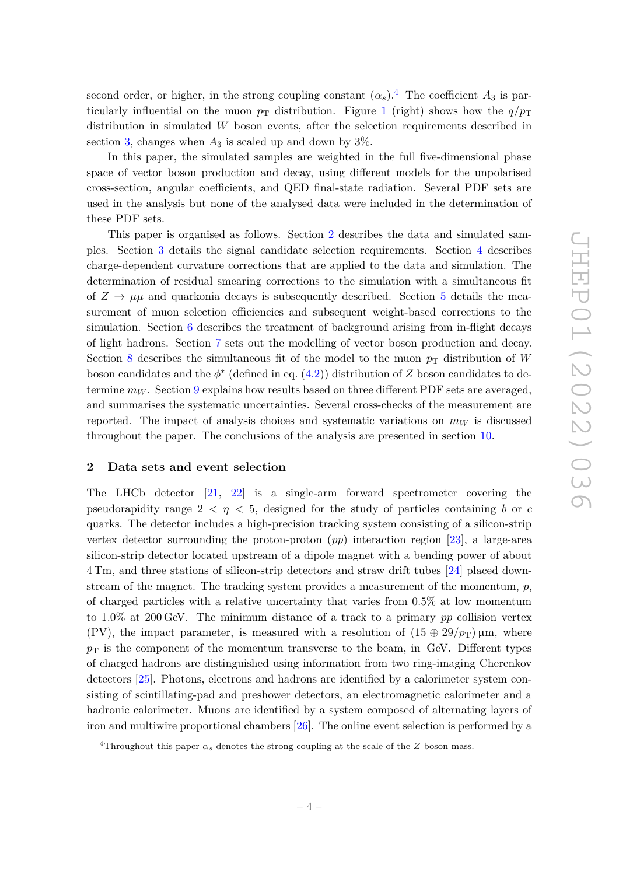second order, or higher, in the strong coupling constant  $(\alpha_s)$ .<sup>[4](#page-4-1)</sup> The coefficient  $A_3$  is particularly influential on the muon  $p<sub>T</sub>$  distribution. Figure [1](#page-3-0) (right) shows how the  $q/p<sub>T</sub>$ distribution in simulated *W* boson events, after the selection requirements described in section [3,](#page-5-0) changes when  $A_3$  is scaled up and down by  $3\%$ .

In this paper, the simulated samples are weighted in the full five-dimensional phase space of vector boson production and decay, using different models for the unpolarised cross-section, angular coefficients, and QED final-state radiation. Several PDF sets are used in the analysis but none of the analysed data were included in the determination of these PDF sets.

This paper is organised as follows. Section [2](#page-4-0) describes the data and simulated samples. Section [3](#page-5-0) details the signal candidate selection requirements. Section [4](#page-6-0) describes charge-dependent curvature corrections that are applied to the data and simulation. The determination of residual smearing corrections to the simulation with a simultaneous fit of  $Z \to \mu\mu$  and quarkonia decays is subsequently described. Section [5](#page-8-0) details the measurement of muon selection efficiencies and subsequent weight-based corrections to the simulation. Section [6](#page-12-0) describes the treatment of background arising from in-flight decays of light hadrons. Section [7](#page-13-0) sets out the modelling of vector boson production and decay. Section [8](#page-18-0) describes the simultaneous fit of the model to the muon  $p<sub>T</sub>$  distribution of *W* boson candidates and the  $\phi^*$  (defined in eq.  $(4.2)$ ) distribution of *Z* boson candidates to determine  $m_W$ . Section [9](#page-22-0) explains how results based on three different PDF sets are averaged, and summarises the systematic uncertainties. Several cross-checks of the measurement are reported. The impact of analysis choices and systematic variations on  $m_W$  is discussed throughout the paper. The conclusions of the analysis are presented in section [10.](#page-24-0)

# <span id="page-4-0"></span>**2 Data sets and event selection**

The LHCb detector [\[21,](#page-28-16) [22\]](#page-28-17) is a single-arm forward spectrometer covering the pseudorapidity range  $2 < \eta < 5$ , designed for the study of particles containing *b* or *c* quarks. The detector includes a high-precision tracking system consisting of a silicon-strip vertex detector surrounding the proton-proton (*pp*) interaction region [\[23\]](#page-29-0), a large-area silicon-strip detector located upstream of a dipole magnet with a bending power of about 4 Tm, and three stations of silicon-strip detectors and straw drift tubes [\[24\]](#page-29-1) placed downstream of the magnet. The tracking system provides a measurement of the momentum, *p*, of charged particles with a relative uncertainty that varies from 0.5% at low momentum to 1.0% at 200 GeV. The minimum distance of a track to a primary *pp* collision vertex (PV), the impact parameter, is measured with a resolution of  $(15 \oplus 29/p_T)$  µm, where  $p<sub>T</sub>$  is the component of the momentum transverse to the beam, in GeV. Different types of charged hadrons are distinguished using information from two ring-imaging Cherenkov detectors [\[25\]](#page-29-2). Photons, electrons and hadrons are identified by a calorimeter system consisting of scintillating-pad and preshower detectors, an electromagnetic calorimeter and a hadronic calorimeter. Muons are identified by a system composed of alternating layers of iron and multiwire proportional chambers [\[26\]](#page-29-3). The online event selection is performed by a

<span id="page-4-1"></span><sup>&</sup>lt;sup>4</sup>Throughout this paper  $\alpha_s$  denotes the strong coupling at the scale of the *Z* boson mass.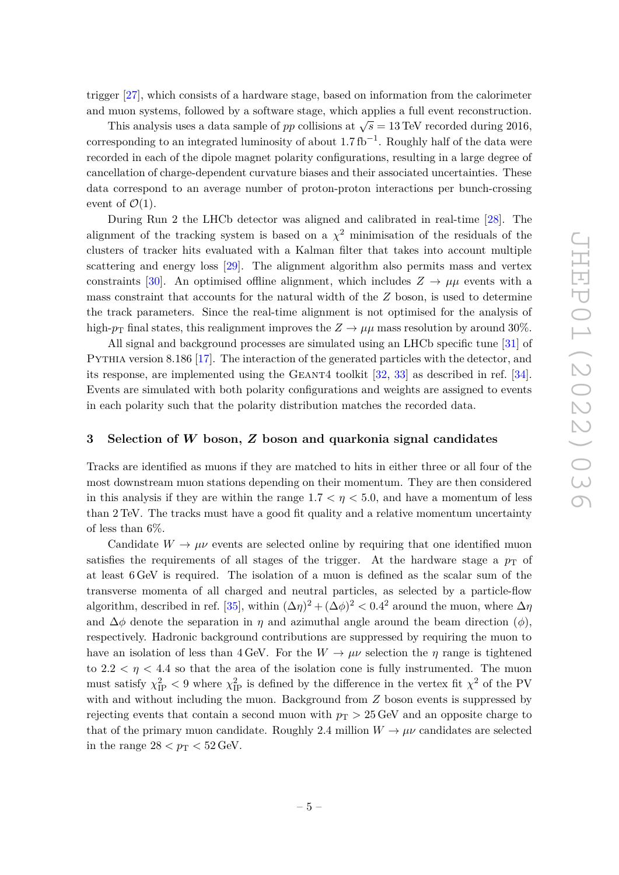trigger [\[27\]](#page-29-4), which consists of a hardware stage, based on information from the calorimeter and muon systems, followed by a software stage, which applies a full event reconstruction.

This analysis uses a data sample of *pp* collisions at  $\sqrt{s} = 13$  TeV recorded during 2016, corresponding to an integrated luminosity of about 1*.*7 fb−<sup>1</sup> . Roughly half of the data were recorded in each of the dipole magnet polarity configurations, resulting in a large degree of cancellation of charge-dependent curvature biases and their associated uncertainties. These data correspond to an average number of proton-proton interactions per bunch-crossing event of  $\mathcal{O}(1)$ .

During Run 2 the LHCb detector was aligned and calibrated in real-time [\[28\]](#page-29-5). The alignment of the tracking system is based on a  $\chi^2$  minimisation of the residuals of the clusters of tracker hits evaluated with a Kalman filter that takes into account multiple scattering and energy loss [\[29\]](#page-29-6). The alignment algorithm also permits mass and vertex constraints [\[30\]](#page-29-7). An optimised offline alignment, which includes  $Z \rightarrow \mu\mu$  events with a mass constraint that accounts for the natural width of the *Z* boson, is used to determine the track parameters. Since the real-time alignment is not optimised for the analysis of high- $p_T$  final states, this realignment improves the  $Z \to \mu\mu$  mass resolution by around 30%.

All signal and background processes are simulated using an LHCb specific tune [\[31\]](#page-29-8) of Pythia version 8.186 [\[17\]](#page-28-12). The interaction of the generated particles with the detector, and its response, are implemented using the GEANT4 toolkit  $[32, 33]$  $[32, 33]$  $[32, 33]$  as described in ref.  $[34]$ . Events are simulated with both polarity configurations and weights are assigned to events in each polarity such that the polarity distribution matches the recorded data.

### <span id="page-5-0"></span>**3 Selection of** *W* **boson,** *Z* **boson and quarkonia signal candidates**

Tracks are identified as muons if they are matched to hits in either three or all four of the most downstream muon stations depending on their momentum. They are then considered in this analysis if they are within the range  $1.7 < \eta < 5.0$ , and have a momentum of less than 2 TeV. The tracks must have a good fit quality and a relative momentum uncertainty of less than 6%.

Candidate  $W \to \mu\nu$  events are selected online by requiring that one identified muon satisfies the requirements of all stages of the trigger. At the hardware stage a  $p<sub>T</sub>$  of at least 6 GeV is required. The isolation of a muon is defined as the scalar sum of the transverse momenta of all charged and neutral particles, as selected by a particle-flow algorithm, described in ref. [\[35\]](#page-29-12), within  $(\Delta \eta)^2 + (\Delta \phi)^2 < 0.4^2$  around the muon, where  $\Delta \eta$ and  $\Delta\phi$  denote the separation in *η* and azimuthal angle around the beam direction ( $\phi$ ), respectively. Hadronic background contributions are suppressed by requiring the muon to have an isolation of less than 4 GeV. For the  $W \to \mu\nu$  selection the *η* range is tightened to  $2.2 < \eta < 4.4$  so that the area of the isolation cone is fully instrumented. The muon must satisfy  $\chi_{\text{IP}}^2$  < 9 where  $\chi_{\text{IP}}^2$  is defined by the difference in the vertex fit  $\chi^2$  of the PV with and without including the muon. Background from *Z* boson events is suppressed by rejecting events that contain a second muon with  $p_T > 25$  GeV and an opposite charge to that of the primary muon candidate. Roughly 2.4 million  $W \to \mu \nu$  candidates are selected in the range  $28 < p_T < 52$  GeV.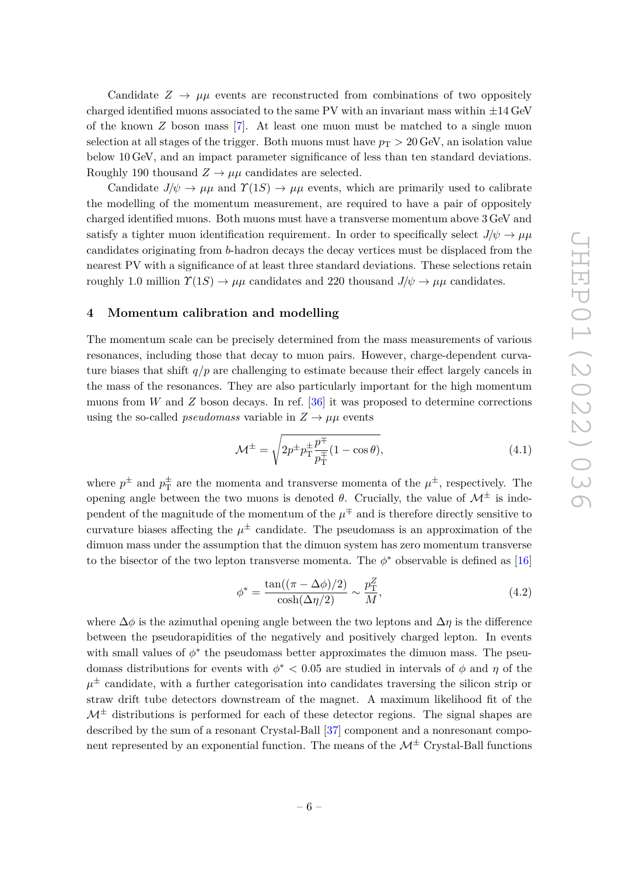Candidate  $Z \rightarrow \mu\mu$  events are reconstructed from combinations of two oppositely charged identified muons associated to the same PV with an invariant mass within  $\pm 14$  GeV of the known *Z* boson mass [\[7\]](#page-28-2). At least one muon must be matched to a single muon selection at all stages of the trigger. Both muons must have  $p_T > 20$  GeV, an isolation value below 10 GeV, and an impact parameter significance of less than ten standard deviations. Roughly 190 thousand  $Z \rightarrow \mu\mu$  candidates are selected.

Candidate  $J/\psi \to \mu\mu$  and  $\Upsilon(1S) \to \mu\mu$  events, which are primarily used to calibrate the modelling of the momentum measurement, are required to have a pair of oppositely charged identified muons. Both muons must have a transverse momentum above 3 GeV and satisfy a tighter muon identification requirement. In order to specifically select  $J/\psi \to \mu\mu$ candidates originating from *b*-hadron decays the decay vertices must be displaced from the nearest PV with a significance of at least three standard deviations. These selections retain roughly 1.0 million  $\Upsilon(1S) \to \mu\mu$  candidates and 220 thousand  $J/\psi \to \mu\mu$  candidates.

#### <span id="page-6-0"></span>**4 Momentum calibration and modelling**

The momentum scale can be precisely determined from the mass measurements of various resonances, including those that decay to muon pairs. However, charge-dependent curvature biases that shift *q/p* are challenging to estimate because their effect largely cancels in the mass of the resonances. They are also particularly important for the high momentum muons from *W* and *Z* boson decays. In ref. [\[36\]](#page-29-13) it was proposed to determine corrections using the so-called *pseudomass* variable in  $Z \rightarrow \mu\mu$  events

$$
\mathcal{M}^{\pm} = \sqrt{2p^{\pm}p_{\mathrm{T}}^{\pm}\frac{p^{\mp}}{p_{\mathrm{T}}^{\mp}}(1-\cos\theta)},\tag{4.1}
$$

where  $p^{\pm}$  and  $p_{\rm T}^{\pm}$  $\frac{1}{T}$  are the momenta and transverse momenta of the  $\mu^{\pm}$ , respectively. The opening angle between the two muons is denoted  $\theta$ . Crucially, the value of  $\mathcal{M}^{\pm}$  is independent of the magnitude of the momentum of the  $\mu^{\mp}$  and is therefore directly sensitive to curvature biases affecting the  $\mu^{\pm}$  candidate. The pseudomass is an approximation of the dimuon mass under the assumption that the dimuon system has zero momentum transverse to the bisector of the two lepton transverse momenta. The  $\phi^*$  observable is defined as [\[16\]](#page-28-11)

<span id="page-6-1"></span>
$$
\phi^* = \frac{\tan((\pi - \Delta\phi)/2)}{\cosh(\Delta\eta/2)} \sim \frac{p_\text{T}^Z}{M},\tag{4.2}
$$

where  $\Delta\phi$  is the azimuthal opening angle between the two leptons and  $\Delta\eta$  is the difference between the pseudorapidities of the negatively and positively charged lepton. In events with small values of  $\phi^*$  the pseudomass better approximates the dimuon mass. The pseudomass distributions for events with  $\phi^*$  < 0.05 are studied in intervals of  $\phi$  and  $\eta$  of the  $\mu^{\pm}$  candidate, with a further categorisation into candidates traversing the silicon strip or straw drift tube detectors downstream of the magnet. A maximum likelihood fit of the  $\mathcal{M}^{\pm}$  distributions is performed for each of these detector regions. The signal shapes are described by the sum of a resonant Crystal-Ball [\[37\]](#page-29-14) component and a nonresonant component represented by an exponential function. The means of the  $\mathcal{M}^{\pm}$  Crystal-Ball functions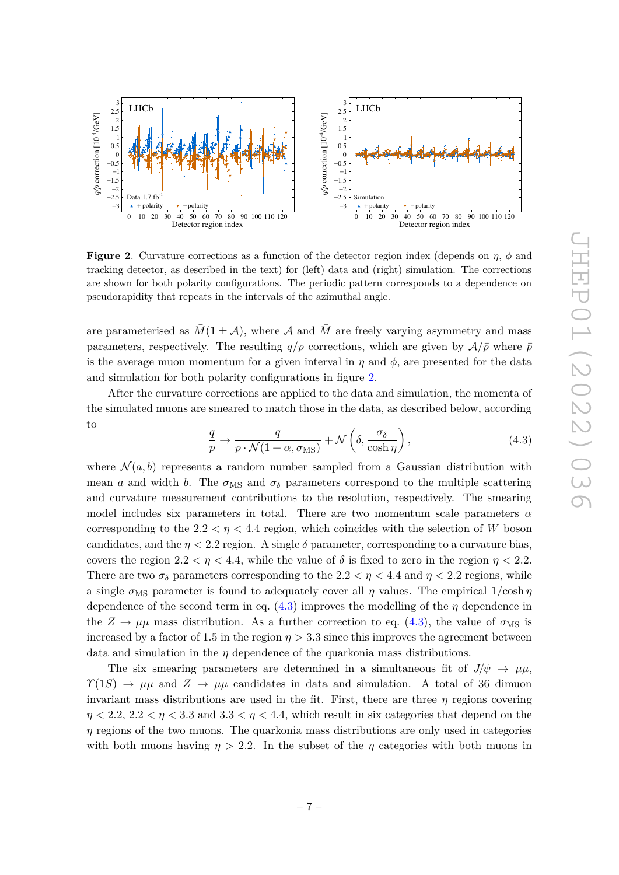

<span id="page-7-0"></span>**Figure 2**. Curvature corrections as a function of the detector region index (depends on *η*, *φ* and tracking detector, as described in the text) for (left) data and (right) simulation. The corrections are shown for both polarity configurations. The periodic pattern corresponds to a dependence on pseudorapidity that repeats in the intervals of the azimuthal angle.

are parameterised as  $\overline{M}(1 \pm \mathcal{A})$ , where  $\mathcal A$  and  $\overline{M}$  are freely varying asymmetry and mass parameters, respectively. The resulting  $q/p$  corrections, which are given by  $A/\bar{p}$  where  $\bar{p}$ is the average muon momentum for a given interval in  $\eta$  and  $\phi$ , are presented for the data and simulation for both polarity configurations in figure [2.](#page-7-0)

After the curvature corrections are applied to the data and simulation, the momenta of the simulated muons are smeared to match those in the data, as described below, according to

<span id="page-7-1"></span>
$$
\frac{q}{p} \to \frac{q}{p \cdot \mathcal{N}(1 + \alpha, \sigma_{\text{MS}})} + \mathcal{N}\left(\delta, \frac{\sigma_{\delta}}{\cosh \eta}\right),\tag{4.3}
$$

where  $\mathcal{N}(a, b)$  represents a random number sampled from a Gaussian distribution with mean *a* and width *b*. The  $\sigma_{\text{MS}}$  and  $\sigma_{\delta}$  parameters correspond to the multiple scattering and curvature measurement contributions to the resolution, respectively. The smearing model includes six parameters in total. There are two momentum scale parameters *α* corresponding to the  $2.2 < \eta < 4.4$  region, which coincides with the selection of *W* boson candidates, and the  $\eta < 2.2$  region. A single  $\delta$  parameter, corresponding to a curvature bias, covers the region  $2.2 < \eta < 4.4$ , while the value of  $\delta$  is fixed to zero in the region  $\eta < 2.2$ . There are two  $\sigma_{\delta}$  parameters corresponding to the 2.2  $\lt \eta \lt 4.4$  and  $\eta \lt 2.2$  regions, while a single  $\sigma_{\text{MS}}$  parameter is found to adequately cover all *η* values. The empirical  $1/\cosh \eta$ dependence of the second term in eq. [\(4.3\)](#page-7-1) improves the modelling of the *η* dependence in the  $Z \rightarrow \mu\mu$  mass distribution. As a further correction to eq. [\(4.3\)](#page-7-1), the value of  $\sigma_{\text{MS}}$  is increased by a factor of 1.5 in the region  $\eta > 3.3$  since this improves the agreement between data and simulation in the  $\eta$  dependence of the quarkonia mass distributions.

The six smearing parameters are determined in a simultaneous fit of  $J/\psi \to \mu\mu$ , *Y*(1*S*)  $\rightarrow \mu\mu$  and *Z*  $\rightarrow \mu\mu$  candidates in data and simulation. A total of 36 dimuon invariant mass distributions are used in the fit. First, there are three *η* regions covering  $\eta$  < 2.2, 2.2 <  $\eta$  < 3.3 and 3.3 <  $\eta$  < 4.4, which result in six categories that depend on the *η* regions of the two muons. The quarkonia mass distributions are only used in categories with both muons having  $\eta > 2.2$ . In the subset of the  $\eta$  categories with both muons in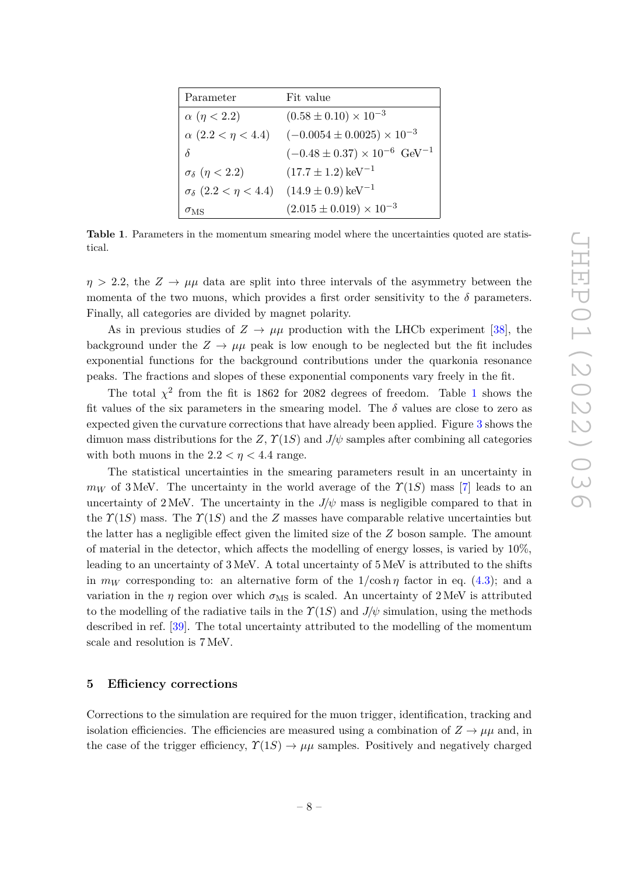| Parameter                                                             | Fit value                                           |
|-----------------------------------------------------------------------|-----------------------------------------------------|
| $\alpha$ ( $\eta$ < 2.2)                                              | $(0.58 \pm 0.10) \times 10^{-3}$                    |
| $\alpha$ (2.2 < $\eta$ < 4.4)                                         | $(-0.0054 \pm 0.0025) \times 10^{-3}$               |
| $\delta$                                                              | $(-0.48 \pm 0.37) \times 10^{-6}$ GeV <sup>-1</sup> |
| $\sigma_{\delta}$ ( $\eta$ < 2.2)                                     | $(17.7 \pm 1.2) \,\text{keV}^{-1}$                  |
| $\sigma_{\delta}$ (2.2 < $\eta$ < 4.4) (14.9 ± 0.9) keV <sup>-1</sup> |                                                     |
| $\sigma_{\rm MS}$                                                     | $(2.015 \pm 0.019) \times 10^{-3}$                  |

<span id="page-8-1"></span>**Table 1**. Parameters in the momentum smearing model where the uncertainties quoted are statistical.

 $\eta$  > 2.2, the  $Z \rightarrow \mu\mu$  data are split into three intervals of the asymmetry between the momenta of the two muons, which provides a first order sensitivity to the  $\delta$  parameters. Finally, all categories are divided by magnet polarity.

As in previous studies of  $Z \to \mu\mu$  production with the LHCb experiment [\[38\]](#page-29-15), the background under the  $Z \rightarrow \mu\mu$  peak is low enough to be neglected but the fit includes exponential functions for the background contributions under the quarkonia resonance peaks. The fractions and slopes of these exponential components vary freely in the fit.

The total  $\chi^2$  from the fit is [1](#page-8-1)862 for 2082 degrees of freedom. Table 1 shows the fit values of the six parameters in the smearing model. The  $\delta$  values are close to zero as expected given the curvature corrections that have already been applied. Figure [3](#page-9-0) shows the dimuon mass distributions for the *Z*,  $\Upsilon(1S)$  and  $J/\psi$  samples after combining all categories with both muons in the  $2.2 < \eta < 4.4$  range.

The statistical uncertainties in the smearing parameters result in an uncertainty in  $m_W$  of 3 MeV. The uncertainty in the world average of the  $\Upsilon(1S)$  mass [\[7\]](#page-28-2) leads to an uncertainty of 2 MeV. The uncertainty in the  $J/\psi$  mass is negligible compared to that in the  $\Upsilon(1,S)$  mass. The  $\Upsilon(1, S)$  and the *Z* masses have comparable relative uncertainties but the latter has a negligible effect given the limited size of the *Z* boson sample. The amount of material in the detector, which affects the modelling of energy losses, is varied by 10%, leading to an uncertainty of 3 MeV. A total uncertainty of 5 MeV is attributed to the shifts in  $m_W$  corresponding to: an alternative form of the  $1/\cosh \eta$  factor in eq. [\(4.3\)](#page-7-1); and a variation in the *η* region over which  $\sigma_{\text{MS}}$  is scaled. An uncertainty of 2 MeV is attributed to the modelling of the radiative tails in the  $\mathcal{Y}(1S)$  and  $J/\psi$  simulation, using the methods described in ref. [\[39\]](#page-29-16). The total uncertainty attributed to the modelling of the momentum scale and resolution is 7 MeV.

#### <span id="page-8-0"></span>**5 Efficiency corrections**

Corrections to the simulation are required for the muon trigger, identification, tracking and isolation efficiencies. The efficiencies are measured using a combination of  $Z \rightarrow \mu\mu$  and, in the case of the trigger efficiency,  $\mathcal{Y}(1S) \to \mu\mu$  samples. Positively and negatively charged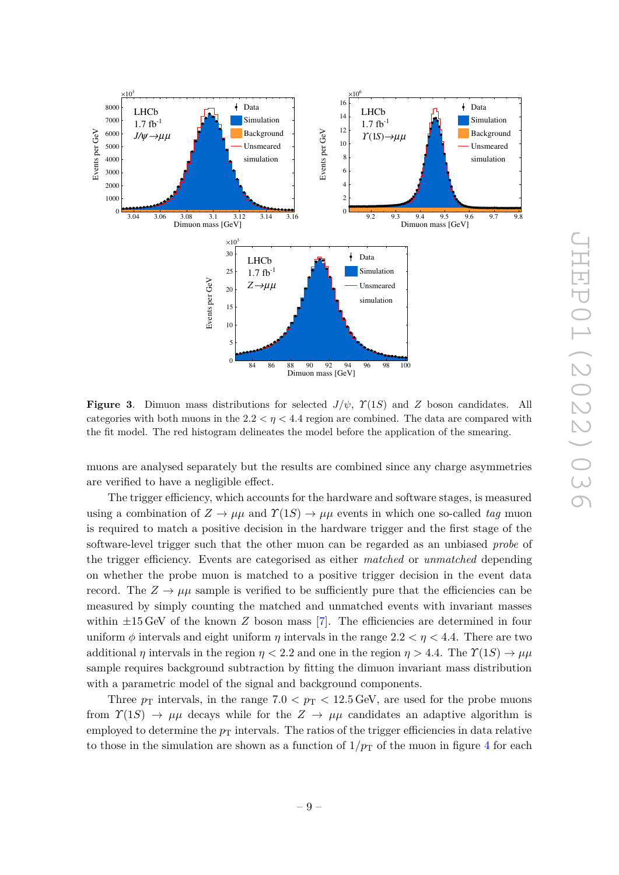

<span id="page-9-0"></span>**Figure 3**. Dimuon mass distributions for selected *J/ψ*, *Υ*(1*S*) and *Z* boson candidates. All categories with both muons in the  $2.2 < \eta < 4.4$  region are combined. The data are compared with the fit model. The red histogram delineates the model before the application of the smearing.

muons are analysed separately but the results are combined since any charge asymmetries are verified to have a negligible effect.

The trigger efficiency, which accounts for the hardware and software stages, is measured using a combination of  $Z \to \mu\mu$  and  $\Upsilon(1S) \to \mu\mu$  events in which one so-called *tag* muon is required to match a positive decision in the hardware trigger and the first stage of the software-level trigger such that the other muon can be regarded as an unbiased *probe* of the trigger efficiency. Events are categorised as either *matched* or *unmatched* depending on whether the probe muon is matched to a positive trigger decision in the event data record. The  $Z \to \mu\mu$  sample is verified to be sufficiently pure that the efficiencies can be measured by simply counting the matched and unmatched events with invariant masses within  $\pm 15$  GeV of the known *Z* boson mass [\[7\]](#page-28-2). The efficiencies are determined in four uniform  $\phi$  intervals and eight uniform  $\eta$  intervals in the range  $2.2 < \eta < 4.4$ . There are two additional *η* intervals in the region  $\eta$  < 2.2 and one in the region  $\eta$  > 4.4. The  $\Upsilon(1S) \to \mu\mu$ sample requires background subtraction by fitting the dimuon invariant mass distribution with a parametric model of the signal and background components.

Three  $p_T$  intervals, in the range 7.0  $\lt p_T < 12.5$  GeV, are used for the probe muons from  $\Upsilon(1S) \rightarrow \mu\mu$  decays while for the  $Z \rightarrow \mu\mu$  candidates an adaptive algorithm is employed to determine the  $p<sub>T</sub>$  intervals. The ratios of the trigger efficiencies in data relative to those in the simulation are shown as a function of  $1/p<sub>T</sub>$  of the muon in figure [4](#page-10-0) for each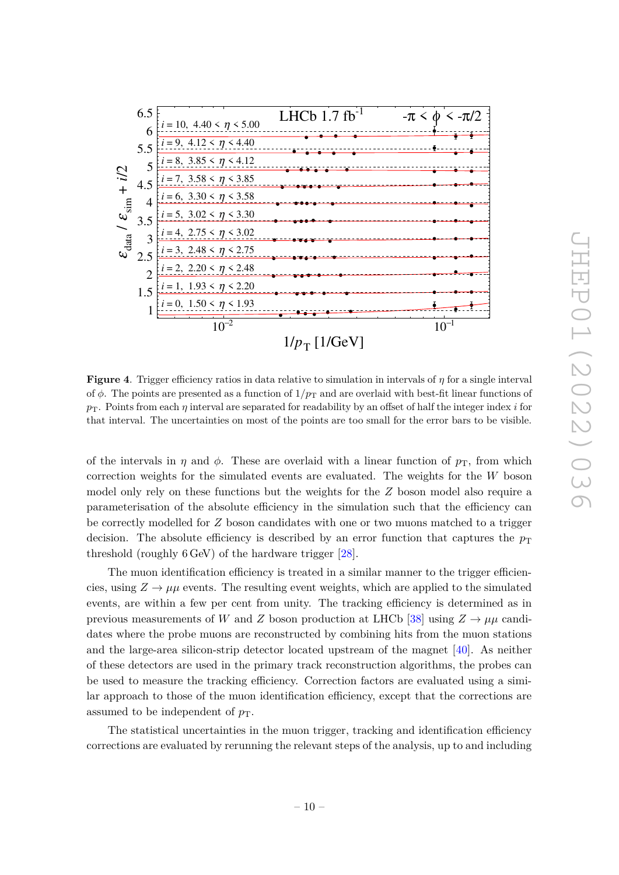

<span id="page-10-0"></span>**Figure 4**. Trigger efficiency ratios in data relative to simulation in intervals of *η* for a single interval of  $\phi$ . The points are presented as a function of  $1/p_T$  and are overlaid with best-fit linear functions of  $p_T$ . Points from each *η* interval are separated for readability by an offset of half the integer index *i* for that interval. The uncertainties on most of the points are too small for the error bars to be visible.

of the intervals in *η* and  $\phi$ . These are overlaid with a linear function of  $p_T$ , from which correction weights for the simulated events are evaluated. The weights for the *W* boson model only rely on these functions but the weights for the *Z* boson model also require a parameterisation of the absolute efficiency in the simulation such that the efficiency can be correctly modelled for *Z* boson candidates with one or two muons matched to a trigger decision. The absolute efficiency is described by an error function that captures the  $p_T$ threshold (roughly 6 GeV) of the hardware trigger [\[28\]](#page-29-5).

The muon identification efficiency is treated in a similar manner to the trigger efficiencies, using  $Z \to \mu\mu$  events. The resulting event weights, which are applied to the simulated events, are within a few per cent from unity. The tracking efficiency is determined as in previous measurements of *W* and *Z* boson production at LHCb [\[38\]](#page-29-15) using  $Z \rightarrow \mu\mu$  candidates where the probe muons are reconstructed by combining hits from the muon stations and the large-area silicon-strip detector located upstream of the magnet [\[40\]](#page-29-17). As neither of these detectors are used in the primary track reconstruction algorithms, the probes can be used to measure the tracking efficiency. Correction factors are evaluated using a similar approach to those of the muon identification efficiency, except that the corrections are assumed to be independent of  $p_T$ .

The statistical uncertainties in the muon trigger, tracking and identification efficiency corrections are evaluated by rerunning the relevant steps of the analysis, up to and including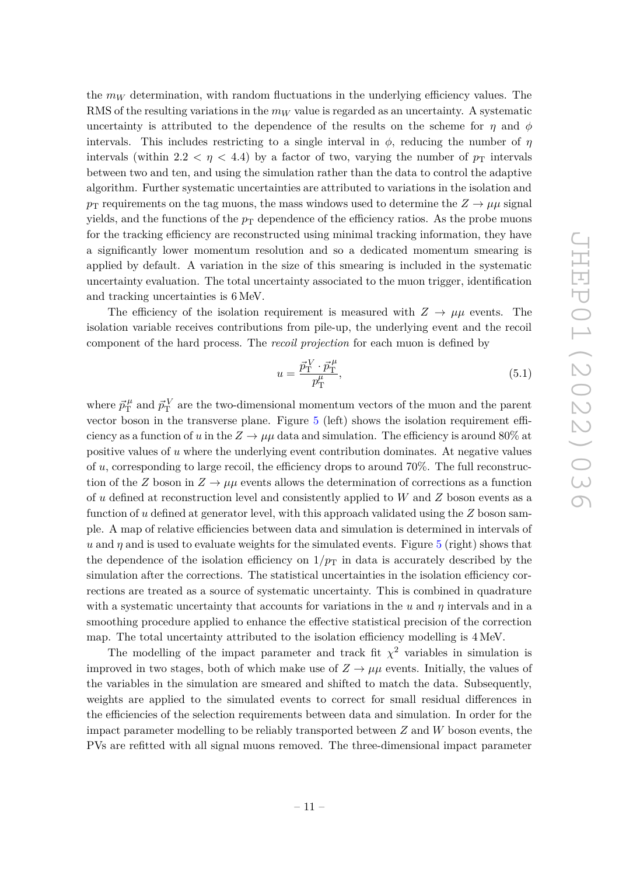the *m<sup>W</sup>* determination, with random fluctuations in the underlying efficiency values. The RMS of the resulting variations in the  $m_W$  value is regarded as an uncertainty. A systematic uncertainty is attributed to the dependence of the results on the scheme for *η* and *φ* intervals. This includes restricting to a single interval in  $\phi$ , reducing the number of  $\eta$ intervals (within 2.2  $\lt \eta \lt 4.4$ ) by a factor of two, varying the number of  $p_T$  intervals between two and ten, and using the simulation rather than the data to control the adaptive algorithm. Further systematic uncertainties are attributed to variations in the isolation and  $p_T$  requirements on the tag muons, the mass windows used to determine the  $Z \rightarrow \mu\mu$  signal yields, and the functions of the  $p<sub>T</sub>$  dependence of the efficiency ratios. As the probe muons for the tracking efficiency are reconstructed using minimal tracking information, they have a significantly lower momentum resolution and so a dedicated momentum smearing is applied by default. A variation in the size of this smearing is included in the systematic uncertainty evaluation. The total uncertainty associated to the muon trigger, identification and tracking uncertainties is 6 MeV.

The efficiency of the isolation requirement is measured with  $Z \rightarrow \mu\mu$  events. The isolation variable receives contributions from pile-up, the underlying event and the recoil component of the hard process. The *recoil projection* for each muon is defined by

$$
u = \frac{\vec{p}_{\rm T}^V \cdot \vec{p}_{\rm T}^\mu}{p_{\rm T}^\mu},\tag{5.1}
$$

where  $\vec{p}_{\rm T}^{\ \mu}$  $\vec{r}_{\rm T}^{\mu}$  and  $\vec{p}_{\rm T}^{\,V}$  are the two-dimensional momentum vectors of the muon and the parent vector boson in the transverse plane. Figure [5](#page-12-1) (left) shows the isolation requirement efficiency as a function of *u* in the  $Z \to \mu\mu$  data and simulation. The efficiency is around 80% at positive values of *u* where the underlying event contribution dominates. At negative values of *u*, corresponding to large recoil, the efficiency drops to around 70%. The full reconstruction of the *Z* boson in  $Z \rightarrow \mu\mu$  events allows the determination of corrections as a function of *u* defined at reconstruction level and consistently applied to *W* and *Z* boson events as a function of *u* defined at generator level, with this approach validated using the *Z* boson sample. A map of relative efficiencies between data and simulation is determined in intervals of *u* and *η* and is used to evaluate weights for the simulated events. Figure [5](#page-12-1) (right) shows that the dependence of the isolation efficiency on  $1/p<sub>T</sub>$  in data is accurately described by the simulation after the corrections. The statistical uncertainties in the isolation efficiency corrections are treated as a source of systematic uncertainty. This is combined in quadrature with a systematic uncertainty that accounts for variations in the *u* and *η* intervals and in a smoothing procedure applied to enhance the effective statistical precision of the correction map. The total uncertainty attributed to the isolation efficiency modelling is 4 MeV.

The modelling of the impact parameter and track fit  $\chi^2$  variables in simulation is improved in two stages, both of which make use of  $Z \rightarrow \mu\mu$  events. Initially, the values of the variables in the simulation are smeared and shifted to match the data. Subsequently, weights are applied to the simulated events to correct for small residual differences in the efficiencies of the selection requirements between data and simulation. In order for the impact parameter modelling to be reliably transported between *Z* and *W* boson events, the PVs are refitted with all signal muons removed. The three-dimensional impact parameter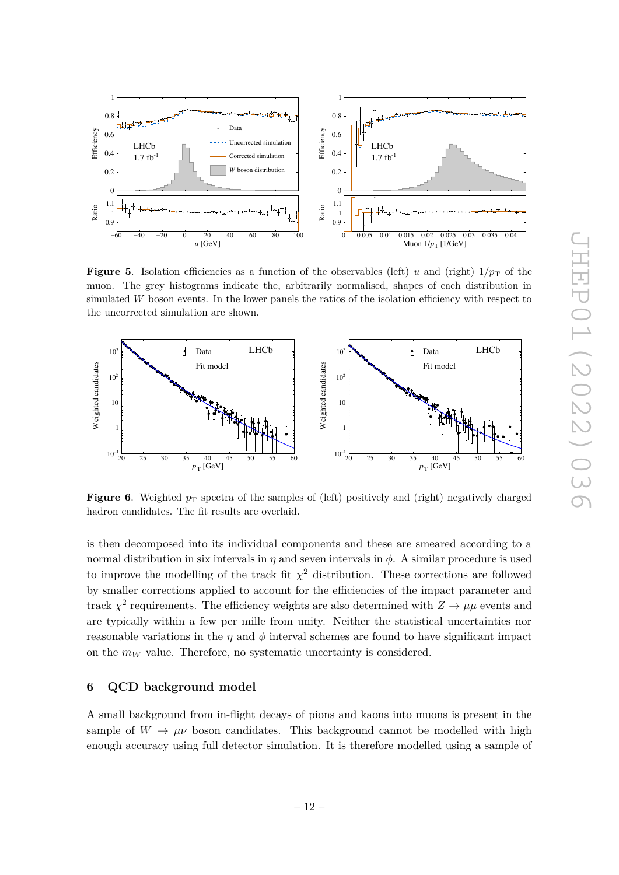

<span id="page-12-1"></span>**Figure 5.** Isolation efficiencies as a function of the observables (left) *u* and (right)  $1/p<sub>T</sub>$  of the muon. The grey histograms indicate the, arbitrarily normalised, shapes of each distribution in simulated *W* boson events. In the lower panels the ratios of the isolation efficiency with respect to the uncorrected simulation are shown.



<span id="page-12-2"></span>**Figure 6.** Weighted  $p<sub>T</sub>$  spectra of the samples of (left) positively and (right) negatively charged hadron candidates. The fit results are overlaid.

is then decomposed into its individual components and these are smeared according to a normal distribution in six intervals in  $\eta$  and seven intervals in  $\phi$ . A similar procedure is used to improve the modelling of the track fit  $\chi^2$  distribution. These corrections are followed by smaller corrections applied to account for the efficiencies of the impact parameter and track  $\chi^2$  requirements. The efficiency weights are also determined with  $Z \to \mu\mu$  events and are typically within a few per mille from unity. Neither the statistical uncertainties nor reasonable variations in the  $\eta$  and  $\phi$  interval schemes are found to have significant impact on the  $m_W$  value. Therefore, no systematic uncertainty is considered.

# <span id="page-12-0"></span>**6 QCD background model**

A small background from in-flight decays of pions and kaons into muons is present in the sample of  $W \to \mu\nu$  boson candidates. This background cannot be modelled with high enough accuracy using full detector simulation. It is therefore modelled using a sample of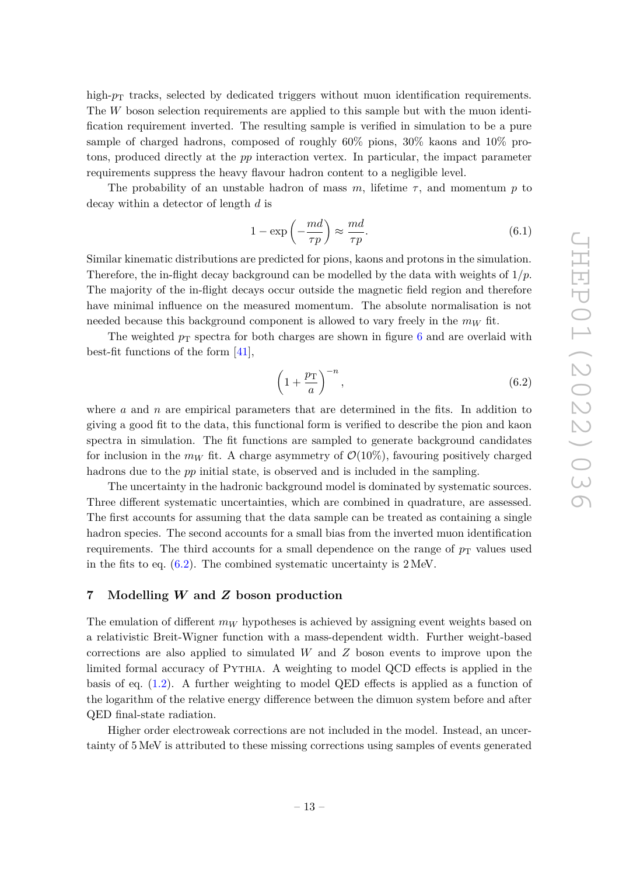high- $p<sub>T</sub>$  tracks, selected by dedicated triggers without muon identification requirements. The *W* boson selection requirements are applied to this sample but with the muon identification requirement inverted. The resulting sample is verified in simulation to be a pure sample of charged hadrons, composed of roughly 60% pions, 30% kaons and 10% protons, produced directly at the *pp* interaction vertex. In particular, the impact parameter requirements suppress the heavy flavour hadron content to a negligible level.

The probability of an unstable hadron of mass  $m$ , lifetime  $\tau$ , and momentum  $p$  to decay within a detector of length *d* is

$$
1 - \exp\left(-\frac{md}{\tau p}\right) \approx \frac{md}{\tau p}.\tag{6.1}
$$

Similar kinematic distributions are predicted for pions, kaons and protons in the simulation. Therefore, the in-flight decay background can be modelled by the data with weights of 1*/p*. The majority of the in-flight decays occur outside the magnetic field region and therefore have minimal influence on the measured momentum. The absolute normalisation is not needed because this background component is allowed to vary freely in the *m<sup>W</sup>* fit.

The weighted  $p_T$  spectra for both charges are shown in figure [6](#page-12-2) and are overlaid with best-fit functions of the form [\[41\]](#page-29-18),

<span id="page-13-1"></span>
$$
\left(1 + \frac{p_{\rm T}}{a}\right)^{-n},\tag{6.2}
$$

where *a* and *n* are empirical parameters that are determined in the fits. In addition to giving a good fit to the data, this functional form is verified to describe the pion and kaon spectra in simulation. The fit functions are sampled to generate background candidates for inclusion in the  $m_W$  fit. A charge asymmetry of  $\mathcal{O}(10\%)$ , favouring positively charged hadrons due to the *pp* initial state, is observed and is included in the sampling.

The uncertainty in the hadronic background model is dominated by systematic sources. Three different systematic uncertainties, which are combined in quadrature, are assessed. The first accounts for assuming that the data sample can be treated as containing a single hadron species. The second accounts for a small bias from the inverted muon identification requirements. The third accounts for a small dependence on the range of  $p<sub>T</sub>$  values used in the fits to eq.  $(6.2)$ . The combined systematic uncertainty is  $2 \text{ MeV}$ .

# <span id="page-13-0"></span>**7 Modelling** *W* **and** *Z* **boson production**

The emulation of different  $m_W$  hypotheses is achieved by assigning event weights based on a relativistic Breit-Wigner function with a mass-dependent width. Further weight-based corrections are also applied to simulated *W* and *Z* boson events to improve upon the limited formal accuracy of Pythia. A weighting to model QCD effects is applied in the basis of eq. [\(1.2\)](#page-3-2). A further weighting to model QED effects is applied as a function of the logarithm of the relative energy difference between the dimuon system before and after QED final-state radiation.

Higher order electroweak corrections are not included in the model. Instead, an uncertainty of 5 MeV is attributed to these missing corrections using samples of events generated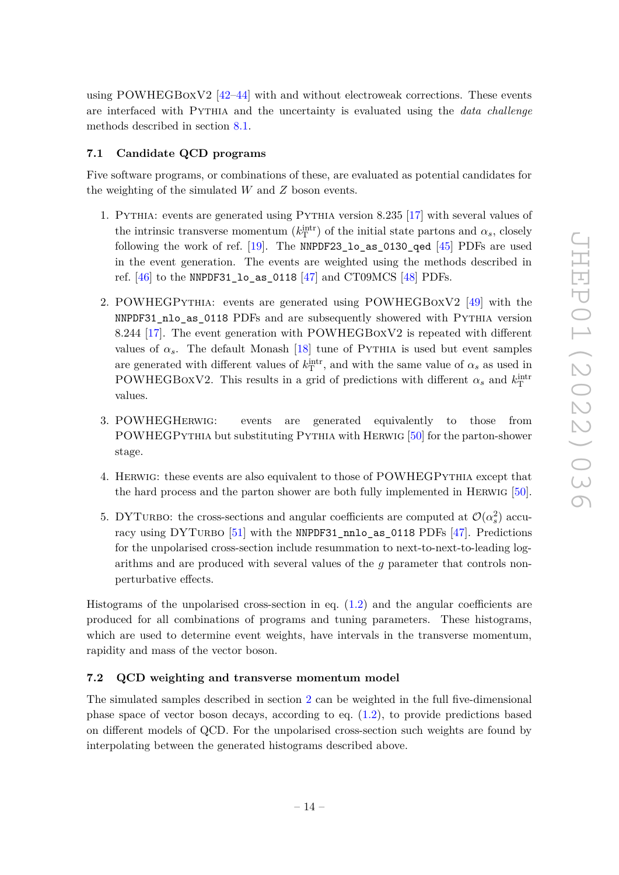using POWHEGBoxV2 [\[42](#page-30-0)[–44\]](#page-30-1) with and without electroweak corrections. These events are interfaced with Pythia and the uncertainty is evaluated using the *data challenge* methods described in section [8.1.](#page-20-0)

#### <span id="page-14-0"></span>**7.1 Candidate QCD programs**

Five software programs, or combinations of these, are evaluated as potential candidates for the weighting of the simulated *W* and *Z* boson events.

- 1. Pythia: events are generated using Pythia version 8.235 [\[17\]](#page-28-12) with several values of the intrinsic transverse momentum  $(k_T^{\text{intr}})$  of the initial state partons and  $\alpha_s$ , closely following the work of ref.  $[19]$ . The NNPDF23\_1o\_as\_0130\_qed  $[45]$  PDFs are used in the event generation. The events are weighted using the methods described in ref. [\[46\]](#page-30-3) to the NNPDF31\_lo\_as\_0118 [\[47\]](#page-30-4) and CT09MCS [\[48\]](#page-30-5) PDFs.
- 2. POWHEGPythia: events are generated using POWHEGBoxV2 [\[49\]](#page-30-6) with the NNPDF31\_nlo\_as\_0118 PDFs and are subsequently showered with Pythia version 8.244 [\[17\]](#page-28-12). The event generation with POWHEGBoxV2 is repeated with different values of  $\alpha_s$ . The default Monash [\[18\]](#page-28-13) tune of PYTHIA is used but event samples are generated with different values of  $k_{\text{T}}^{\text{intr}}$ , and with the same value of  $\alpha_s$  as used in POWHEGBOXV2. This results in a grid of predictions with different  $\alpha_s$  and  $k_T^{\text{intr}}$ values.
- 3. POWHEGHerwig: events are generated equivalently to those from POWHEGPythia but substituting Pythia with Herwig [\[50\]](#page-30-7) for the parton-shower stage.
- 4. Herwig: these events are also equivalent to those of POWHEGPythia except that the hard process and the parton shower are both fully implemented in Herwig [\[50\]](#page-30-7).
- 5. DYTURBO: the cross-sections and angular coefficients are computed at  $\mathcal{O}(\alpha_s^2)$  accu-racy using DYTURBO [\[51\]](#page-30-8) with the NNPDF31 nnlo as 0118 PDFs [\[47\]](#page-30-4). Predictions for the unpolarised cross-section include resummation to next-to-next-to-leading logarithms and are produced with several values of the *g* parameter that controls nonperturbative effects.

Histograms of the unpolarised cross-section in eq. [\(1.2\)](#page-3-2) and the angular coefficients are produced for all combinations of programs and tuning parameters. These histograms, which are used to determine event weights, have intervals in the transverse momentum, rapidity and mass of the vector boson.

### <span id="page-14-1"></span>**7.2 QCD weighting and transverse momentum model**

The simulated samples described in section [2](#page-4-0) can be weighted in the full five-dimensional phase space of vector boson decays, according to eq. [\(1.2\)](#page-3-2), to provide predictions based on different models of QCD. For the unpolarised cross-section such weights are found by interpolating between the generated histograms described above.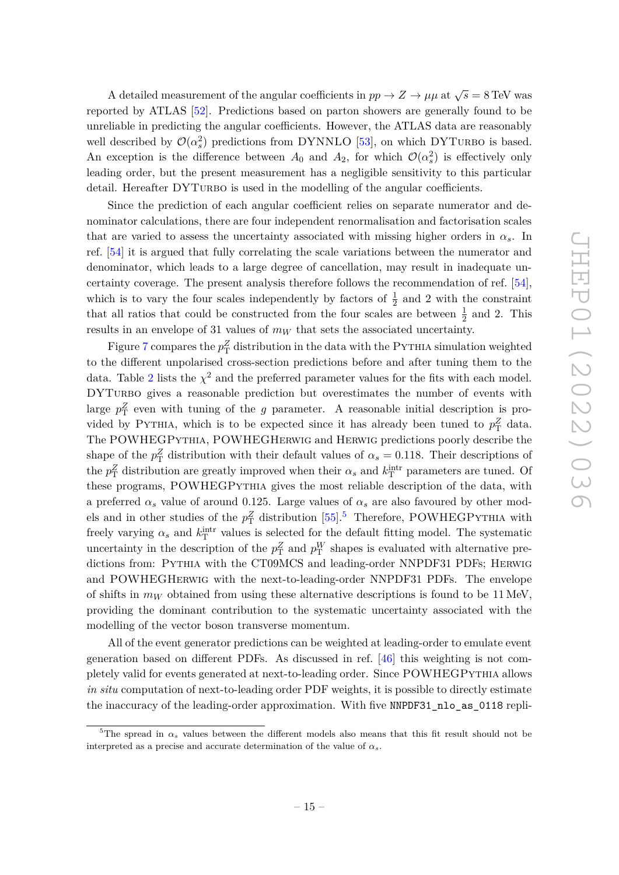A detailed measurement of the angular coefficients in  $pp \to Z \to \mu\mu$  at  $\sqrt{s} = 8 \,\text{TeV}$  was reported by ATLAS [\[52\]](#page-30-9). Predictions based on parton showers are generally found to be unreliable in predicting the angular coefficients. However, the ATLAS data are reasonably well described by  $\mathcal{O}(\alpha_s^2)$  predictions from DYNNLO [\[53\]](#page-30-10), on which DYTURBO is based. An exception is the difference between  $A_0$  and  $A_2$ , for which  $\mathcal{O}(\alpha_s^2)$  is effectively only leading order, but the present measurement has a negligible sensitivity to this particular detail. Hereafter DYTURBO is used in the modelling of the angular coefficients.

Since the prediction of each angular coefficient relies on separate numerator and denominator calculations, there are four independent renormalisation and factorisation scales that are varied to assess the uncertainty associated with missing higher orders in  $\alpha_s$ . In ref. [\[54\]](#page-30-11) it is argued that fully correlating the scale variations between the numerator and denominator, which leads to a large degree of cancellation, may result in inadequate uncertainty coverage. The present analysis therefore follows the recommendation of ref. [\[54\]](#page-30-11), which is to vary the four scales independently by factors of  $\frac{1}{2}$  and 2 with the constraint that all ratios that could be constructed from the four scales are between  $\frac{1}{2}$  and 2. This results in an envelope of 31 values of  $m_W$  that sets the associated uncertainty.

Figure [7](#page-16-1) compares the  $p_T^Z$  distribution in the data with the PYTHIA simulation weighted to the different unpolarised cross-section predictions before and after tuning them to the data. Table [2](#page-17-2) lists the  $\chi^2$  and the preferred parameter values for the fits with each model. DYTURBO gives a reasonable prediction but overestimates the number of events with large  $p_T^Z$  even with tuning of the *g* parameter. A reasonable initial description is provided by PYTHIA, which is to be expected since it has already been tuned to  $p<sub>T</sub><sup>Z</sup>$  data. The POWHEGPythia, POWHEGHerwig and Herwig predictions poorly describe the shape of the  $p_T^Z$  distribution with their default values of  $\alpha_s = 0.118$ . Their descriptions of the  $p_T^Z$  distribution are greatly improved when their  $\alpha_s$  and  $k_T^{\text{intr}}$  parameters are tuned. Of these programs, POWHEGPythia gives the most reliable description of the data, with a preferred  $\alpha_s$  value of around 0.125. Large values of  $\alpha_s$  are also favoured by other models and in other studies of the  $p_T^Z$  distribution [\[55\]](#page-30-12).<sup>[5](#page-15-0)</sup> Therefore, POWHEGPYTHIA with freely varying  $\alpha_s$  and  $k_{\rm T}^{\rm intr}$  values is selected for the default fitting model. The systematic uncertainty in the description of the  $p_T^Z$  and  $p_T^W$  shapes is evaluated with alternative predictions from: Pythia with the CT09MCS and leading-order NNPDF31 PDFs; Herwig and POWHEGHerwig with the next-to-leading-order NNPDF31 PDFs. The envelope of shifts in  $m_W$  obtained from using these alternative descriptions is found to be 11 MeV, providing the dominant contribution to the systematic uncertainty associated with the modelling of the vector boson transverse momentum.

All of the event generator predictions can be weighted at leading-order to emulate event generation based on different PDFs. As discussed in ref. [\[46\]](#page-30-3) this weighting is not completely valid for events generated at next-to-leading order. Since POWHEGPythia allows *in situ* computation of next-to-leading order PDF weights, it is possible to directly estimate the inaccuracy of the leading-order approximation. With five NNPDF31\_nlo\_as\_0118 repli-

<span id="page-15-0"></span><sup>&</sup>lt;sup>5</sup>The spread in  $\alpha_s$  values between the different models also means that this fit result should not be interpreted as a precise and accurate determination of the value of  $\alpha_s$ .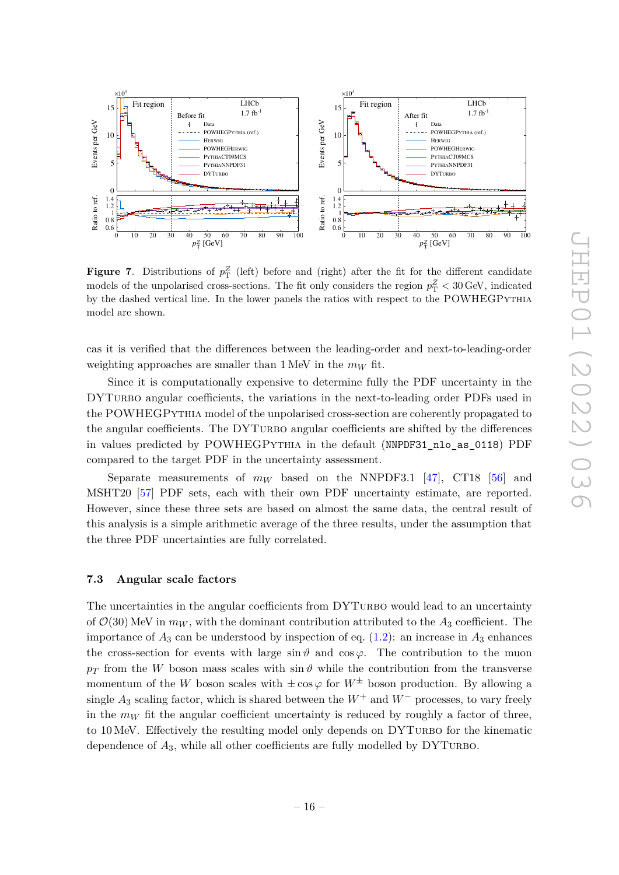

<span id="page-16-1"></span>**Figure 7.** Distributions of  $p_T^Z$  (left) before and (right) after the fit for the different candidate models of the unpolarised cross-sections. The fit only considers the region  $p_T^Z < 30$  GeV, indicated by the dashed vertical line. In the lower panels the ratios with respect to the POWHEGPythia model are shown.

cas it is verified that the differences between the leading-order and next-to-leading-order weighting approaches are smaller than  $1 \text{ MeV}$  in the  $m_W$  fit.

Since it is computationally expensive to determine fully the PDF uncertainty in the DYTURBO angular coefficients, the variations in the next-to-leading order PDFs used in the POWHEGPythia model of the unpolarised cross-section are coherently propagated to the angular coefficients. The DYTURBO angular coefficients are shifted by the differences in values predicted by POWHEGPythia in the default (NNPDF31\_nlo\_as\_0118) PDF compared to the target PDF in the uncertainty assessment.

Separate measurements of *m<sup>W</sup>* based on the NNPDF3.1 [\[47\]](#page-30-4), CT18 [\[56\]](#page-30-13) and MSHT20 [\[57\]](#page-30-14) PDF sets, each with their own PDF uncertainty estimate, are reported. However, since these three sets are based on almost the same data, the central result of this analysis is a simple arithmetic average of the three results, under the assumption that the three PDF uncertainties are fully correlated.

#### <span id="page-16-0"></span>**7.3 Angular scale factors**

The uncertainties in the angular coefficients from DYTURBO would lead to an uncertainty of  $\mathcal{O}(30)$  MeV in  $m_W$ , with the dominant contribution attributed to the  $A_3$  coefficient. The importance of  $A_3$  can be understood by inspection of eq.  $(1.2)$ : an increase in  $A_3$  enhances the cross-section for events with large  $\sin \theta$  and  $\cos \varphi$ . The contribution to the muon  $p_T$  from the *W* boson mass scales with  $\sin \theta$  while the contribution from the transverse momentum of the *W* boson scales with  $\pm \cos \varphi$  for  $W^{\pm}$  boson production. By allowing a single  $A_3$  scaling factor, which is shared between the  $W^+$  and  $W^-$  processes, to vary freely in the  $m_W$  fit the angular coefficient uncertainty is reduced by roughly a factor of three, to 10 MeV. Effectively the resulting model only depends on DYTURBO for the kinematic dependence of  $A_3$ , while all other coefficients are fully modelled by DYTURBO.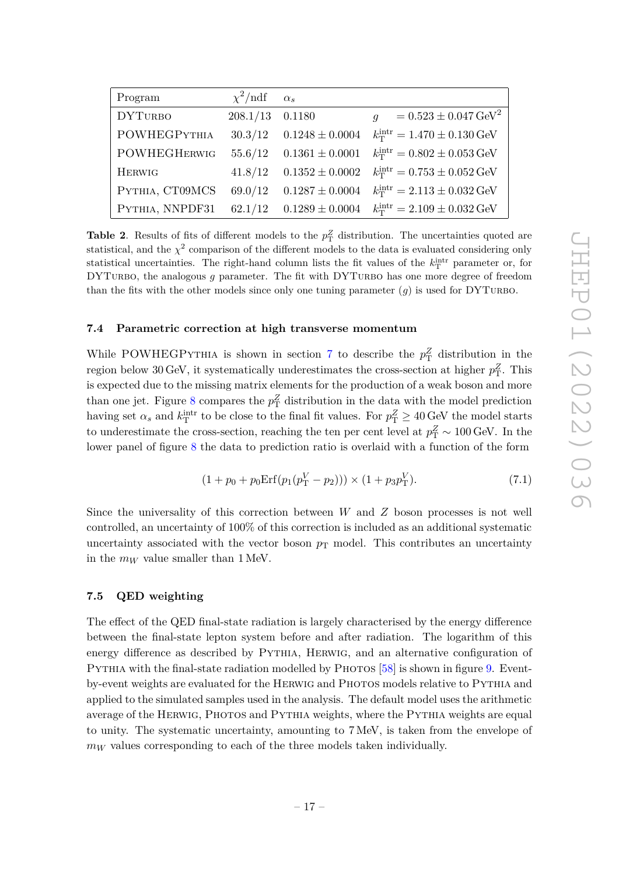| Program             | $\chi^2/\text{ndf}$ | $\alpha_s$          |                                                          |
|---------------------|---------------------|---------------------|----------------------------------------------------------|
| <b>DYTURBO</b>      | $208.1/13$ 0.1180   |                     | $= 0.523 \pm 0.047 \,\text{GeV}^2$<br>$\overline{a}$     |
| POWHEGPYTHIA        | 30.3/12             | $0.1248 \pm 0.0004$ | $k_{\rm T}^{\rm intr} = 1.470 \pm 0.130 \,\text{GeV}$    |
| <b>POWHEGHERWIG</b> | 55.6/12             | $0.1361 \pm 0.0001$ | $k^{\rm intr}_{\rm T}=0.802\pm0.053\,\mbox{GeV}$         |
| <b>HERWIG</b>       | 41.8/12             | $0.1352 \pm 0.0002$ | $k_{\rm T}^{\rm intr} = 0.753 \pm 0.052 \,\text{GeV}$    |
| PYTHIA, CT09MCS     | 69.0/12             | $0.1287 \pm 0.0004$ | $k_{\rm T}^{\rm intr} = 2.113 \pm 0.032 \, \textrm{GeV}$ |
| PYTHIA, NNPDF31     | 62.1/12             | $0.1289 \pm 0.0004$ | $k_{\rm T}^{\rm intr} = 2.109 \pm 0.032 \,\text{GeV}$    |

<span id="page-17-2"></span>**Table 2.** Results of fits of different models to the  $p_T^Z$  distribution. The uncertainties quoted are statistical, and the  $\chi^2$  comparison of the different models to the data is evaluated considering only statistical uncertainties. The right-hand column lists the fit values of the  $k_{\text{T}}^{\text{intr}}$  parameter or, for DYTURBO, the analogous *g* parameter. The fit with DYTURBO has one more degree of freedom than the fits with the other models since only one tuning parameter  $(q)$  is used for DYTURBO.

#### <span id="page-17-0"></span>**7.4 Parametric correction at high transverse momentum**

While POWHEGPYTHIA is shown in section [7](#page-13-0) to describe the  $p_T^Z$  distribution in the region below 30 GeV, it systematically underestimates the cross-section at higher  $p<sub>T</sub><sup>Z</sup>$ . This is expected due to the missing matrix elements for the production of a weak boson and more than one jet. Figure [8](#page-18-1) compares the  $p_T^Z$  distribution in the data with the model prediction having set  $\alpha_s$  and  $k_T^{\text{intr}}$  to be close to the final fit values. For  $p_T^Z \geq 40$  GeV the model starts to underestimate the cross-section, reaching the ten per cent level at  $p_T^Z \sim 100 \,\text{GeV}$ . In the lower panel of figure [8](#page-18-1) the data to prediction ratio is overlaid with a function of the form

$$
(1 + p_0 + p_0 \text{Erf}(p_1(p_1^V - p_2))) \times (1 + p_3 p_1^V). \tag{7.1}
$$

Since the universality of this correction between *W* and *Z* boson processes is not well controlled, an uncertainty of 100% of this correction is included as an additional systematic uncertainty associated with the vector boson  $p<sub>T</sub>$  model. This contributes an uncertainty in the  $m_W$  value smaller than 1 MeV.

# <span id="page-17-1"></span>**7.5 QED weighting**

The effect of the QED final-state radiation is largely characterised by the energy difference between the final-state lepton system before and after radiation. The logarithm of this energy difference as described by Pythia, Herwig, and an alternative configuration of PYTHIA with the final-state radiation modelled by PHOTOS [\[58\]](#page-30-15) is shown in figure [9.](#page-18-2) Eventby-event weights are evaluated for the HERWIG and PHOTOS models relative to PYTHIA and applied to the simulated samples used in the analysis. The default model uses the arithmetic average of the HERWIG, PHOTOS and PYTHIA weights, where the PYTHIA weights are equal to unity. The systematic uncertainty, amounting to 7 MeV, is taken from the envelope of  $m_W$  values corresponding to each of the three models taken individually.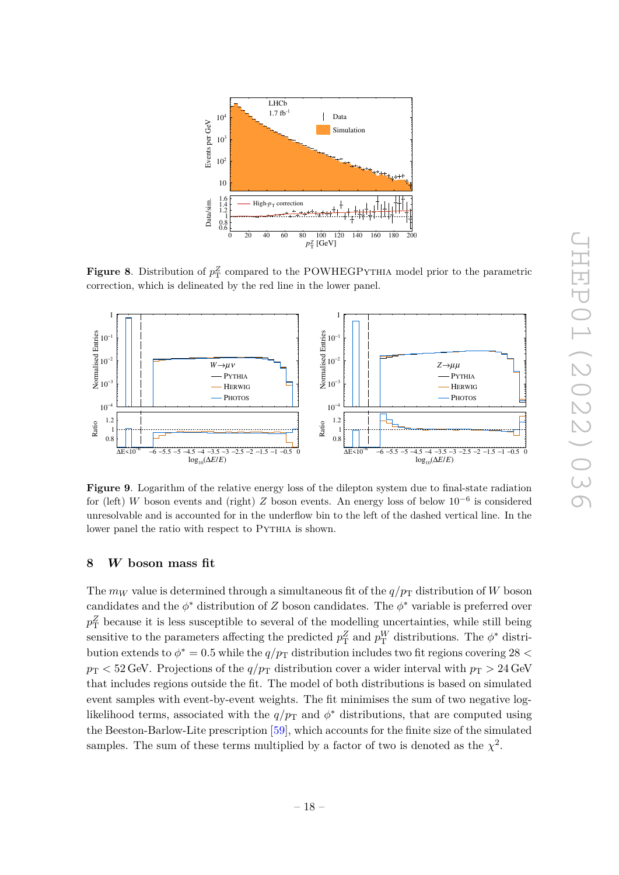

<span id="page-18-1"></span>**Figure 8**. Distribution of  $p_T^Z$  compared to the POWHEGPYTHIA model prior to the parametric correction, which is delineated by the red line in the lower panel.



<span id="page-18-2"></span>**Figure 9**. Logarithm of the relative energy loss of the dilepton system due to final-state radiation for (left) *W* boson events and (right) *Z* boson events. An energy loss of below 10<sup>−</sup><sup>6</sup> is considered unresolvable and is accounted for in the underflow bin to the left of the dashed vertical line. In the lower panel the ratio with respect to PYTHIA is shown.

# <span id="page-18-0"></span>**8** *W* **boson mass fit**

The  $m_W$  value is determined through a simultaneous fit of the  $q/p_T$  distribution of *W* boson candidates and the  $\phi^*$  distribution of *Z* boson candidates. The  $\phi^*$  variable is preferred over  $p_T^Z$  because it is less susceptible to several of the modelling uncertainties, while still being sensitive to the parameters affecting the predicted  $p_T^Z$  and  $p_T^W$  distributions. The  $\phi^*$  distribution extends to  $\phi^* = 0.5$  while the  $q/p_\text{T}$  distribution includes two fit regions covering 28  $<$  $p_{\text{T}} < 52$  GeV. Projections of the  $q/p_{\text{T}}$  distribution cover a wider interval with  $p_{\text{T}} > 24$  GeV that includes regions outside the fit. The model of both distributions is based on simulated event samples with event-by-event weights. The fit minimises the sum of two negative loglikelihood terms, associated with the  $q/p<sub>T</sub>$  and  $\phi^*$  distributions, that are computed using the Beeston-Barlow-Lite prescription [\[59\]](#page-31-0), which accounts for the finite size of the simulated samples. The sum of these terms multiplied by a factor of two is denoted as the  $\chi^2$ .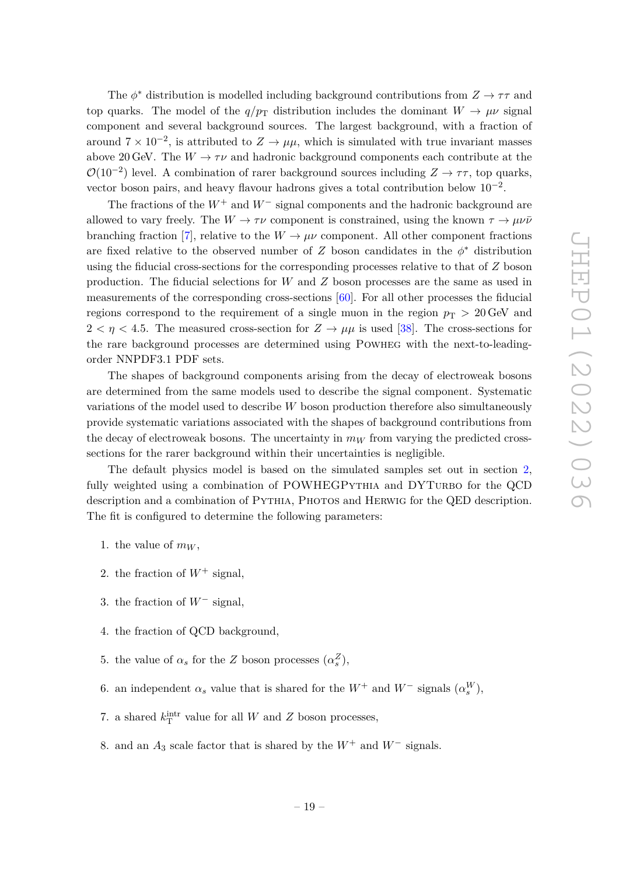The  $\phi^*$  distribution is modelled including background contributions from  $Z \to \tau \tau$  and top quarks. The model of the  $q/p<sub>T</sub>$  distribution includes the dominant  $W \to \mu \nu$  signal component and several background sources. The largest background, with a fraction of around  $7 \times 10^{-2}$ , is attributed to  $Z \to \mu\mu$ , which is simulated with true invariant masses above 20 GeV. The  $W \to \tau \nu$  and hadronic background components each contribute at the  $\mathcal{O}(10^{-2})$  level. A combination of rarer background sources including  $Z \to \tau \tau$ , top quarks, vector boson pairs, and heavy flavour hadrons gives a total contribution below 10−<sup>2</sup> .

The fractions of the *W*<sup>+</sup> and *W*<sup>−</sup> signal components and the hadronic background are allowed to vary freely. The  $W \to \tau \nu$  component is constrained, using the known  $\tau \to \mu \nu \bar{\nu}$ branching fraction [\[7\]](#page-28-2), relative to the  $W \to \mu\nu$  component. All other component fractions are fixed relative to the observed number of  $Z$  boson candidates in the  $\phi^*$  distribution using the fiducial cross-sections for the corresponding processes relative to that of *Z* boson production. The fiducial selections for *W* and *Z* boson processes are the same as used in measurements of the corresponding cross-sections [\[60\]](#page-31-1). For all other processes the fiducial regions correspond to the requirement of a single muon in the region  $p_T > 20$  GeV and  $2 < \eta < 4.5$ . The measured cross-section for  $Z \rightarrow \mu\mu$  is used [\[38\]](#page-29-15). The cross-sections for the rare background processes are determined using Powheg with the next-to-leadingorder NNPDF3.1 PDF sets.

The shapes of background components arising from the decay of electroweak bosons are determined from the same models used to describe the signal component. Systematic variations of the model used to describe *W* boson production therefore also simultaneously provide systematic variations associated with the shapes of background contributions from the decay of electroweak bosons. The uncertainty in *m<sup>W</sup>* from varying the predicted crosssections for the rarer background within their uncertainties is negligible.

The default physics model is based on the simulated samples set out in section [2,](#page-4-0) fully weighted using a combination of POWHEGPYTHIA and DYTURBO for the QCD description and a combination of Pythia, Photos and Herwig for the QED description. The fit is configured to determine the following parameters:

1. the value of  $m_W$ ,

- 2. the fraction of  $W^+$  signal,
- 3. the fraction of *W*<sup>−</sup> signal,
- 4. the fraction of QCD background,
- 5. the value of  $\alpha_s$  for the *Z* boson processes  $(\alpha_s^Z)$ ,
- 6. an independent  $\alpha_s$  value that is shared for the  $W^+$  and  $W^-$  signals  $(\alpha_s^W)$ ,
- 7. a shared  $k_{\rm T}^{\rm intr}$  value for all  $W$  and  $Z$  boson processes,
- 8. and an *A*<sup>3</sup> scale factor that is shared by the *W*<sup>+</sup> and *W*<sup>−</sup> signals.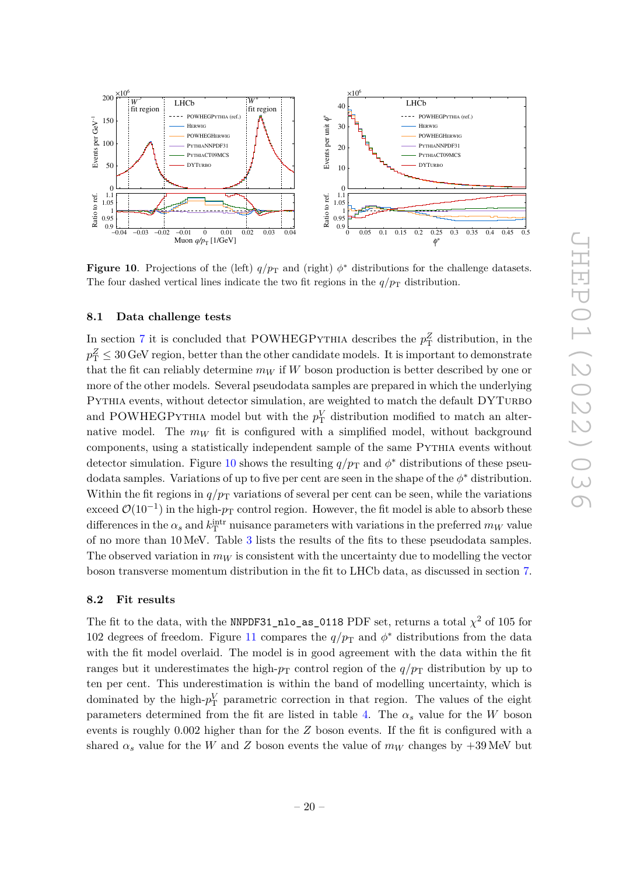

<span id="page-20-2"></span>**Figure 10**. Projections of the (left)  $q/p<sub>T</sub>$  and (right)  $\phi^*$  distributions for the challenge datasets. The four dashed vertical lines indicate the two fit regions in the  $q/p<sub>T</sub>$  distribution.

#### <span id="page-20-0"></span>**8.1 Data challenge tests**

In section [7](#page-13-0) it is concluded that POWHEGPYTHIA describes the  $p_T^Z$  distribution, in the  $p_{\rm T}^Z \leq 30\,\text{GeV}$  region, better than the other candidate models. It is important to demonstrate that the fit can reliably determine  $m_W$  if W boson production is better described by one or more of the other models. Several pseudodata samples are prepared in which the underlying PYTHIA events, without detector simulation, are weighted to match the default DYTURBO and POWHEGPYTHIA model but with the  $p_T^V$  distribution modified to match an alternative model. The  $m_W$  fit is configured with a simplified model, without background components, using a statistically independent sample of the same Pythia events without detector simulation. Figure [10](#page-20-2) shows the resulting  $q/p<sub>T</sub>$  and  $\phi^*$  distributions of these pseudodata samples. Variations of up to five per cent are seen in the shape of the  $\phi^*$  distribution. Within the fit regions in  $q/p<sub>T</sub>$  variations of several per cent can be seen, while the variations exceed  $\mathcal{O}(10^{-1})$  in the high- $p_T$  control region. However, the fit model is able to absorb these differences in the  $\alpha_s$  and  $k_{\text{T}}^{\text{intr}}$  nuisance parameters with variations in the preferred  $m_W$  value of no more than 10 MeV. Table [3](#page-21-0) lists the results of the fits to these pseudodata samples. The observed variation in  $m_W$  is consistent with the uncertainty due to modelling the vector boson transverse momentum distribution in the fit to LHCb data, as discussed in section [7.](#page-13-0)

#### <span id="page-20-1"></span>**8.2 Fit results**

The fit to the data, with the <code>NNPDF31\_nlo\_as\_0118</code> PDF set, returns a total  $\chi^2$  of 105 for 102 degrees of freedom. Figure [11](#page-22-1) compares the  $q/p<sub>T</sub>$  and  $\phi^*$  distributions from the data with the fit model overlaid. The model is in good agreement with the data within the fit ranges but it underestimates the high- $p<sub>T</sub>$  control region of the  $q/p<sub>T</sub>$  distribution by up to ten per cent. This underestimation is within the band of modelling uncertainty, which is dominated by the high- $p_T^V$  parametric correction in that region. The values of the eight parameters determined from the fit are listed in table [4.](#page-21-1) The  $\alpha_s$  value for the *W* boson events is roughly 0*.*002 higher than for the *Z* boson events. If the fit is configured with a shared  $\alpha_s$  value for the *W* and *Z* boson events the value of  $m_W$  changes by +39 MeV but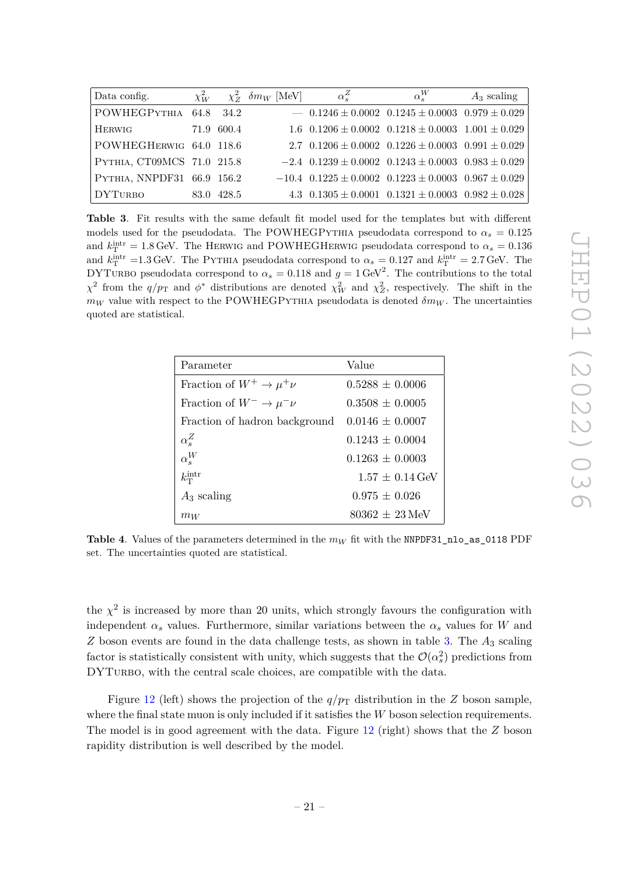| Data config.               |            | $\chi^2_W$ $\chi^2_Z$ $\delta m_W$ [MeV] | $\alpha_s^Z$ | $\alpha_{\rm s}^{W}$                                               | $A_3$ scaling |
|----------------------------|------------|------------------------------------------|--------------|--------------------------------------------------------------------|---------------|
| POWHEGPYTHIA 64.8 34.2     |            |                                          |              | $-0.1246 \pm 0.0002 \quad 0.1245 \pm 0.0003 \quad 0.979 \pm 0.029$ |               |
| <b>HERWIG</b>              | 71.9 600.4 |                                          |              | 1.6 $0.1206 \pm 0.0002$ $0.1218 \pm 0.0003$ $1.001 \pm 0.029$      |               |
| POWHEGHERWIG 64.0 118.6    |            |                                          |              | 2.7 $0.1206 \pm 0.0002$ $0.1226 \pm 0.0003$ $0.991 \pm 0.029$      |               |
| PYTHIA, CT09MCS 71.0 215.8 |            |                                          |              | $-2.4$ 0.1239 ± 0.0002 0.1243 ± 0.0003 0.983 ± 0.029               |               |
| PYTHIA, NNPDF31 66.9 156.2 |            |                                          |              | $-10.4$ 0.1225 $\pm$ 0.0002 0.1223 $\pm$ 0.0003 0.967 $\pm$ 0.029  |               |
| DYTURBO                    | 83.0 428.5 |                                          |              | 4.3 $0.1305 \pm 0.0001$ $0.1321 \pm 0.0003$ $0.982 \pm 0.028$      |               |

<span id="page-21-0"></span>**Table 3**. Fit results with the same default fit model used for the templates but with different models used for the pseudodata. The POWHEGPYTHIA pseudodata correspond to  $\alpha_s = 0.125$ and  $k_{\text{T}}^{\text{intr}} = 1.8 \,\text{GeV}$ . The HERWIG and POWHEGHERWIG pseudodata correspond to  $\alpha_s = 0.136$ and  $k_{\text{T}}^{\text{intr}} = 1.3 \text{ GeV}$ . The PYTHIA pseudodata correspond to  $\alpha_s = 0.127$  and  $k_{\text{T}}^{\text{intr}} = 2.7 \text{ GeV}$ . The DYTURBO pseudodata correspond to  $\alpha_s = 0.118$  and  $g = 1 \text{ GeV}^2$ . The contributions to the total  $\chi^2$  from the  $q/p_T$  and  $\phi^*$  distributions are denoted  $\chi^2_W$  and  $\chi^2_Z$ , respectively. The shift in the  $m_W$  value with respect to the POWHEGPYTHIA pseudodata is denoted  $\delta m_W$ . The uncertainties quoted are statistical.

| Parameter                              | Value                      |
|----------------------------------------|----------------------------|
| Fraction of $W^+ \rightarrow \mu^+\nu$ | $0.5288 \pm 0.0006$        |
| Fraction of $W^- \to \mu^- \nu$        | $0.3508 \pm 0.0005$        |
| Fraction of hadron background          | $0.0146 \pm 0.0007$        |
| $\alpha_s^Z$                           | $0.1243 + 0.0004$          |
| $\alpha_s^W$                           | $0.1263 \pm 0.0003$        |
| $k_{\rm T}^{\rm intr}$                 | $1.57 + 0.14 \,\text{GeV}$ |
| $A_3$ scaling                          | $0.975 + 0.026$            |
| $m_W$                                  | $80362 \pm 23$ MeV         |

<span id="page-21-1"></span>**Table 4**. Values of the parameters determined in the *m<sup>W</sup>* fit with the NNPDF31\_nlo\_as\_0118 PDF set. The uncertainties quoted are statistical.

the  $\chi^2$  is increased by more than 20 units, which strongly favours the configuration with independent  $\alpha_s$  values. Furthermore, similar variations between the  $\alpha_s$  values for *W* and *Z* boson events are found in the data challenge tests, as shown in table [3.](#page-21-0) The *A*<sup>3</sup> scaling factor is statistically consistent with unity, which suggests that the  $\mathcal{O}(\alpha_s^2)$  predictions from DYTURBO, with the central scale choices, are compatible with the data.

Figure [12](#page-22-2) (left) shows the projection of the  $q/p<sub>T</sub>$  distribution in the *Z* boson sample, where the final state muon is only included if it satisfies the *W* boson selection requirements. The model is in good agreement with the data. Figure [12](#page-22-2) (right) shows that the *Z* boson rapidity distribution is well described by the model.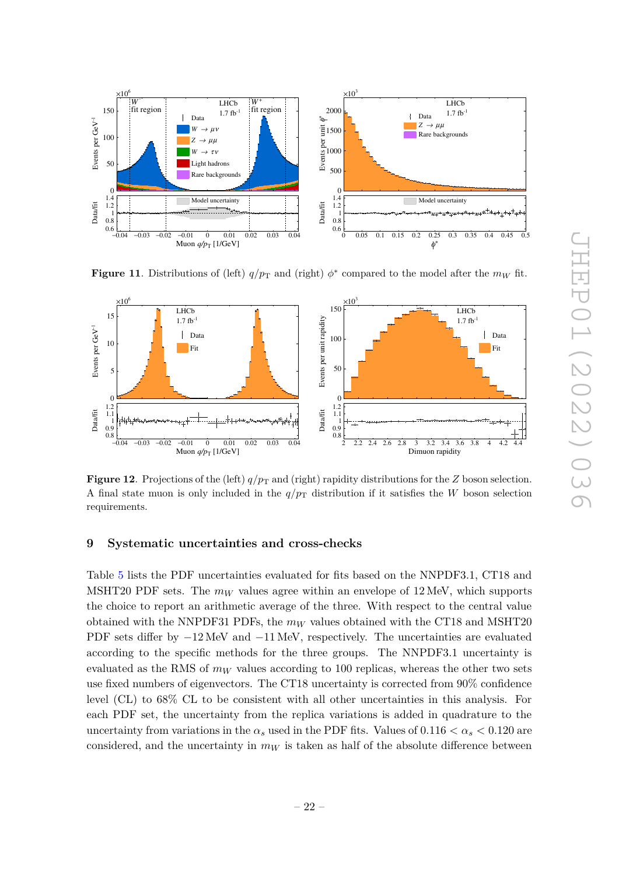

<span id="page-22-1"></span>**Figure 11**. Distributions of (left)  $q/p<sub>T</sub>$  and (right)  $\phi^*$  compared to the model after the  $m<sub>W</sub>$  fit.



<span id="page-22-2"></span>**Figure 12.** Projections of the (left)  $q/p<sub>T</sub>$  and (right) rapidity distributions for the *Z* boson selection. A final state muon is only included in the  $q/p<sub>T</sub>$  distribution if it satisfies the *W* boson selection requirements.

#### <span id="page-22-0"></span>**9 Systematic uncertainties and cross-checks**

Table [5](#page-23-0) lists the PDF uncertainties evaluated for fits based on the NNPDF3.1, CT18 and MSHT20 PDF sets. The  $m_W$  values agree within an envelope of  $12 \text{ MeV}$ , which supports the choice to report an arithmetic average of the three. With respect to the central value obtained with the NNPDF31 PDFs, the *m<sup>W</sup>* values obtained with the CT18 and MSHT20 PDF sets differ by  $-12 \text{ MeV}$  and  $-11 \text{ MeV}$ , respectively. The uncertainties are evaluated according to the specific methods for the three groups. The NNPDF3.1 uncertainty is evaluated as the RMS of  $m_W$  values according to 100 replicas, whereas the other two sets use fixed numbers of eigenvectors. The CT18 uncertainty is corrected from 90% confidence level (CL) to 68% CL to be consistent with all other uncertainties in this analysis. For each PDF set, the uncertainty from the replica variations is added in quadrature to the uncertainty from variations in the  $\alpha_s$  used in the PDF fits. Values of 0.116  $\lt \alpha_s \lt 0.120$  are considered, and the uncertainty in *m<sup>W</sup>* is taken as half of the absolute difference between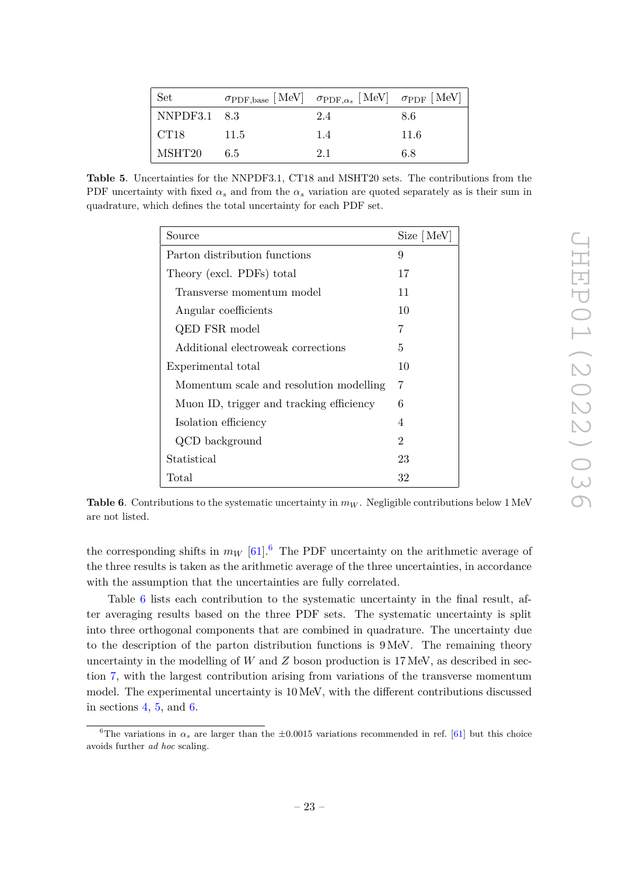| Set                  | $\sigma_{\text{PDF,base}}$ [MeV] $\sigma_{\text{PDF},\alpha_s}$ [MeV] $\sigma_{\text{PDF}}$ [MeV] |     |      |
|----------------------|---------------------------------------------------------------------------------------------------|-----|------|
| $\vert$ NNPDF3.1 8.3 |                                                                                                   | 2.4 | 8.6  |
| CT18                 | 11.5                                                                                              | 1.4 | 11.6 |
| MSHT20               | 6.5                                                                                               | 2.1 | 6.8  |

<span id="page-23-0"></span>**Table 5**. Uncertainties for the NNPDF3.1, CT18 and MSHT20 sets. The contributions from the PDF uncertainty with fixed  $\alpha_s$  and from the  $\alpha_s$  variation are quoted separately as is their sum in quadrature, which defines the total uncertainty for each PDF set.

| Source                                   | Size [MeV]     |
|------------------------------------------|----------------|
| Parton distribution functions            | 9              |
| Theory (excl. PDFs) total                | 17             |
| Transverse momentum model                | 11             |
| Angular coefficients                     | 10             |
| QED FSR model                            | 7              |
| Additional electroweak corrections       | 5              |
| Experimental total                       | 10             |
| Momentum scale and resolution modelling  | 7              |
| Muon ID, trigger and tracking efficiency | 6              |
| Isolation efficiency                     | 4              |
| QCD background                           | $\overline{2}$ |
| Statistical                              | 23             |
| Total                                    | 32             |

<span id="page-23-2"></span>**Table 6.** Contributions to the systematic uncertainty in  $m_W$ . Negligible contributions below 1 MeV are not listed.

the corresponding shifts in  $m_W$  [\[61\]](#page-31-2).<sup>[6](#page-23-1)</sup> The PDF uncertainty on the arithmetic average of the three results is taken as the arithmetic average of the three uncertainties, in accordance with the assumption that the uncertainties are fully correlated.

Table [6](#page-23-2) lists each contribution to the systematic uncertainty in the final result, after averaging results based on the three PDF sets. The systematic uncertainty is split into three orthogonal components that are combined in quadrature. The uncertainty due to the description of the parton distribution functions is 9 MeV. The remaining theory uncertainty in the modelling of *W* and *Z* boson production is 17 MeV, as described in section [7,](#page-13-0) with the largest contribution arising from variations of the transverse momentum model. The experimental uncertainty is 10 MeV, with the different contributions discussed in sections  $4, 5$  $4, 5$ , and  $6$ .

<span id="page-23-1"></span><sup>&</sup>lt;sup>6</sup>The variations in  $\alpha_s$  are larger than the  $\pm 0.0015$  variations recommended in ref. [\[61\]](#page-31-2) but this choice avoids further *ad hoc* scaling.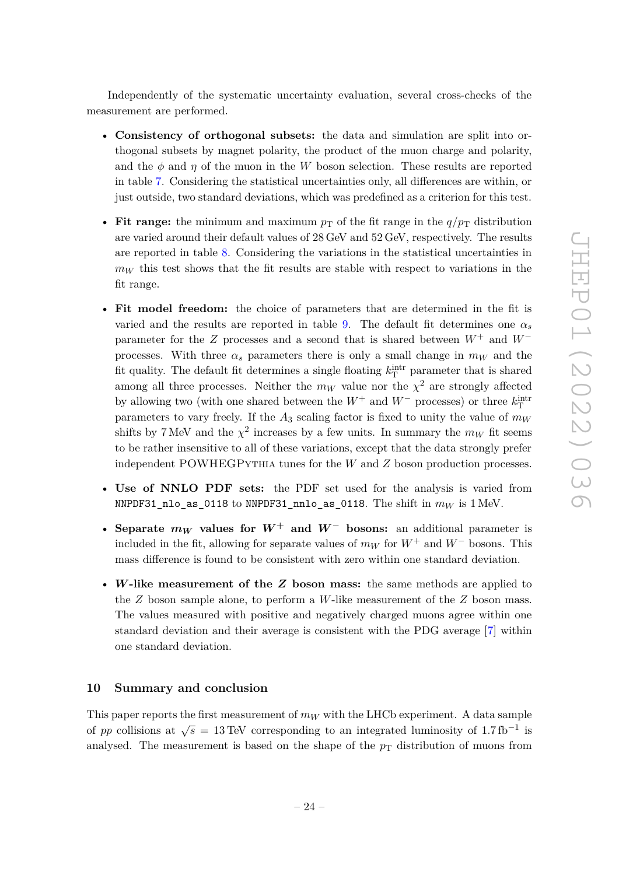Independently of the systematic uncertainty evaluation, several cross-checks of the measurement are performed.

- **Consistency of orthogonal subsets:** the data and simulation are split into orthogonal subsets by magnet polarity, the product of the muon charge and polarity, and the  $\phi$  and  $\eta$  of the muon in the *W* boson selection. These results are reported in table [7.](#page-25-0) Considering the statistical uncertainties only, all differences are within, or just outside, two standard deviations, which was predefined as a criterion for this test.
- **Fit range:** the minimum and maximum  $p<sub>T</sub>$  of the fit range in the  $q/p<sub>T</sub>$  distribution are varied around their default values of 28 GeV and 52 GeV, respectively. The results are reported in table [8.](#page-25-1) Considering the variations in the statistical uncertainties in *m<sup>W</sup>* this test shows that the fit results are stable with respect to variations in the fit range.
- **Fit model freedom:** the choice of parameters that are determined in the fit is varied and the results are reported in table [9.](#page-25-2) The default fit determines one  $\alpha_s$ parameter for the *Z* processes and a second that is shared between *W*<sup>+</sup> and *W*<sup>−</sup> processes. With three  $\alpha_s$  parameters there is only a small change in  $m_W$  and the fit quality. The default fit determines a single floating  $k_{\text{T}}^{\text{intr}}$  parameter that is shared among all three processes. Neither the  $m_W$  value nor the  $\chi^2$  are strongly affected by allowing two (with one shared between the  $W^+$  and  $W^-$  processes) or three  $k_{\rm T}^{\rm intr}$ parameters to vary freely. If the  $A_3$  scaling factor is fixed to unity the value of  $m_W$ shifts by 7 MeV and the  $\chi^2$  increases by a few units. In summary the  $m_W$  fit seems to be rather insensitive to all of these variations, except that the data strongly prefer independent POWHEGPythia tunes for the *W* and *Z* boson production processes.
- **Use of NNLO PDF sets:** the PDF set used for the analysis is varied from  $NNPDF31_1$ nlo\_as\_0118 to  $NNPDF31_1$ nnlo\_as\_0118. The shift in  $m_W$  is 1 MeV.
- Separate  $m_W$  values for  $W^+$  and  $W^-$  bosons: an additional parameter is included in the fit, allowing for separate values of  $m_W$  for  $W^+$  and  $W^-$  bosons. This mass difference is found to be consistent with zero within one standard deviation.
- *W***-like measurement of the** *Z* **boson mass:** the same methods are applied to the *Z* boson sample alone, to perform a *W*-like measurement of the *Z* boson mass. The values measured with positive and negatively charged muons agree within one standard deviation and their average is consistent with the PDG average [\[7\]](#page-28-2) within one standard deviation.

#### <span id="page-24-0"></span>**10 Summary and conclusion**

This paper reports the first measurement of  $m_W$  with the LHCb experiment. A data sample of *pp* collisions at  $\sqrt{s} = 13 \text{ TeV}$  corresponding to an integrated luminosity of 1.7 fb<sup>-1</sup> is analysed. The measurement is based on the shape of the  $p<sub>T</sub>$  distribution of muons from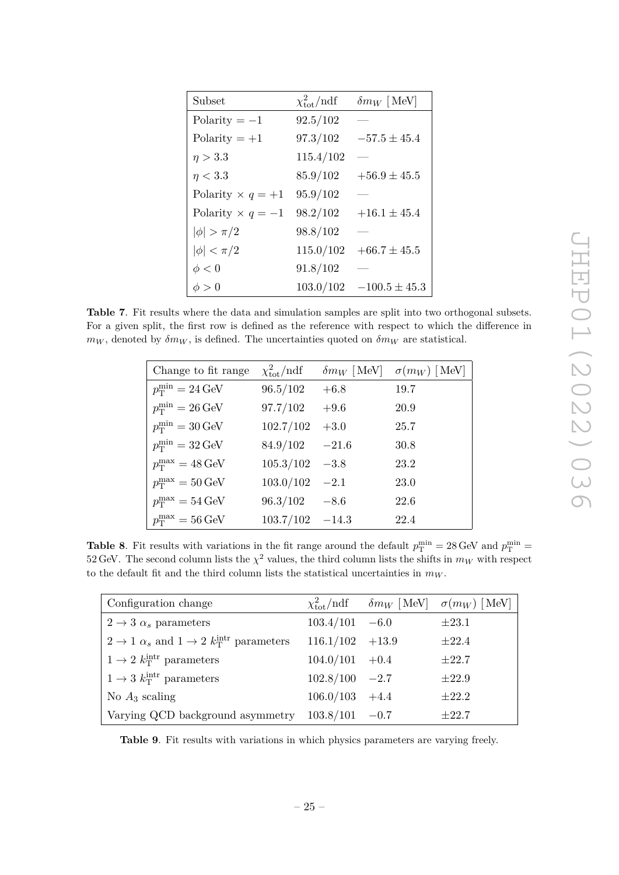| Subset                   | $\chi^2_{\rm tot}/\rm{ndf}$ | $\delta m_W$ [MeV] |
|--------------------------|-----------------------------|--------------------|
| Polarity $=-1$           | 92.5/102                    |                    |
| Polarity $= +1$          | 97.3/102                    | $-57.5 \pm 45.4$   |
| $\eta > 3.3$             | 115.4/102                   |                    |
| $\eta < 3.3$             | 85.9/102                    | $+56.9 \pm 45.5$   |
| Polarity $\times q = +1$ | 95.9/102                    |                    |
| Polarity $\times q = -1$ | 98.2/102                    | $+16.1 \pm 45.4$   |
| $ \phi  > \pi/2$         | 98.8/102                    |                    |
| $ \phi  < \pi/2$         | 115.0/102                   | $+66.7 \pm 45.5$   |
| $\phi < 0$               | 91.8/102                    |                    |
| $\phi > 0$               | 103.0/102                   | $-100.5 \pm 45.3$  |

<span id="page-25-0"></span>**Table 7**. Fit results where the data and simulation samples are split into two orthogonal subsets. For a given split, the first row is defined as the reference with respect to which the difference in  $m_W$ , denoted by  $\delta m_W$ , is defined. The uncertainties quoted on  $\delta m_W$  are statistical.

| Change to fit range                    | $\chi^2_{\rm tot}/\rm{ndf}$ |        | $\delta m_W$ [MeV] $\sigma(m_W)$ [MeV] |
|----------------------------------------|-----------------------------|--------|----------------------------------------|
| $p_{\rm T}^{\rm min} = 24\,\text{GeV}$ | 96.5/102                    | $+6.8$ | 19.7                                   |
| $p_{\rm T}^{\rm min} = 26\,\text{GeV}$ | 97.7/102                    | $+9.6$ | 20.9                                   |
| $p_T^{\min} = 30 \,\text{GeV}$         | 102.7/102                   | $+3.0$ | 25.7                                   |
| $p_T^{\min} = 32 \,\text{GeV}$         | $84.9/102$ $-21.6$          |        | 30.8                                   |
| $p_T^{\text{max}} = 48 \,\text{GeV}$   | 105.3/102                   | $-3.8$ | 23.2                                   |
| $p_T^{\text{max}} = 50 \,\text{GeV}$   | 103.0/102                   | $-2.1$ | 23.0                                   |
| $p_T^{\text{max}} = 54 \,\text{GeV}$   | $96.3/102 -8.6$             |        | 22.6                                   |
| $p_T^{\text{max}} = 56 \,\text{GeV}$   | $103.7/102 -14.3$           |        | 22.4                                   |

<span id="page-25-1"></span>**Table 8**. Fit results with variations in the fit range around the default  $p_T^{\min} = 28 \text{ GeV}$  and  $p_T^{\min} =$ 52 GeV. The second column lists the  $\chi^2$  values, the third column lists the shifts in  $m_W$  with respect to the default fit and the third column lists the statistical uncertainties in  $m_W$ .

| Configuration change                                                                 |                   | $\chi^2_{\text{tot}}/\text{ndf}$ $\delta m_W$ [MeV] $\sigma(m_W)$ [MeV] |
|--------------------------------------------------------------------------------------|-------------------|-------------------------------------------------------------------------|
| $2 \rightarrow 3 \alpha_s$ parameters                                                | $103.4/101 -6.0$  | $\pm 23.1$                                                              |
| $2 \rightarrow 1 \ \alpha_s$ and $1 \rightarrow 2 \ k_{\rm T}^{\rm intr}$ parameters | $116.1/102 +13.9$ | $\pm 22.4$                                                              |
| $1 \rightarrow 2 \; k_{\rm T}^{\rm intr}$ parameters                                 | $104.0/101 + 0.4$ | $\pm 22.7$                                                              |
| $1 \rightarrow 3 \; k_{\rm T}^{\rm intr}$ parameters                                 | $102.8/100 -2.7$  | $\pm 22.9$                                                              |
| No $A_3$ scaling                                                                     | $106.0/103 +4.4$  | $\pm 22.2$                                                              |
| Varying QCD background asymmetry                                                     | $103.8/101 -0.7$  | $\pm 22.7$                                                              |

<span id="page-25-2"></span>**Table 9**. Fit results with variations in which physics parameters are varying freely.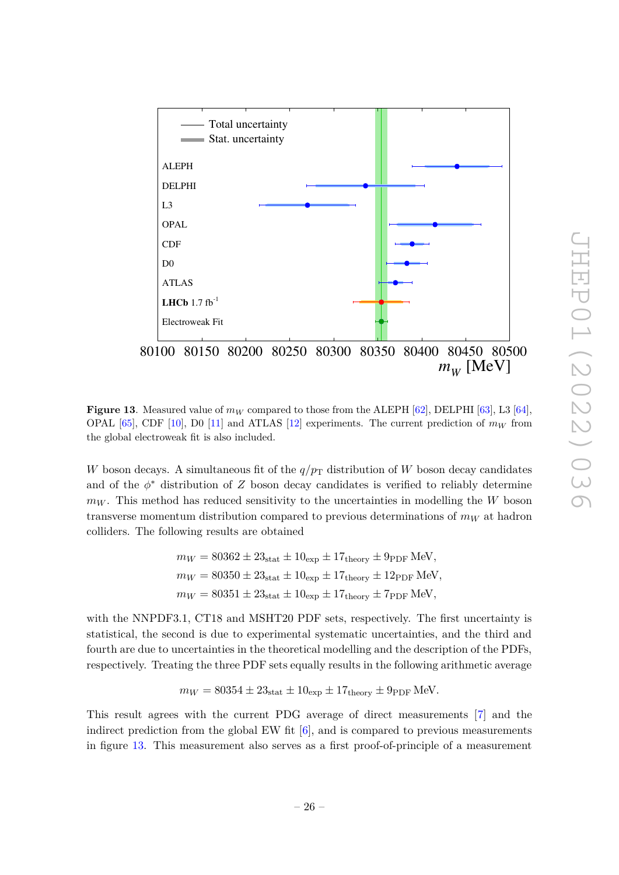

<span id="page-26-0"></span>**Figure 13.** Measured value of  $m_W$  compared to those from the ALEPH [\[62\]](#page-31-3), DELPHI [\[63\]](#page-31-4), L3 [\[64\]](#page-31-5), OPAL  $[65]$ , CDF  $[10]$ , D0  $[11]$  and ATLAS  $[12]$  experiments. The current prediction of  $m_W$  from the global electroweak fit is also included.

*W* boson decays. A simultaneous fit of the  $q/p<sub>T</sub>$  distribution of *W* boson decay candidates and of the  $\phi^*$  distribution of *Z* boson decay candidates is verified to reliably determine  $m_W$ . This method has reduced sensitivity to the uncertainties in modelling the *W* boson transverse momentum distribution compared to previous determinations of  $m_W$  at hadron colliders. The following results are obtained

$$
m_W = 80362 \pm 23_{\text{stat}} \pm 10_{\text{exp}} \pm 17_{\text{theory}} \pm 9_{\text{PDF}} \text{MeV},
$$
  
\n
$$
m_W = 80350 \pm 23_{\text{stat}} \pm 10_{\text{exp}} \pm 17_{\text{theory}} \pm 12_{\text{PDF}} \text{MeV},
$$
  
\n
$$
m_W = 80351 \pm 23_{\text{stat}} \pm 10_{\text{exp}} \pm 17_{\text{theory}} \pm 7_{\text{PDF}} \text{MeV},
$$

with the NNPDF3.1, CT18 and MSHT20 PDF sets, respectively. The first uncertainty is statistical, the second is due to experimental systematic uncertainties, and the third and fourth are due to uncertainties in the theoretical modelling and the description of the PDFs, respectively. Treating the three PDF sets equally results in the following arithmetic average

$$
m_W = 80354 \pm 23_{\text{stat}} \pm 10_{\text{exp}} \pm 17_{\text{theory}} \pm 9_{\text{PDF}} \text{MeV}.
$$

This result agrees with the current PDG average of direct measurements [\[7\]](#page-28-2) and the indirect prediction from the global EW fit  $[6]$ , and is compared to previous measurements in figure [13.](#page-26-0) This measurement also serves as a first proof-of-principle of a measurement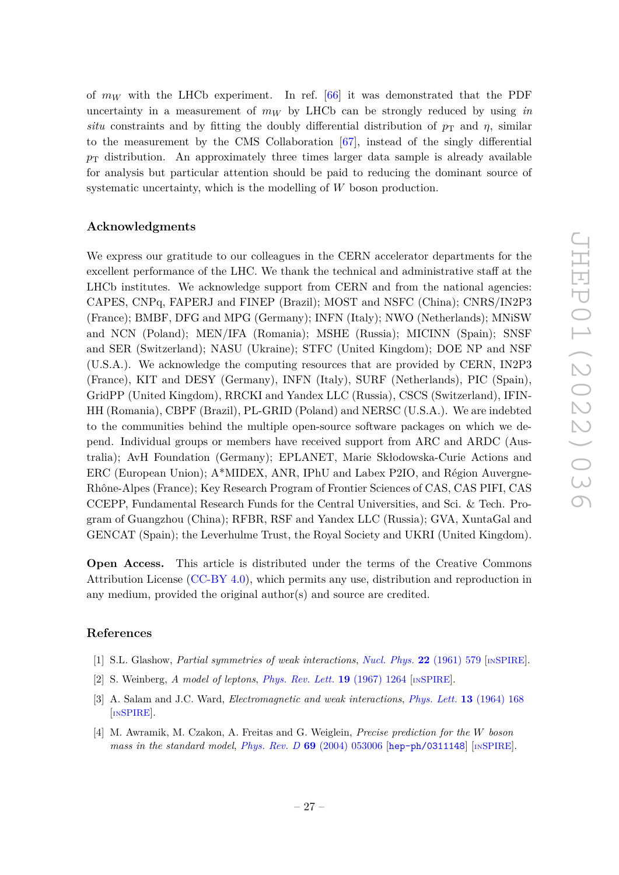of  $m_W$  with the LHCb experiment. In ref. [\[66\]](#page-31-7) it was demonstrated that the PDF uncertainty in a measurement of *m<sup>W</sup>* by LHCb can be strongly reduced by using *in situ* constraints and by fitting the doubly differential distribution of  $p<sub>T</sub>$  and  $\eta$ , similar to the measurement by the CMS Collaboration [\[67\]](#page-31-8), instead of the singly differential  $p<sub>T</sub>$  distribution. An approximately three times larger data sample is already available for analysis but particular attention should be paid to reducing the dominant source of systematic uncertainty, which is the modelling of *W* boson production.

# **Acknowledgments**

We express our gratitude to our colleagues in the CERN accelerator departments for the excellent performance of the LHC. We thank the technical and administrative staff at the LHCb institutes. We acknowledge support from CERN and from the national agencies: CAPES, CNPq, FAPERJ and FINEP (Brazil); MOST and NSFC (China); CNRS/IN2P3 (France); BMBF, DFG and MPG (Germany); INFN (Italy); NWO (Netherlands); MNiSW and NCN (Poland); MEN/IFA (Romania); MSHE (Russia); MICINN (Spain); SNSF and SER (Switzerland); NASU (Ukraine); STFC (United Kingdom); DOE NP and NSF (U.S.A.). We acknowledge the computing resources that are provided by CERN, IN2P3 (France), KIT and DESY (Germany), INFN (Italy), SURF (Netherlands), PIC (Spain), GridPP (United Kingdom), RRCKI and Yandex LLC (Russia), CSCS (Switzerland), IFIN-HH (Romania), CBPF (Brazil), PL-GRID (Poland) and NERSC (U.S.A.). We are indebted to the communities behind the multiple open-source software packages on which we depend. Individual groups or members have received support from ARC and ARDC (Australia); AvH Foundation (Germany); EPLANET, Marie Skłodowska-Curie Actions and ERC (European Union); A\*MIDEX, ANR, IPhU and Labex P2IO, and Région Auvergne-Rhône-Alpes (France); Key Research Program of Frontier Sciences of CAS, CAS PIFI, CAS CCEPP, Fundamental Research Funds for the Central Universities, and Sci. & Tech. Program of Guangzhou (China); RFBR, RSF and Yandex LLC (Russia); GVA, XuntaGal and GENCAT (Spain); the Leverhulme Trust, the Royal Society and UKRI (United Kingdom).

**Open Access.** This article is distributed under the terms of the Creative Commons Attribution License [\(CC-BY 4.0\)](https://creativecommons.org/licenses/by/4.0/), which permits any use, distribution and reproduction in any medium, provided the original author(s) and source are credited.

# **References**

- <span id="page-27-0"></span>[1] S.L. Glashow, *Partial symmetries of weak interactions*, *[Nucl. Phys.](https://doi.org/10.1016/0029-5582(61)90469-2)* **22** (1961) 579 [IN[SPIRE](https://inspirehep.net/search?p=find+J%20%22Nucl.Phys.%2C22%2C579%22)].
- [2] S. Weinberg, *A model of leptons*, *[Phys. Rev. Lett.](https://doi.org/10.1103/PhysRevLett.19.1264)* **19** (1967) 1264 [IN[SPIRE](https://inspirehep.net/search?p=find+J%20%22Phys.Rev.Lett.%2C19%2C1264%22)].
- <span id="page-27-1"></span>[3] A. Salam and J.C. Ward, *Electromagnetic and weak interactions*, *[Phys. Lett.](https://doi.org/10.1016/0031-9163(64)90711-5)* **13** (1964) 168 [IN[SPIRE](https://inspirehep.net/search?p=find+J%20%22Phys.Lett.%2C13%2C168%22)].
- <span id="page-27-2"></span>[4] M. Awramik, M. Czakon, A. Freitas and G. Weiglein, *Precise prediction for the W boson mass in the standard model*, *Phys. Rev. D* **69** [\(2004\) 053006](https://doi.org/10.1103/PhysRevD.69.053006) [[hep-ph/0311148](https://arxiv.org/abs/hep-ph/0311148)] [IN[SPIRE](https://inspirehep.net/search?p=find+EPRINT%2Bhep-ph%2F0311148)].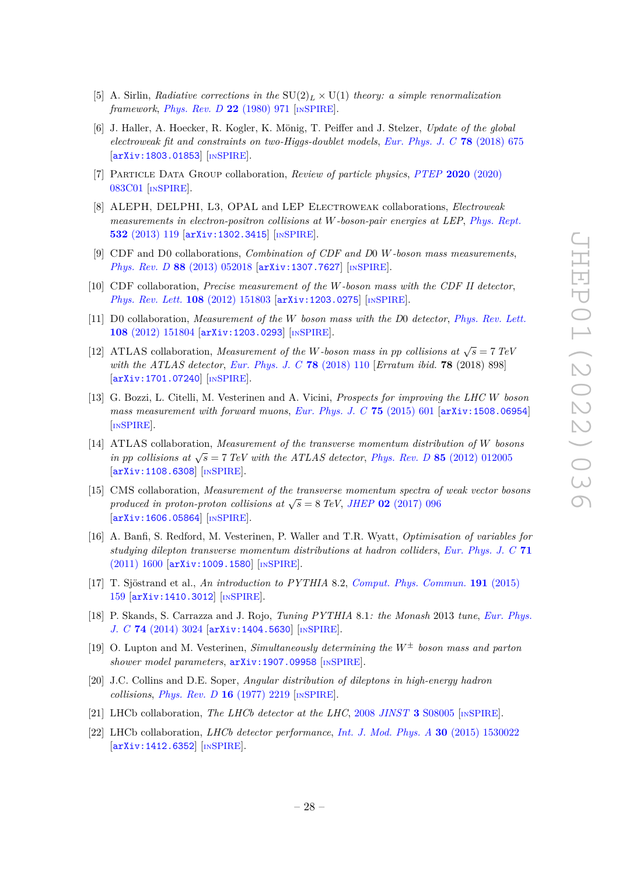- <span id="page-28-0"></span>[5] A. Sirlin, *Radiative corrections in the*  $SU(2)_L \times U(1)$  *theory: a simple renormalization framework*, *[Phys. Rev. D](https://doi.org/10.1103/PhysRevD.22.971)* **22** (1980) 971 [IN[SPIRE](https://inspirehep.net/search?p=find+J%20%22Phys.Rev.%2CD22%2C971%22)].
- <span id="page-28-1"></span>[6] J. Haller, A. Hoecker, R. Kogler, K. Mönig, T. Peiffer and J. Stelzer, *Update of the global electroweak fit and constraints on two-Higgs-doublet models*, *[Eur. Phys. J. C](https://doi.org/10.1140/epjc/s10052-018-6131-3)* **78** (2018) 675 [[arXiv:1803.01853](https://arxiv.org/abs/1803.01853)] [IN[SPIRE](https://inspirehep.net/search?p=find+EPRINT%2BarXiv%3A1803.01853)].
- <span id="page-28-2"></span>[7] Particle Data Group collaboration, *Review of particle physics*, *PTEP* **2020** [\(2020\)](https://doi.org/10.1093/ptep/ptaa104) [083C01](https://doi.org/10.1093/ptep/ptaa104) [IN[SPIRE](https://inspirehep.net/search?p=find+J%20%22PTEP%2C2020%2C083C01%22)].
- <span id="page-28-3"></span>[8] ALEPH, DELPHI, L3, OPAL and LEP Electroweak collaborations, *Electroweak measurements in electron-positron collisions at W-boson-pair energies at LEP*, *[Phys. Rept.](https://doi.org/10.1016/j.physrep.2013.07.004)* **532** [\(2013\) 119](https://doi.org/10.1016/j.physrep.2013.07.004) [[arXiv:1302.3415](https://arxiv.org/abs/1302.3415)] [IN[SPIRE](https://inspirehep.net/search?p=find+EPRINT%2BarXiv%3A1302.3415)].
- <span id="page-28-4"></span>[9] CDF and D0 collaborations, *Combination of CDF and D*0 *W-boson mass measurements*, *Phys. Rev. D* 88 [\(2013\) 052018](https://doi.org/10.1103/PhysRevD.88.052018) [[arXiv:1307.7627](https://arxiv.org/abs/1307.7627)] [IN[SPIRE](https://inspirehep.net/search?p=find+EPRINT%2BarXiv%3A1307.7627)].
- <span id="page-28-5"></span>[10] CDF collaboration, *Precise measurement of the W-boson mass with the CDF II detector*, *[Phys. Rev. Lett.](https://doi.org/10.1103/PhysRevLett.108.151803)* **108** (2012) 151803 [[arXiv:1203.0275](https://arxiv.org/abs/1203.0275)] [IN[SPIRE](https://inspirehep.net/search?p=find+EPRINT%2BarXiv%3A1203.0275)].
- <span id="page-28-6"></span>[11] D0 collaboration, *Measurement of the W boson mass with the D*0 *detector*, *[Phys. Rev. Lett.](https://doi.org/10.1103/PhysRevLett.108.151804)* **108** [\(2012\) 151804](https://doi.org/10.1103/PhysRevLett.108.151804) [[arXiv:1203.0293](https://arxiv.org/abs/1203.0293)] [IN[SPIRE](https://inspirehep.net/search?p=find+EPRINT%2BarXiv%3A1203.0293)].
- <span id="page-28-7"></span>[12] ATLAS collaboration, *Measurement of the W*-boson mass in pp collisions at  $\sqrt{s} = 7$  TeV *with the ATLAS detector*, *[Eur. Phys. J. C](https://doi.org/10.1140/epjc/s10052-017-5475-4)* **78** (2018) 110 [*Erratum ibid.* **78** (2018) 898] [[arXiv:1701.07240](https://arxiv.org/abs/1701.07240)] [IN[SPIRE](https://inspirehep.net/search?p=find+EPRINT%2BarXiv%3A1701.07240)].
- <span id="page-28-8"></span>[13] G. Bozzi, L. Citelli, M. Vesterinen and A. Vicini, *Prospects for improving the LHC W boson mass measurement with forward muons*, *[Eur. Phys. J. C](https://doi.org/10.1140/epjc/s10052-015-3810-1)* **75** (2015) 601 [[arXiv:1508.06954](https://arxiv.org/abs/1508.06954)] [IN[SPIRE](https://inspirehep.net/search?p=find+EPRINT%2BarXiv%3A1508.06954)].
- <span id="page-28-9"></span>[14] ATLAS collaboration, *Measurement of the transverse momentum distribution of W bosons in pp* collisions at  $\sqrt{s} = 7$  *TeV with the ATLAS detector, Phys. Rev. D* **85** [\(2012\) 012005](https://doi.org/10.1103/PhysRevD.85.012005) [[arXiv:1108.6308](https://arxiv.org/abs/1108.6308)] [IN[SPIRE](https://inspirehep.net/search?p=find+EPRINT%2BarXiv%3A1108.6308)].
- <span id="page-28-10"></span>[15] CMS collaboration, *Measurement of the transverse momentum spectra of weak vector bosons produced in proton-proton collisions at*  $\sqrt{s} = 8$  *TeV*, *JHEP* **02** [\(2017\) 096](https://doi.org/10.1007/JHEP02(2017)096) [[arXiv:1606.05864](https://arxiv.org/abs/1606.05864)] [IN[SPIRE](https://inspirehep.net/search?p=find+EPRINT%2BarXiv%3A1606.05864)].
- <span id="page-28-11"></span>[16] A. Banfi, S. Redford, M. Vesterinen, P. Waller and T.R. Wyatt, *Optimisation of variables for studying dilepton transverse momentum distributions at hadron colliders*, *[Eur. Phys. J. C](https://doi.org/10.1140/epjc/s10052-011-1600-y)* **71** [\(2011\) 1600](https://doi.org/10.1140/epjc/s10052-011-1600-y) [[arXiv:1009.1580](https://arxiv.org/abs/1009.1580)] [IN[SPIRE](https://inspirehep.net/search?p=find+EPRINT%2BarXiv%3A1009.1580)].
- <span id="page-28-12"></span>[17] T. Sjöstrand et al., *An introduction to PYTHIA* 8*.*2, *[Comput. Phys. Commun.](https://doi.org/10.1016/j.cpc.2015.01.024)* **191** (2015) [159](https://doi.org/10.1016/j.cpc.2015.01.024) [[arXiv:1410.3012](https://arxiv.org/abs/1410.3012)] [IN[SPIRE](https://inspirehep.net/search?p=find+EPRINT%2BarXiv%3A1410.3012)].
- <span id="page-28-13"></span>[18] P. Skands, S. Carrazza and J. Rojo, *Tuning PYTHIA* 8*.*1*: the Monash* 2013 *tune*, *[Eur. Phys.](https://doi.org/10.1140/epjc/s10052-014-3024-y) J. C* **74** [\(2014\) 3024](https://doi.org/10.1140/epjc/s10052-014-3024-y) [[arXiv:1404.5630](https://arxiv.org/abs/1404.5630)] [IN[SPIRE](https://inspirehep.net/search?p=find+EPRINT%2BarXiv%3A1404.5630)].
- <span id="page-28-14"></span>[19] O. Lupton and M. Vesterinen, *Simultaneously determining the W*<sup>±</sup> *boson mass and parton shower model parameters*, [arXiv:1907.09958](https://arxiv.org/abs/1907.09958) [IN[SPIRE](https://inspirehep.net/search?p=find+EPRINT%2BarXiv%3A1907.09958)].
- <span id="page-28-15"></span>[20] J.C. Collins and D.E. Soper, *Angular distribution of dileptons in high-energy hadron collisions*, *[Phys. Rev. D](https://doi.org/10.1103/PhysRevD.16.2219)* **16** (1977) 2219 [IN[SPIRE](https://inspirehep.net/search?p=find+J%20%22Phys.Rev.%2CD16%2C2219%22)].
- <span id="page-28-16"></span>[21] LHCb collaboration, *The LHCb detector at the LHC*, 2008 *JINST* **3** [S08005](https://doi.org/10.1088/1748-0221/3/08/S08005) [IN[SPIRE](https://inspirehep.net/search?p=find+J%20%22JINST%2C3%2CS08005%22)].
- <span id="page-28-17"></span>[22] LHCb collaboration, *LHCb detector performance*, *[Int. J. Mod. Phys. A](https://doi.org/10.1142/S0217751X15300227)* **30** (2015) 1530022 [[arXiv:1412.6352](https://arxiv.org/abs/1412.6352)] [IN[SPIRE](https://inspirehep.net/search?p=find+EPRINT%2BarXiv%3A1412.6352)].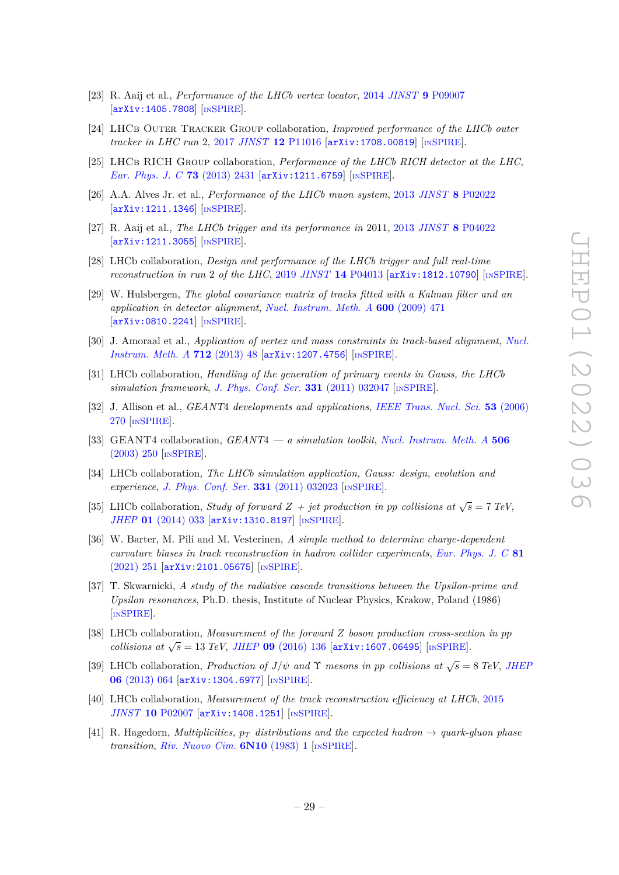- <span id="page-29-0"></span>[23] R. Aaij et al., *Performance of the LHCb vertex locator*, 2014 *JINST* **9** [P09007](https://doi.org/10.1088/1748-0221/9/09/P09007) [[arXiv:1405.7808](https://arxiv.org/abs/1405.7808)] [IN[SPIRE](https://inspirehep.net/search?p=find+EPRINT%2BarXiv%3A1405.7808)].
- <span id="page-29-1"></span>[24] LHCb Outer Tracker Group collaboration, *Improved performance of the LHCb outer tracker in LHC run* 2, 2017 *JINST* 12 [P11016](https://doi.org/10.1088/1748-0221/12/11/P11016) [[arXiv:1708.00819](https://arxiv.org/abs/1708.00819)] [IN[SPIRE](https://inspirehep.net/search?p=find+EPRINT%2BarXiv%3A1708.00819)].
- <span id="page-29-2"></span>[25] LHCB RICH GROUP collaboration, *Performance of the LHCb RICH detector at the LHC*, *[Eur. Phys. J. C](https://doi.org/10.1140/epjc/s10052-013-2431-9)* **73** (2013) 2431 [[arXiv:1211.6759](https://arxiv.org/abs/1211.6759)] [IN[SPIRE](https://inspirehep.net/search?p=find+EPRINT%2BarXiv%3A1211.6759)].
- <span id="page-29-3"></span>[26] A.A. Alves Jr. et al., *Performance of the LHCb muon system*, 2013 *JINST* **8** [P02022](https://doi.org/10.1088/1748-0221/8/02/P02022) [[arXiv:1211.1346](https://arxiv.org/abs/1211.1346)] [IN[SPIRE](https://inspirehep.net/search?p=find+EPRINT%2BarXiv%3A1211.1346)].
- <span id="page-29-4"></span>[27] R. Aaij et al., *The LHCb trigger and its performance in* 2011, 2013 *JINST* **8** [P04022](https://doi.org/10.1088/1748-0221/8/04/P04022) [[arXiv:1211.3055](https://arxiv.org/abs/1211.3055)] [IN[SPIRE](https://inspirehep.net/search?p=find+EPRINT%2BarXiv%3A1211.3055)].
- <span id="page-29-5"></span>[28] LHCb collaboration, *Design and performance of the LHCb trigger and full real-time reconstruction in run* 2 *of the LHC*, 2019 *JINST* **14** [P04013](https://doi.org/10.1088/1748-0221/14/04/P04013) [[arXiv:1812.10790](https://arxiv.org/abs/1812.10790)] [IN[SPIRE](https://inspirehep.net/search?p=find+EPRINT%2BarXiv%3A1812.10790)].
- <span id="page-29-6"></span>[29] W. Hulsbergen, *The global covariance matrix of tracks fitted with a Kalman filter and an application in detector alignment*, *[Nucl. Instrum. Meth. A](https://doi.org/10.1016/j.nima.2008.11.094)* **600** (2009) 471 [[arXiv:0810.2241](https://arxiv.org/abs/0810.2241)] [IN[SPIRE](https://inspirehep.net/search?p=find+EPRINT%2BarXiv%3A0810.2241)].
- <span id="page-29-7"></span>[30] J. Amoraal et al., *Application of vertex and mass constraints in track-based alignment*, *[Nucl.](https://doi.org/10.1016/j.nima.2012.11.192) [Instrum. Meth. A](https://doi.org/10.1016/j.nima.2012.11.192)* **712** (2013) 48 [[arXiv:1207.4756](https://arxiv.org/abs/1207.4756)] [IN[SPIRE](https://inspirehep.net/search?p=find+EPRINT%2BarXiv%3A1207.4756)].
- <span id="page-29-8"></span>[31] LHCb collaboration, *Handling of the generation of primary events in Gauss, the LHCb simulation framework*, *[J. Phys. Conf. Ser.](https://doi.org/10.1088/1742-6596/331/3/032047)* **331** (2011) 032047 [IN[SPIRE](https://inspirehep.net/search?p=find+J%20%22J.Phys.Conf.Ser.%2C331%2C032047%22)].
- <span id="page-29-9"></span>[32] J. Allison et al., *GEANT*4 *developments and applications*, *[IEEE Trans. Nucl. Sci.](https://doi.org/10.1109/TNS.2006.869826)* **53** (2006) [270](https://doi.org/10.1109/TNS.2006.869826) [IN[SPIRE](https://inspirehep.net/search?p=find+J%20%22IEEE%20Trans.Nucl.Sci.%2C53%2C270%22)].
- <span id="page-29-10"></span>[33] GEANT4 collaboration, *GEANT*4 *— a simulation toolkit*, *[Nucl. Instrum. Meth. A](https://doi.org/10.1016/S0168-9002(03)01368-8)* **506** [\(2003\) 250](https://doi.org/10.1016/S0168-9002(03)01368-8) [IN[SPIRE](https://inspirehep.net/search?p=find+J%20%22Nucl.Instrum.Meth.%2CA506%2C250%22)].
- <span id="page-29-11"></span>[34] LHCb collaboration, *The LHCb simulation application, Gauss: design, evolution and experience*, *[J. Phys. Conf. Ser.](https://doi.org/10.1088/1742-6596/331/3/032023)* **331** (2011) 032023 [IN[SPIRE](https://inspirehep.net/search?p=find+J%20%22J.Phys.Conf.Ser.%2C331%2C032023%22)].
- <span id="page-29-12"></span>[35] LHCb collaboration, *Study of forward*  $Z + jet$  *production in pp collisions at*  $\sqrt{s} = 7$  *TeV*, *JHEP* **01** [\(2014\) 033](https://doi.org/10.1007/JHEP01(2014)033) [[arXiv:1310.8197](https://arxiv.org/abs/1310.8197)] [IN[SPIRE](https://inspirehep.net/search?p=find+EPRINT%2BarXiv%3A1310.8197)].
- <span id="page-29-13"></span>[36] W. Barter, M. Pili and M. Vesterinen, *A simple method to determine charge-dependent curvature biases in track reconstruction in hadron collider experiments*, *[Eur. Phys. J. C](https://doi.org/10.1140/epjc/s10052-021-09016-9)* **81** [\(2021\) 251](https://doi.org/10.1140/epjc/s10052-021-09016-9) [[arXiv:2101.05675](https://arxiv.org/abs/2101.05675)] [IN[SPIRE](https://inspirehep.net/search?p=find+EPRINT%2BarXiv%3A2101.05675)].
- <span id="page-29-14"></span>[37] T. Skwarnicki, *A study of the radiative cascade transitions between the Upsilon-prime and Upsilon resonances*, Ph.D. thesis, Institute of Nuclear Physics, Krakow, Poland (1986) [IN[SPIRE](https://inspirehep.net/search?p=find+R+DESY-F31-86-02)].
- <span id="page-29-15"></span>[38] LHCb collaboration, *Measurement of the forward Z boson production cross-section in pp collisions at*  $\sqrt{s} = 13 \text{ TeV}$ , *JHEP* **09** [\(2016\) 136](https://doi.org/10.1007/JHEP09(2016)136) [[arXiv:1607.06495](https://arxiv.org/abs/1607.06495)] [IN[SPIRE](https://inspirehep.net/search?p=find+EPRINT%2BarXiv%3A1607.06495)].
- <span id="page-29-16"></span>[39] LHCb collaboration, *Production of*  $J/\psi$  *and*  $\Upsilon$  *mesons in pp collisions at*  $\sqrt{s} = 8 \text{ TeV}$ , *JHEF* **06** [\(2013\) 064](https://doi.org/10.1007/JHEP06(2013)064) [[arXiv:1304.6977](https://arxiv.org/abs/1304.6977)] [IN[SPIRE](https://inspirehep.net/search?p=find+EPRINT%2BarXiv%3A1304.6977)].
- <span id="page-29-17"></span>[40] LHCb collaboration, *Measurement of the track reconstruction efficiency at LHCb*, [2015](https://doi.org/10.1088/1748-0221/10/02/P02007) *JINST* **10** [P02007](https://doi.org/10.1088/1748-0221/10/02/P02007) [[arXiv:1408.1251](https://arxiv.org/abs/1408.1251)] [IN[SPIRE](https://inspirehep.net/search?p=find+EPRINT%2BarXiv%3A1408.1251)].
- <span id="page-29-18"></span>[41] R. Hagedorn, *Multiplicities,*  $p_T$  *distributions and the expected hadron*  $\rightarrow$  *quark-gluon phase transition*, *[Riv. Nuovo Cim.](https://doi.org/10.1007/BF02740917)* **6N10** (1983) 1 [IN[SPIRE](https://inspirehep.net/search?p=find+J%20%22Riv.Nuovo%20Cim.%2C6N10%2C1%22)].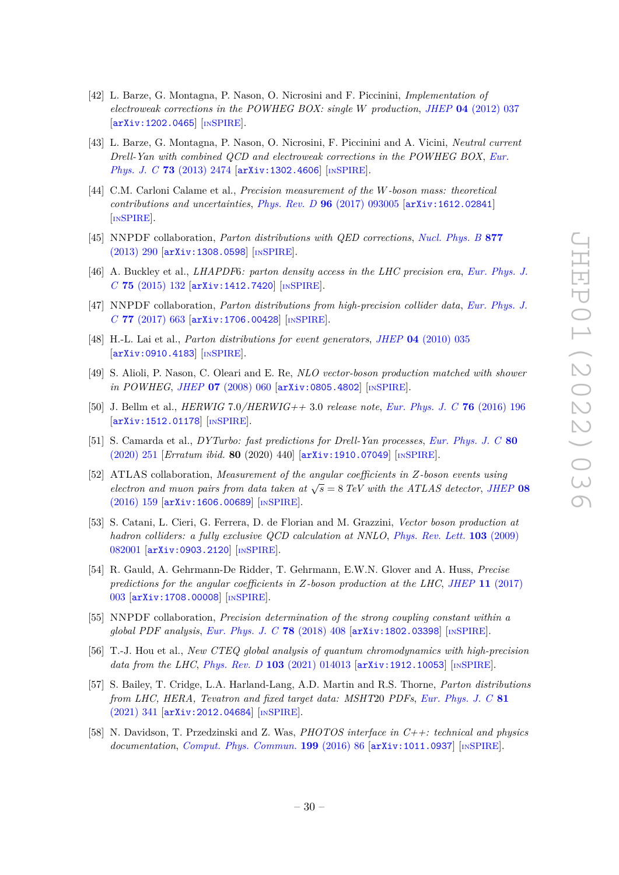- <span id="page-30-0"></span>[42] L. Barze, G. Montagna, P. Nason, O. Nicrosini and F. Piccinini, *Implementation of electroweak corrections in the POWHEG BOX: single W production*, *JHEP* **04** [\(2012\) 037](https://doi.org/10.1007/JHEP04(2012)037) [[arXiv:1202.0465](https://arxiv.org/abs/1202.0465)] [IN[SPIRE](https://inspirehep.net/search?p=find+EPRINT%2BarXiv%3A1202.0465)].
- [43] L. Barze, G. Montagna, P. Nason, O. Nicrosini, F. Piccinini and A. Vicini, *Neutral current Drell-Yan with combined QCD and electroweak corrections in the POWHEG BOX*, *[Eur.](https://doi.org/10.1140/epjc/s10052-013-2474-y) Phys. J. C* **73** [\(2013\) 2474](https://doi.org/10.1140/epjc/s10052-013-2474-y) [[arXiv:1302.4606](https://arxiv.org/abs/1302.4606)] [IN[SPIRE](https://inspirehep.net/search?p=find+EPRINT%2BarXiv%3A1302.4606)].
- <span id="page-30-1"></span>[44] C.M. Carloni Calame et al., *Precision measurement of the W-boson mass: theoretical contributions and uncertainties*, *Phys. Rev. D* **96** [\(2017\) 093005](https://doi.org/10.1103/PhysRevD.96.093005) [[arXiv:1612.02841](https://arxiv.org/abs/1612.02841)] [IN[SPIRE](https://inspirehep.net/search?p=find+EPRINT%2BarXiv%3A1612.02841)].
- <span id="page-30-2"></span>[45] NNPDF collaboration, *Parton distributions with QED corrections*, *[Nucl. Phys. B](https://doi.org/10.1016/j.nuclphysb.2013.10.010)* **877** [\(2013\) 290](https://doi.org/10.1016/j.nuclphysb.2013.10.010) [[arXiv:1308.0598](https://arxiv.org/abs/1308.0598)] [IN[SPIRE](https://inspirehep.net/search?p=find+EPRINT%2BarXiv%3A1308.0598)].
- <span id="page-30-3"></span>[46] A. Buckley et al., *LHAPDF*6*: parton density access in the LHC precision era*, *[Eur. Phys. J.](https://doi.org/10.1140/epjc/s10052-015-3318-8) C* **75** [\(2015\) 132](https://doi.org/10.1140/epjc/s10052-015-3318-8) [[arXiv:1412.7420](https://arxiv.org/abs/1412.7420)] [IN[SPIRE](https://inspirehep.net/search?p=find+EPRINT%2BarXiv%3A1412.7420)].
- <span id="page-30-4"></span>[47] NNPDF collaboration, *Parton distributions from high-precision collider data*, *[Eur. Phys. J.](https://doi.org/10.1140/epjc/s10052-017-5199-5) C* **77** [\(2017\) 663](https://doi.org/10.1140/epjc/s10052-017-5199-5) [[arXiv:1706.00428](https://arxiv.org/abs/1706.00428)] [IN[SPIRE](https://inspirehep.net/search?p=find+EPRINT%2BarXiv%3A1706.00428)].
- <span id="page-30-5"></span>[48] H.-L. Lai et al., *Parton distributions for event generators*, *JHEP* **04** [\(2010\) 035](https://doi.org/10.1007/JHEP04(2010)035) [[arXiv:0910.4183](https://arxiv.org/abs/0910.4183)] [IN[SPIRE](https://inspirehep.net/search?p=find+EPRINT%2BarXiv%3A0910.4183)].
- <span id="page-30-6"></span>[49] S. Alioli, P. Nason, C. Oleari and E. Re, *NLO vector-boson production matched with shower in POWHEG*, *JHEP* **07** [\(2008\) 060](https://doi.org/10.1088/1126-6708/2008/07/060) [[arXiv:0805.4802](https://arxiv.org/abs/0805.4802)] [IN[SPIRE](https://inspirehep.net/search?p=find+EPRINT%2BarXiv%3A0805.4802)].
- <span id="page-30-7"></span>[50] J. Bellm et al., *HERWIG* 7*.*0*/HERWIG++* 3*.*0 *release note*, *[Eur. Phys. J. C](https://doi.org/10.1140/epjc/s10052-016-4018-8)* **76** (2016) 196 [[arXiv:1512.01178](https://arxiv.org/abs/1512.01178)] [IN[SPIRE](https://inspirehep.net/search?p=find+EPRINT%2BarXiv%3A1512.01178)].
- <span id="page-30-8"></span>[51] S. Camarda et al., *DYTurbo: fast predictions for Drell-Yan processes*, *[Eur. Phys. J. C](https://doi.org/10.1140/epjc/s10052-020-7757-5)* **80** [\(2020\) 251](https://doi.org/10.1140/epjc/s10052-020-7757-5) [*Erratum ibid.* **80** (2020) 440] [[arXiv:1910.07049](https://arxiv.org/abs/1910.07049)] [IN[SPIRE](https://inspirehep.net/search?p=find+EPRINT%2BarXiv%3A1910.07049)].
- <span id="page-30-9"></span>[52] ATLAS collaboration, *Measurement of the angular coefficients in Z-boson events using electron and muon pairs from data taken at*  $\sqrt{s} = 8$  *TeV with the ATLAS detector, [JHEP](https://doi.org/10.1007/JHEP08(2016)159)* 08 [\(2016\) 159](https://doi.org/10.1007/JHEP08(2016)159) [[arXiv:1606.00689](https://arxiv.org/abs/1606.00689)] [IN[SPIRE](https://inspirehep.net/search?p=find+EPRINT%2BarXiv%3A1606.00689)].
- <span id="page-30-10"></span>[53] S. Catani, L. Cieri, G. Ferrera, D. de Florian and M. Grazzini, *Vector boson production at hadron colliders: a fully exclusive QCD calculation at NNLO*, *[Phys. Rev. Lett.](https://doi.org/10.1103/PhysRevLett.103.082001)* **103** (2009) [082001](https://doi.org/10.1103/PhysRevLett.103.082001) [[arXiv:0903.2120](https://arxiv.org/abs/0903.2120)] [IN[SPIRE](https://inspirehep.net/search?p=find+EPRINT%2BarXiv%3A0903.2120)].
- <span id="page-30-11"></span>[54] R. Gauld, A. Gehrmann-De Ridder, T. Gehrmann, E.W.N. Glover and A. Huss, *Precise predictions for the angular coefficients in Z-boson production at the LHC*, *JHEP* **11** [\(2017\)](https://doi.org/10.1007/JHEP11(2017)003) [003](https://doi.org/10.1007/JHEP11(2017)003) [[arXiv:1708.00008](https://arxiv.org/abs/1708.00008)] [IN[SPIRE](https://inspirehep.net/search?p=find+EPRINT%2BarXiv%3A1708.00008)].
- <span id="page-30-12"></span>[55] NNPDF collaboration, *Precision determination of the strong coupling constant within a global PDF analysis*, *[Eur. Phys. J. C](https://doi.org/10.1140/epjc/s10052-018-5897-7)* **78** (2018) 408 [[arXiv:1802.03398](https://arxiv.org/abs/1802.03398)] [IN[SPIRE](https://inspirehep.net/search?p=find+EPRINT%2BarXiv%3A1802.03398)].
- <span id="page-30-13"></span>[56] T.-J. Hou et al., *New CTEQ global analysis of quantum chromodynamics with high-precision data from the LHC*, *Phys. Rev. D* **103** [\(2021\) 014013](https://doi.org/10.1103/PhysRevD.103.014013) [[arXiv:1912.10053](https://arxiv.org/abs/1912.10053)] [IN[SPIRE](https://inspirehep.net/search?p=find+EPRINT%2BarXiv%3A1912.10053)].
- <span id="page-30-14"></span>[57] S. Bailey, T. Cridge, L.A. Harland-Lang, A.D. Martin and R.S. Thorne, *Parton distributions from LHC, HERA, Tevatron and fixed target data: MSHT*20 *PDFs*, *[Eur. Phys. J. C](https://doi.org/10.1140/epjc/s10052-021-09057-0)* **81** [\(2021\) 341](https://doi.org/10.1140/epjc/s10052-021-09057-0) [[arXiv:2012.04684](https://arxiv.org/abs/2012.04684)] [IN[SPIRE](https://inspirehep.net/search?p=find+EPRINT%2BarXiv%3A2012.04684)].
- <span id="page-30-15"></span>[58] N. Davidson, T. Przedzinski and Z. Was, *PHOTOS interface in C++: technical and physics documentation*, *[Comput. Phys. Commun.](https://doi.org/10.1016/j.cpc.2015.09.013)* **199** (2016) 86 [[arXiv:1011.0937](https://arxiv.org/abs/1011.0937)] [IN[SPIRE](https://inspirehep.net/search?p=find+EPRINT%2BarXiv%3A1011.0937)].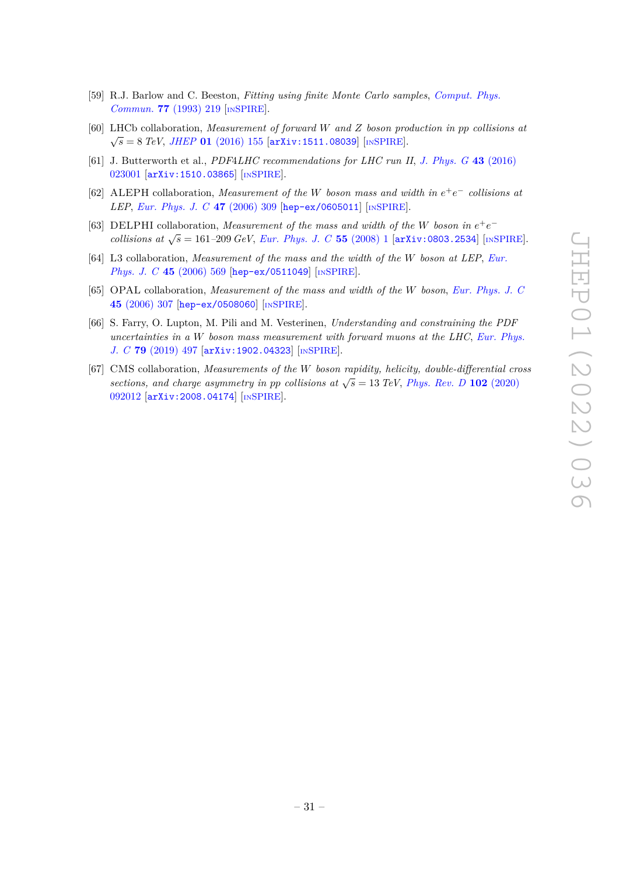- <span id="page-31-0"></span>[59] R.J. Barlow and C. Beeston, *Fitting using finite Monte Carlo samples*, *[Comput. Phys.](https://doi.org/10.1016/0010-4655(93)90005-W) Commun.* **77** [\(1993\) 219](https://doi.org/10.1016/0010-4655(93)90005-W) [IN[SPIRE](https://inspirehep.net/search?p=find+J%20%22Comput.Phys.Commun.%2C77%2C219%22)].
- <span id="page-31-1"></span>[60] LHCb collaboration, *Measurement of forward W and Z boson production in pp collisions at*  $\sqrt{s} = 8 \text{ TeV}, \text{ JHEP} \text{ O1} (2016) 155 \text{ [arXiv:1511.08039]} \text{ [INSPIRE]}.$  $\sqrt{s} = 8 \text{ TeV}, \text{ JHEP} \text{ O1} (2016) 155 \text{ [arXiv:1511.08039]} \text{ [INSPIRE]}.$  $\sqrt{s} = 8 \text{ TeV}, \text{ JHEP} \text{ O1} (2016) 155 \text{ [arXiv:1511.08039]} \text{ [INSPIRE]}.$  $\sqrt{s} = 8 \text{ TeV}, \text{ JHEP} \text{ O1} (2016) 155 \text{ [arXiv:1511.08039]} \text{ [INSPIRE]}.$  $\sqrt{s} = 8 \text{ TeV}, \text{ JHEP} \text{ O1} (2016) 155 \text{ [arXiv:1511.08039]} \text{ [INSPIRE]}.$  $\sqrt{s} = 8 \text{ TeV}, \text{ JHEP} \text{ O1} (2016) 155 \text{ [arXiv:1511.08039]} \text{ [INSPIRE]}.$  $\sqrt{s} = 8 \text{ TeV}, \text{ JHEP} \text{ O1} (2016) 155 \text{ [arXiv:1511.08039]} \text{ [INSPIRE]}.$
- <span id="page-31-2"></span>[61] J. Butterworth et al., *PDF*4*LHC recommendations for LHC run II*, *[J. Phys. G](https://doi.org/10.1088/0954-3899/43/2/023001)* **43** (2016) [023001](https://doi.org/10.1088/0954-3899/43/2/023001) [[arXiv:1510.03865](https://arxiv.org/abs/1510.03865)] [IN[SPIRE](https://inspirehep.net/search?p=find+EPRINT%2BarXiv%3A1510.03865)].
- <span id="page-31-3"></span> $[62]$  ALEPH collaboration, *Measurement of the W boson mass and width in*  $e^+e^-$  *collisions at LEP*, *[Eur. Phys. J. C](https://doi.org/10.1140/epjc/s2006-02576-8)* **47** (2006) 309 [[hep-ex/0605011](https://arxiv.org/abs/hep-ex/0605011)] [IN[SPIRE](https://inspirehep.net/search?p=find+EPRINT%2Bhep-ex%2F0605011)].
- <span id="page-31-4"></span>[63] DELPHI collaboration, *Measurement of the mass and width of the W boson in*  $e^+e^$ *collisions at*  $\sqrt{s}$  = 161–209 *GeV*, *[Eur. Phys. J. C](https://doi.org/10.1140/epjc/s10052-008-0585-7)* **55** (2008) 1 [[arXiv:0803.2534](https://arxiv.org/abs/0803.2534)] [IN[SPIRE](https://inspirehep.net/search?p=find+EPRINT%2BarXiv%3A0803.2534)].
- <span id="page-31-5"></span>[64] L3 collaboration, *Measurement of the mass and the width of the W boson at LEP*, *[Eur.](https://doi.org/10.1140/epjc/s2005-02459-6) [Phys. J. C](https://doi.org/10.1140/epjc/s2005-02459-6)* 45 (2006) 569 [[hep-ex/0511049](https://arxiv.org/abs/hep-ex/0511049)] [IN[SPIRE](https://inspirehep.net/search?p=find+EPRINT%2Bhep-ex%2F0511049)].
- <span id="page-31-6"></span>[65] OPAL collaboration, *Measurement of the mass and width of the W boson*, *[Eur. Phys. J. C](https://doi.org/10.1140/epjc/s2005-02440-5)* **45** [\(2006\) 307](https://doi.org/10.1140/epjc/s2005-02440-5) [[hep-ex/0508060](https://arxiv.org/abs/hep-ex/0508060)] [IN[SPIRE](https://inspirehep.net/search?p=find+EPRINT%2Bhep-ex%2F0508060)].
- <span id="page-31-7"></span>[66] S. Farry, O. Lupton, M. Pili and M. Vesterinen, *Understanding and constraining the PDF uncertainties in a W boson mass measurement with forward muons at the LHC*, *[Eur. Phys.](https://doi.org/10.1140/epjc/s10052-019-6997-8) J. C* **79** [\(2019\) 497](https://doi.org/10.1140/epjc/s10052-019-6997-8) [[arXiv:1902.04323](https://arxiv.org/abs/1902.04323)] [IN[SPIRE](https://inspirehep.net/search?p=find+EPRINT%2BarXiv%3A1902.04323)].
- <span id="page-31-8"></span>[67] CMS collaboration, *Measurements of the W boson rapidity, helicity, double-differential cross sections, and charge asymmetry in pp collisions at*  $\sqrt{s} = 13$  *TeV, [Phys. Rev. D](https://doi.org/10.1103/PhysRevD.102.092012)* **102** (2020) [092012](https://doi.org/10.1103/PhysRevD.102.092012) [[arXiv:2008.04174](https://arxiv.org/abs/2008.04174)] [IN[SPIRE](https://inspirehep.net/search?p=find+EPRINT%2BarXiv%3A2008.04174)].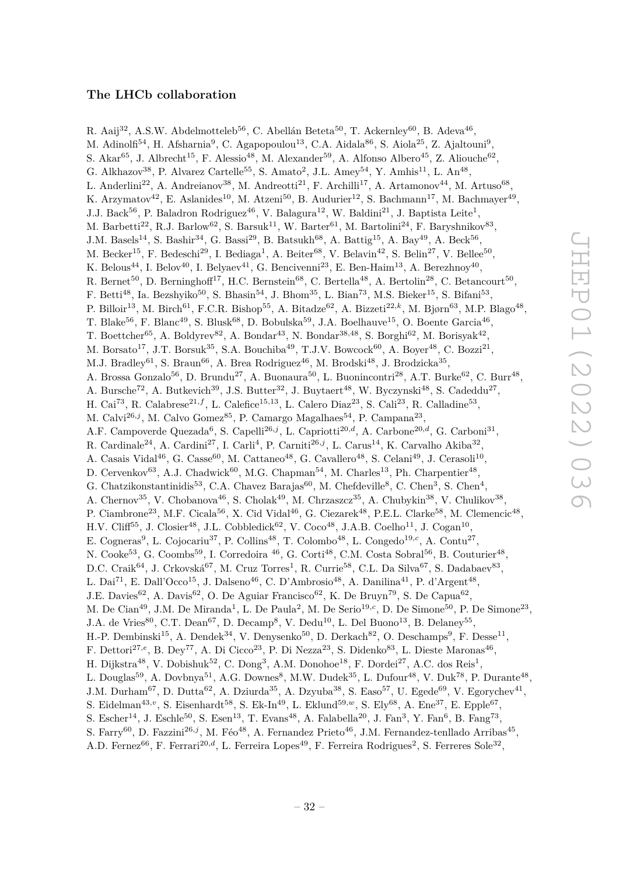# **The LHCb collaboration**

<span id="page-32-0"></span>R. Aaij $^{32}$ , A.S.W. Abdelmotteleb $^{56}$ , C. Abellán Beteta $^{50}$ , T. Ackernley $^{60}$ , B. Adeva $^{46}$ , M. Adinolfi<sup>54</sup>, H. Afsharnia<sup>9</sup>, C. Agapopoulou<sup>13</sup>, C.A. Aidala<sup>86</sup>, S. Aiola<sup>25</sup>, Z. Ajaltouni<sup>9</sup>, S. Akar<sup>65</sup>, J. Albrecht<sup>15</sup>, F. Alessio<sup>48</sup>, M. Alexander<sup>59</sup>, A. Alfonso Albero<sup>45</sup>, Z. Aliouche<sup>62</sup>, G. Alkhazov<sup>38</sup>, P. Alvarez Cartelle<sup>55</sup>, S. Amato<sup>2</sup>, J.L. Amey<sup>54</sup>, Y. Amhis<sup>11</sup>, L. An<sup>48</sup>, L. Anderlini<sup>22</sup>, A. Andreianov<sup>38</sup>, M. Andreotti<sup>21</sup>, F. Archilli<sup>17</sup>, A. Artamonov<sup>44</sup>, M. Artuso<sup>68</sup>, K. Arzymatov<sup>42</sup>, E. Aslanides<sup>10</sup>, M. Atzeni<sup>50</sup>, B. Audurier<sup>12</sup>, S. Bachmann<sup>17</sup>, M. Bachmayer<sup>49</sup>, J.J. Back<sup>56</sup>, P. Baladron Rodriguez<sup>46</sup>, V. Balagura<sup>12</sup>, W. Baldini<sup>21</sup>, J. Baptista Leite<sup>1</sup>, M. Barbetti<sup>22</sup>, R.J. Barlow<sup>62</sup>, S. Barsuk<sup>11</sup>, W. Barter<sup>61</sup>, M. Bartolini<sup>24</sup>, F. Baryshnikov<sup>83</sup>, J.M. Basels<sup>14</sup>, S. Bashir<sup>34</sup>, G. Bassi<sup>29</sup>, B. Batsukh<sup>68</sup>, A. Battig<sup>15</sup>, A. Bay<sup>49</sup>, A. Beck<sup>56</sup>, M. Becker<sup>15</sup>, F. Bedeschi<sup>29</sup>, I. Bediaga<sup>1</sup>, A. Beiter<sup>68</sup>, V. Belavin<sup>42</sup>, S. Belin<sup>27</sup>, V. Bellee<sup>50</sup>, K. Belous<sup>44</sup>, I. Belov<sup>40</sup>, I. Belyaev<sup>41</sup>, G. Bencivenni<sup>23</sup>, E. Ben-Haim<sup>13</sup>, A. Berezhnoy<sup>40</sup>, R. Bernet<sup>50</sup>, D. Berninghoff<sup>17</sup>, H.C. Bernstein<sup>68</sup>, C. Bertella<sup>48</sup>, A. Bertolin<sup>28</sup>, C. Betancourt<sup>50</sup>, F. Betti<sup>48</sup>, Ia. Bezshyiko<sup>50</sup>, S. Bhasin<sup>54</sup>, J. Bhom<sup>35</sup>, L. Bian<sup>73</sup>, M.S. Bieker<sup>15</sup>, S. Bifani<sup>53</sup>, P. Billoir<sup>13</sup>, M. Birch<sup>61</sup>, F.C.R. Bishop<sup>55</sup>, A. Bitadze<sup>62</sup>, A. Bizzeti<sup>22,k</sup>, M. Bjørn<sup>63</sup>, M.P. Blago<sup>48</sup>, T. Blake<sup>56</sup>, F. Blanc<sup>49</sup>, S. Blusk<sup>68</sup>, D. Bobulska<sup>59</sup>, J.A. Boelhauve<sup>15</sup>, O. Boente Garcia<sup>46</sup>, T. Boettcher<sup>65</sup>, A. Boldyrev<sup>82</sup>, A. Bondar<sup>43</sup>, N. Bondar<sup>38,48</sup>, S. Borghi<sup>62</sup>, M. Borisyak<sup>42</sup>, M. Borsato<sup>17</sup>, J.T. Borsuk<sup>35</sup>, S.A. Bouchiba<sup>49</sup>, T.J.V. Bowcock<sup>60</sup>, A. Boyer<sup>48</sup>, C. Bozzi<sup>21</sup>, M.J. Bradley $^{61}$ , S. Braun $^{66}$ , A. Brea Rodriguez $^{46}$ , M. Brodski $^{48}$ , J. Brodzicka $^{35}$ , A. Brossa Gonzalo<sup>56</sup>, D. Brundu<sup>27</sup>, A. Buonaura<sup>50</sup>, L. Buonincontri<sup>28</sup>, A.T. Burke<sup>62</sup>, C. Burr<sup>48</sup>, A. Bursche<sup>72</sup>, A. Butkevich<sup>39</sup>, J.S. Butter<sup>32</sup>, J. Buytaert<sup>48</sup>, W. Byczynski<sup>48</sup>, S. Cadeddu<sup>27</sup>, H. Cai<sup>73</sup>, R. Calabrese<sup>21, f</sup>, L. Calefice<sup>15, 13</sup>, L. Calero Diaz<sup>23</sup>, S. Cali<sup>23</sup>, R. Calladine<sup>53</sup>, M. Calvi<sup>26,j</sup>, M. Calvo Gomez<sup>85</sup>, P. Camargo Magalhaes<sup>54</sup>, P. Campana<sup>23</sup>, A.F. Campoverde Quezada<sup>6</sup>, S. Capelli<sup>26,j</sup>, L. Capriotti<sup>20,d</sup>, A. Carbone<sup>20,d</sup>, G. Carboni<sup>31</sup>, R. Cardinale<sup>24</sup>, A. Cardini<sup>27</sup>, I. Carli<sup>4</sup>, P. Carniti<sup>26, j</sup>, L. Carus<sup>14</sup>, K. Carvalho Akiba<sup>32</sup>, A. Casais Vidal<sup>46</sup>, G. Casse<sup>60</sup>, M. Cattaneo<sup>48</sup>, G. Cavallero<sup>48</sup>, S. Celani<sup>49</sup>, J. Cerasoli<sup>10</sup>, D. Cervenkov<sup>63</sup>, A.J. Chadwick<sup>60</sup>, M.G. Chapman<sup>54</sup>, M. Charles<sup>13</sup>, Ph. Charpentier<sup>48</sup>, G. Chatzikonstantinidis<sup>53</sup>, C.A. Chavez Barajas<sup>60</sup>, M. Chefdeville<sup>8</sup>, C. Chen<sup>3</sup>, S. Chen<sup>4</sup>, A. Chernov<sup>35</sup>, V. Chobanova<sup>46</sup>, S. Cholak<sup>49</sup>, M. Chrzaszcz<sup>35</sup>, A. Chubykin<sup>38</sup>, V. Chulikov<sup>38</sup>, P. Ciambrone<sup>23</sup>, M.F. Cicala<sup>56</sup>, X. Cid Vidal<sup>46</sup>, G. Ciezarek<sup>48</sup>, P.E.L. Clarke<sup>58</sup>, M. Clemencic<sup>48</sup>, H.V. Cliff<sup>55</sup>, J. Closier<sup>48</sup>, J.L. Cobbledick<sup>62</sup>, V. Coco<sup>48</sup>, J.A.B. Coelho<sup>11</sup>, J. Cogan<sup>10</sup>, E. Cogneras<sup>9</sup>, L. Cojocariu<sup>37</sup>, P. Collins<sup>48</sup>, T. Colombo<sup>48</sup>, L. Congedo<sup>19,c</sup>, A. Contu<sup>27</sup>, N. Cooke<sup>53</sup>, G. Coombs<sup>59</sup>, I. Corredoira <sup>46</sup>, G. Corti<sup>48</sup>, C.M. Costa Sobral<sup>56</sup>, B. Couturier<sup>48</sup>, D.C. Craik<sup>64</sup>, J. Crkovská<sup>67</sup>, M. Cruz Torres<sup>1</sup>, R. Currie<sup>58</sup>, C.L. Da Silva<sup>67</sup>, S. Dadabaev<sup>83</sup>, L. Dai<sup>71</sup>, E. Dall'Occo<sup>15</sup>, J. Dalseno<sup>46</sup>, C. D'Ambrosio<sup>48</sup>, A. Danilina<sup>41</sup>, P. d'Argent<sup>48</sup>, J.E. Davies<sup>62</sup>, A. Davis<sup>62</sup>, O. De Aguiar Francisco<sup>62</sup>, K. De Bruyn<sup>79</sup>, S. De Capua<sup>62</sup>, M. De Cian<sup>49</sup>, J.M. De Miranda<sup>1</sup>, L. De Paula<sup>2</sup>, M. De Serio<sup>19,c</sup>, D. De Simone<sup>50</sup>, P. De Simone<sup>23</sup>, J.A. de Vries<sup>80</sup>, C.T. Dean<sup>67</sup>, D. Decamp<sup>8</sup>, V. Dedu<sup>10</sup>, L. Del Buono<sup>13</sup>, B. Delaney<sup>55</sup>, H.-P. Dembinski<sup>15</sup>, A. Dendek<sup>34</sup>, V. Denysenko<sup>50</sup>, D. Derkach<sup>82</sup>, O. Deschamps<sup>9</sup>, F. Desse<sup>11</sup>, F. Dettori<sup>27,e</sup>, B. Dey<sup>77</sup>, A. Di Cicco<sup>23</sup>, P. Di Nezza<sup>23</sup>, S. Didenko<sup>83</sup>, L. Dieste Maronas<sup>46</sup>, H. Dijkstra<sup>48</sup>, V. Dobishuk<sup>52</sup>, C. Dong<sup>3</sup>, A.M. Donohoe<sup>18</sup>, F. Dordei<sup>27</sup>, A.C. dos Reis<sup>1</sup>, L. Douglas<sup>59</sup>, A. Dovbnya<sup>51</sup>, A.G. Downes<sup>8</sup>, M.W. Dudek<sup>35</sup>, L. Dufour<sup>48</sup>, V. Duk<sup>78</sup>, P. Durante<sup>48</sup>, J.M. Durham<sup>67</sup>, D. Dutta<sup>62</sup>, A. Dziurda<sup>35</sup>, A. Dzyuba<sup>38</sup>, S. Easo<sup>57</sup>, U. Egede<sup>69</sup>, V. Egorychev<sup>41</sup>, S. Eidelman<sup>43,*v*</sup>, S. Eisenhardt<sup>58</sup>, S. Ek-In<sup>49</sup>, L. Eklund<sup>59,*w*</sup>, S. Ely<sup>68</sup>, A. Ene<sup>37</sup>, E. Epple<sup>67</sup>, S. Escher<sup>14</sup>, J. Eschle<sup>50</sup>, S. Esen<sup>13</sup>, T. Evans<sup>48</sup>, A. Falabella<sup>20</sup>, J. Fan<sup>3</sup>, Y. Fan<sup>6</sup>, B. Fang<sup>73</sup>, S. Farry<sup>60</sup>, D. Fazzini<sup>26,j</sup>, M. Féo<sup>48</sup>, A. Fernandez Prieto<sup>46</sup>, J.M. Fernandez-tenllado Arribas<sup>45</sup>, A.D. Fernez<sup>66</sup>, F. Ferrari<sup>20,d</sup>, L. Ferreira Lopes<sup>49</sup>, F. Ferreira Rodrigues<sup>2</sup>, S. Ferreres Sole<sup>32</sup>,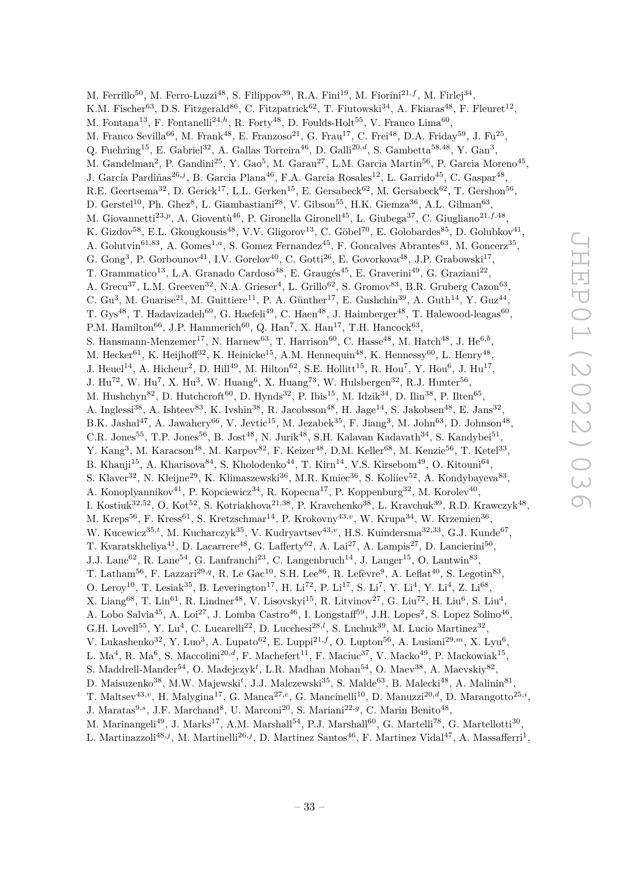M. Ferrillo<sup>50</sup>, M. Ferro-Luzzi<sup>48</sup>, S. Filippov<sup>39</sup>, R.A. Fini<sup>19</sup>, M. Fiorini<sup>21, f</sup>, M. Firlej<sup>34</sup>, K.M. Fischer<sup>63</sup>, D.S. Fitzgerald<sup>86</sup>, C. Fitzpatrick<sup>62</sup>, T. Fiutowski<sup>34</sup>, A. Fkiaras<sup>48</sup>, F. Fleuret<sup>12</sup>, M. Fontana<sup>13</sup>, F. Fontanelli<sup>24,h</sup>, R. Forty<sup>48</sup>, D. Foulds-Holt<sup>55</sup>, V. Franco Lima<sup>60</sup>, M. Franco Sevilla<sup>66</sup>, M. Frank<sup>48</sup>, E. Franzoso<sup>21</sup>, G. Frau<sup>17</sup>, C. Frei<sup>48</sup>, D.A. Friday<sup>59</sup>, J. Fu<sup>25</sup>, Q. Fuehring<sup>15</sup>, E. Gabriel<sup>32</sup>, A. Gallas Torreira<sup>46</sup>, D. Galli<sup>20,d</sup>, S. Gambetta<sup>58,48</sup>, Y. Gan<sup>3</sup>, M. Gandelman<sup>2</sup>, P. Gandini<sup>25</sup>, Y. Gao<sup>5</sup>, M. Garau<sup>27</sup>, L.M. Garcia Martin<sup>56</sup>, P. Garcia Moreno<sup>45</sup>, J. García Pardiñas<sup>26, j</sup>, B. Garcia Plana<sup>46</sup>, F.A. Garcia Rosales<sup>12</sup>, L. Garrido<sup>45</sup>, C. Gaspar<sup>48</sup>, R.E. Geertsema<sup>32</sup>, D. Gerick<sup>17</sup>, L.L. Gerken<sup>15</sup>, E. Gersabeck<sup>62</sup>, M. Gersabeck<sup>62</sup>, T. Gershon<sup>56</sup>, D. Gerstel<sup>10</sup>, Ph. Ghez<sup>8</sup>, L. Giambastiani<sup>28</sup>, V. Gibson<sup>55</sup>, H.K. Giemza<sup>36</sup>, A.L. Gilman<sup>63</sup>, M. Giovannetti<sup>23,p</sup>, A. Gioventù<sup>46</sup>, P. Gironella Gironell<sup>45</sup>, L. Giubega<sup>37</sup>, C. Giugliano<sup>21,f,48</sup>, K. Gizdov<sup>58</sup>, E.L. Gkougkousis<sup>48</sup>, V.V. Gligorov<sup>13</sup>, C. Göbel<sup>70</sup>, E. Golobardes<sup>85</sup>, D. Golubkov<sup>41</sup>, A. Golutvin<sup>61,83</sup>, A. Gomes<sup>1,a</sup>, S. Gomez Fernandez<sup>45</sup>, F. Goncalves Abrantes<sup>63</sup>, M. Goncerz<sup>35</sup>, G. Gong<sup>3</sup>, P. Gorbounov<sup>41</sup>, I.V. Gorelov<sup>40</sup>, C. Gotti<sup>26</sup>, E. Govorkova<sup>48</sup>, J.P. Grabowski<sup>17</sup>, T. Grammatico<sup>13</sup>, L.A. Granado Cardoso<sup>48</sup>, E. Graugés<sup>45</sup>, E. Graverini<sup>49</sup>, G. Graziani<sup>22</sup>, A. Grecu<sup>37</sup>, L.M. Greeven<sup>32</sup>, N.A. Grieser<sup>4</sup>, L. Grillo<sup>62</sup>, S. Gromov<sup>83</sup>, B.R. Gruberg Cazon<sup>63</sup>, C. Gu<sup>3</sup>, M. Guarise<sup>21</sup>, M. Guittiere<sup>11</sup>, P. A. Günther<sup>17</sup>, E. Gushchin<sup>39</sup>, A. Guth<sup>14</sup>, Y. Guz<sup>44</sup>, T. Gys<sup>48</sup>, T. Hadavizadeh<sup>69</sup>, G. Haefeli<sup>49</sup>, C. Haen<sup>48</sup>, J. Haimberger<sup>48</sup>, T. Halewood-leagas<sup>60</sup>, P.M. Hamilton<sup>66</sup>, J.P. Hammerich<sup>60</sup>, Q. Han<sup>7</sup>, X. Han<sup>17</sup>, T.H. Hancock<sup>63</sup>, S. Hansmann-Menzemer<sup>17</sup>, N. Harnew<sup>63</sup>, T. Harrison<sup>60</sup>, C. Hasse<sup>48</sup>, M. Hatch<sup>48</sup>, J. He<sup>6,b</sup>, M. Hecker<sup>61</sup>, K. Heijhoff<sup>32</sup>, K. Heinicke<sup>15</sup>, A.M. Hennequin<sup>48</sup>, K. Hennessy<sup>60</sup>, L. Henry<sup>48</sup>, J. Heuel<sup>14</sup>, A. Hicheur<sup>2</sup>, D. Hill<sup>49</sup>, M. Hilton<sup>62</sup>, S.E. Hollitt<sup>15</sup>, R. Hou<sup>7</sup>, Y. Hou<sup>6</sup>, J. Hu<sup>17</sup>, J. Hu<sup>72</sup>, W. Hu<sup>7</sup>, X. Hu<sup>3</sup>, W. Huang<sup>6</sup>, X. Huang<sup>73</sup>, W. Hulsbergen<sup>32</sup>, R.J. Hunter<sup>56</sup>, M. Hushchyn $^{82}$ , D. Hutchcroft $^{60}$ , D. Hynds $^{32}$ , P. Ibis<sup>15</sup>, M. Idzik $^{34}$ , D. Ilin $^{38}$ , P. Ilten $^{65}$ , A. Inglessi<sup>38</sup>, A. Ishteev<sup>83</sup>, K. Ivshin<sup>38</sup>, R. Jacobsson<sup>48</sup>, H. Jage<sup>14</sup>, S. Jakobsen<sup>48</sup>, E. Jans<sup>32</sup>, B.K. Jashal<sup>47</sup>, A. Jawahery<sup>66</sup>, V. Jevtic<sup>15</sup>, M. Jezabek<sup>35</sup>, F. Jiang<sup>3</sup>, M. John<sup>63</sup>, D. Johnson<sup>48</sup>, C.R. Jones<sup>55</sup>, T.P. Jones<sup>56</sup>, B. Jost<sup>48</sup>, N. Jurik<sup>48</sup>, S.H. Kalavan Kadavath<sup>34</sup>, S. Kandybei<sup>51</sup>, Y. Kang<sup>3</sup>, M. Karacson<sup>48</sup>, M. Karpov<sup>82</sup>, F. Keizer<sup>48</sup>, D.M. Keller<sup>68</sup>, M. Kenzie<sup>56</sup>, T. Ketel<sup>33</sup>, B. Khanji<sup>15</sup>, A. Kharisova<sup>84</sup>, S. Kholodenko<sup>44</sup>, T. Kirn<sup>14</sup>, V.S. Kirsebom<sup>49</sup>, O. Kitouni<sup>64</sup>, S. Klaver<sup>32</sup>, N. Kleijne<sup>29</sup>, K. Klimaszewski<sup>36</sup>, M.R. Kmiec<sup>36</sup>, S. Koliiev<sup>52</sup>, A. Kondybayeva<sup>83</sup>, A. Konoplyannikov<sup>41</sup>, P. Kopciewicz<sup>34</sup>, R. Kopecna<sup>17</sup>, P. Koppenburg<sup>32</sup>, M. Korolev<sup>40</sup>, I. Kostiuk<sup>32,52</sup>, O. Kot<sup>52</sup>, S. Kotriakhova<sup>21,38</sup>, P. Kravchenko<sup>38</sup>, L. Kravchuk<sup>39</sup>, R.D. Krawczyk<sup>48</sup>, M. Kreps<sup>56</sup>, F. Kress<sup>61</sup>, S. Kretzschmar<sup>14</sup>, P. Krokovny<sup>43,</sup>v, W. Krupa<sup>34</sup>, W. Krzemien<sup>36</sup>, W. Kucewicz<sup>35,*t*</sup>, M. Kucharczyk<sup>35</sup>, V. Kudryavtsev<sup>43,*v*</sup>, H.S. Kuindersma<sup>32,33</sup>, G.J. Kunde<sup>67</sup>, T. Kvaratskheliya<sup>41</sup>, D. Lacarrere<sup>48</sup>, G. Lafferty<sup>62</sup>, A. Lai<sup>27</sup>, A. Lampis<sup>27</sup>, D. Lancierini<sup>50</sup>, J.J. Lane<sup>62</sup>, R. Lane<sup>54</sup>, G. Lanfranchi<sup>23</sup>, C. Langenbruch<sup>14</sup>, J. Langer<sup>15</sup>, O. Lantwin<sup>83</sup>, T. Latham<sup>56</sup>, F. Lazzari<sup>29,q</sup>, R. Le Gac<sup>10</sup>, S.H. Lee<sup>86</sup>, R. Lefèvre<sup>9</sup>, A. Leflat<sup>40</sup>, S. Legotin<sup>83</sup>, O. Leroy<sup>10</sup>, T. Lesiak<sup>35</sup>, B. Leverington<sup>17</sup>, H. Li<sup>72</sup>, P. Li<sup>17</sup>, S. Li<sup>7</sup>, Y. Li<sup>4</sup>, Y. Li<sup>4</sup>, Z. Li<sup>68</sup>, X. Liang<sup>68</sup>, T. Lin<sup>61</sup>, R. Lindner<sup>48</sup>, V. Lisovskyi<sup>15</sup>, R. Litvinov<sup>27</sup>, G. Liu<sup>72</sup>, H. Liu<sup>6</sup>, S. Liu<sup>4</sup>, A. Lobo Salvia<sup>45</sup>, A. Loi<sup>27</sup>, J. Lomba Castro<sup>46</sup>, I. Longstaff<sup>59</sup>, J.H. Lopes<sup>2</sup>, S. Lopez Solino<sup>46</sup>, G.H. Lovell<sup>55</sup>, Y. Lu<sup>4</sup>, C. Lucarelli<sup>22</sup>, D. Lucchesi<sup>28,*l*</sup>, S. Luchuk<sup>39</sup>, M. Lucio Martinez<sup>32</sup>, V. Lukashenko<sup>32</sup>, Y. Luo<sup>3</sup>, A. Lupato<sup>62</sup>, E. Luppi<sup>21,f</sup>, O. Lupton<sup>56</sup>, A. Lusiani<sup>29,m</sup>, X. Lyu<sup>6</sup>, L. Ma<sup>4</sup>, R. Ma<sup>6</sup>, S. Maccolini<sup>20,d</sup>, F. Machefert<sup>11</sup>, F. Maciuc<sup>37</sup>, V. Macko<sup>49</sup>, P. Mackowiak<sup>15</sup>, S. Maddrell-Mander<sup>54</sup>, O. Madejczyk<sup>t</sup>, L.R. Madhan Mohan<sup>54</sup>, O. Maev<sup>38</sup>, A. Maevskiy<sup>82</sup>, D. Maisuzenko<sup>38</sup>, M.W. Majewski<sup>t</sup>, J.J. Malczewski<sup>35</sup>, S. Malde<sup>63</sup>, B. Malecki<sup>48</sup>, A. Malinin<sup>81</sup>, T. Maltsev<sup>43,v</sup>, H. Malygina<sup>17</sup>, G. Manca<sup>27,e</sup>, G. Mancinelli<sup>10</sup>, D. Manuzzi<sup>20,d</sup>, D. Marangotto<sup>25,i</sup>, J. Maratas<sup>9,s</sup>, J.F. Marchand<sup>8</sup>, U. Marconi<sup>20</sup>, S. Mariani<sup>22,g</sup>, C. Marin Benito<sup>48</sup>, M. Marinangeli<sup>49</sup>, J. Marks<sup>17</sup>, A.M. Marshall<sup>54</sup>, P.J. Marshall<sup>60</sup>, G. Martelli<sup>78</sup>, G. Martellotti<sup>30</sup>,

L. Martinazzoli<sup>48, j</sup>, M. Martinelli<sup>26, j</sup>, D. Martinez Santos<sup>46</sup>, F. Martinez Vidal<sup>47</sup>, A. Massafferri<sup>1</sup>,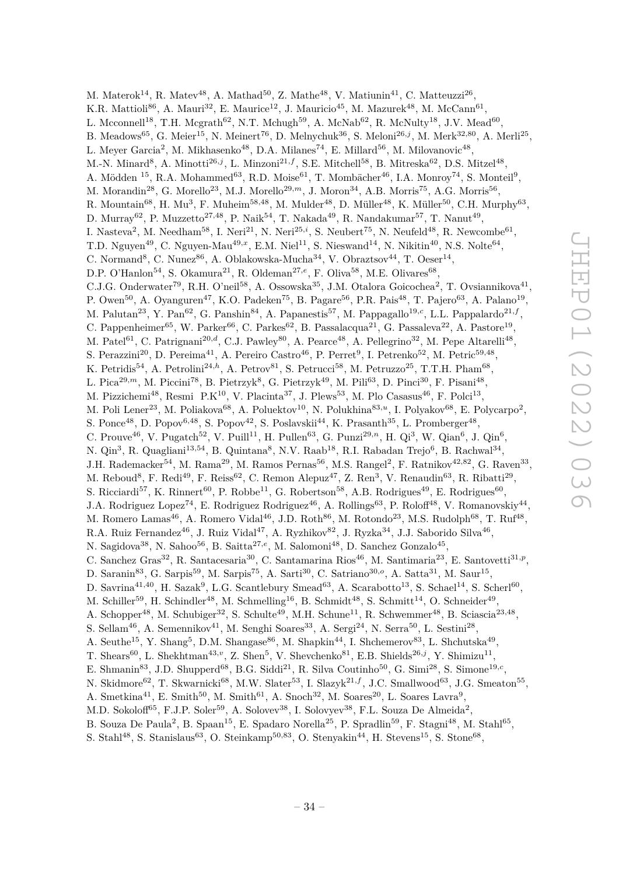M. Materok<sup>14</sup>, R. Matev<sup>48</sup>, A. Mathad<sup>50</sup>, Z. Mathe<sup>48</sup>, V. Matiunin<sup>41</sup>, C. Matteuzzi<sup>26</sup>, K.R. Mattioli<sup>86</sup>, A. Mauri<sup>32</sup>, E. Maurice<sup>12</sup>, J. Mauricio<sup>45</sup>, M. Mazurek<sup>48</sup>, M. McCann<sup>61</sup>, L. Mcconnell<sup>18</sup>, T.H. Mcgrath<sup>62</sup>, N.T. Mchugh<sup>59</sup>, A. McNab<sup>62</sup>, R. McNulty<sup>18</sup>, J.V. Mead<sup>60</sup>, B. Meadows<sup>65</sup>, G. Meier<sup>15</sup>, N. Meinert<sup>76</sup>, D. Melnychuk<sup>36</sup>, S. Meloni<sup>26, j</sup>, M. Merk<sup>32,80</sup>, A. Merli<sup>25</sup>, L. Meyer Garcia<sup>2</sup>, M. Mikhasenko<sup>48</sup>, D.A. Milanes<sup>74</sup>, E. Millard<sup>56</sup>, M. Milovanovic<sup>48</sup>, M.-N. Minard<sup>8</sup>, A. Minotti<sup>26,j</sup>, L. Minzoni<sup>21,f</sup>, S.E. Mitchell<sup>58</sup>, B. Mitreska<sup>62</sup>, D.S. Mitzel<sup>48</sup>, A. Mödden <sup>15</sup>, R.A. Mohammed<sup>63</sup>, R.D. Moise<sup>61</sup>, T. Mombächer<sup>46</sup>, I.A. Monroy<sup>74</sup>, S. Monteil<sup>9</sup>, M. Morandin<sup>28</sup>, G. Morello<sup>23</sup>, M.J. Morello<sup>29,*m*</sup>, J. Moron<sup>34</sup>, A.B. Morris<sup>75</sup>, A.G. Morris<sup>56</sup>, R. Mountain<sup>68</sup>, H. Mu<sup>3</sup>, F. Muheim<sup>58,48</sup>, M. Mulder<sup>48</sup>, D. Müller<sup>48</sup>, K. Müller<sup>50</sup>, C.H. Murphy<sup>63</sup>, D. Murray<sup>62</sup>, P. Muzzetto<sup>27,48</sup>, P. Naik<sup>54</sup>, T. Nakada<sup>49</sup>, R. Nandakumar<sup>57</sup>, T. Nanut<sup>49</sup>, I. Nasteva<sup>2</sup>, M. Needham<sup>58</sup>, I. Neri<sup>21</sup>, N. Neri<sup>25,*i*</sup>, S. Neubert<sup>75</sup>, N. Neufeld<sup>48</sup>, R. Newcombe<sup>61</sup>, T.D. Nguyen<sup>49</sup>, C. Nguyen-Mau<sup>49,x</sup>, E.M. Niel<sup>11</sup>, S. Nieswand<sup>14</sup>, N. Nikitin<sup>40</sup>, N.S. Nolte<sup>64</sup>, C. Normand<sup>8</sup>, C. Nunez<sup>86</sup>, A. Oblakowska-Mucha<sup>34</sup>, V. Obraztsov<sup>44</sup>, T. Oeser<sup>14</sup>, D.P. O'Hanlon<sup>54</sup>, S. Okamura<sup>21</sup>, R. Oldeman<sup>27,e</sup>, F. Oliva<sup>58</sup>, M.E. Olivares<sup>68</sup>, C.J.G. Onderwater<sup>79</sup>, R.H. O'neil<sup>58</sup>, A. Ossowska<sup>35</sup>, J.M. Otalora Goicochea<sup>2</sup>, T. Ovsiannikova<sup>41</sup>, P. Owen<sup>50</sup>, A. Oyanguren<sup>47</sup>, K.O. Padeken<sup>75</sup>, B. Pagare<sup>56</sup>, P.R. Pais<sup>48</sup>, T. Pajero<sup>63</sup>, A. Palano<sup>19</sup>, M. Palutan<sup>23</sup>, Y. Pan<sup>62</sup>, G. Panshin<sup>84</sup>, A. Papanestis<sup>57</sup>, M. Pappagallo<sup>19,c</sup>, L.L. Pappalardo<sup>21,f</sup>, C. Pappenheimer<sup>65</sup>, W. Parker<sup>66</sup>, C. Parkes<sup>62</sup>, B. Passalacqua<sup>21</sup>, G. Passaleva<sup>22</sup>, A. Pastore<sup>19</sup>, M. Patel<sup>61</sup>, C. Patrignani<sup>20,d</sup>, C.J. Pawley<sup>80</sup>, A. Pearce<sup>48</sup>, A. Pellegrino<sup>32</sup>, M. Pepe Altarelli<sup>48</sup>, S. Perazzini<sup>20</sup>, D. Pereima<sup>41</sup>, A. Pereiro Castro<sup>46</sup>, P. Perret<sup>9</sup>, I. Petrenko<sup>52</sup>, M. Petric<sup>59,48</sup>, K. Petridis<sup>54</sup>, A. Petrolini<sup>24,h</sup>, A. Petrov<sup>81</sup>, S. Petrucci<sup>58</sup>, M. Petruzzo<sup>25</sup>, T.T.H. Pham<sup>68</sup>, L. Pica<sup>29,m</sup>, M. Piccini<sup>78</sup>, B. Pietrzyk<sup>8</sup>, G. Pietrzyk<sup>49</sup>, M. Pili<sup>63</sup>, D. Pinci<sup>30</sup>, F. Pisani<sup>48</sup>, M. Pizzichemi<sup>48</sup>, Resmi P.K<sup>10</sup>, V. Placinta<sup>37</sup>, J. Plews<sup>53</sup>, M. Plo Casasus<sup>46</sup>, F. Polci<sup>13</sup>, M. Poli Lener<sup>23</sup>, M. Poliakova<sup>68</sup>, A. Poluektov<sup>10</sup>, N. Polukhina<sup>83,*u*</sup>, I. Polyakov<sup>68</sup>, E. Polycarpo<sup>2</sup>, S. Ponce<sup>48</sup>, D. Popov<sup>6,48</sup>, S. Popov<sup>42</sup>, S. Poslavskii<sup>44</sup>, K. Prasanth<sup>35</sup>, L. Promberger<sup>48</sup>, C. Prouve<sup>46</sup>, V. Pugatch<sup>52</sup>, V. Puill<sup>11</sup>, H. Pullen<sup>63</sup>, G. Punzi<sup>29,n</sup>, H. Qi<sup>3</sup>, W. Qian<sup>6</sup>, J. Qin<sup>6</sup>, N. Qin<sup>3</sup>, R. Quagliani<sup>13,54</sup>, B. Quintana<sup>8</sup>, N.V. Raab<sup>18</sup>, R.I. Rabadan Trejo<sup>6</sup>, B. Rachwal<sup>34</sup>, J.H. Rademacker<sup>54</sup>, M. Rama<sup>29</sup>, M. Ramos Pernas<sup>56</sup>, M.S. Rangel<sup>2</sup>, F. Ratnikov<sup>42,82</sup>, G. Raven<sup>33</sup>, M. Reboud<sup>8</sup>, F. Redi<sup>49</sup>, F. Reiss<sup>62</sup>, C. Remon Alepuz<sup>47</sup>, Z. Ren<sup>3</sup>, V. Renaudin<sup>63</sup>, R. Ribatti<sup>29</sup>, S. Ricciardi<sup>57</sup>, K. Rinnert<sup>60</sup>, P. Robbe<sup>11</sup>, G. Robertson<sup>58</sup>, A.B. Rodrigues<sup>49</sup>, E. Rodrigues<sup>60</sup>, J.A. Rodriguez Lopez<sup>74</sup>, E. Rodriguez Rodriguez<sup>46</sup>, A. Rollings<sup>63</sup>, P. Roloff<sup>48</sup>, V. Romanovskiy<sup>44</sup>, M. Romero Lamas<sup>46</sup>, A. Romero Vidal<sup>46</sup>, J.D. Roth<sup>86</sup>, M. Rotondo<sup>23</sup>, M.S. Rudolph<sup>68</sup>, T. Ruf<sup>48</sup>, R.A. Ruiz Fernandez<sup>46</sup>, J. Ruiz Vidal<sup>47</sup>, A. Ryzhikov<sup>82</sup>, J. Ryzka<sup>34</sup>, J.J. Saborido Silva<sup>46</sup>, N. Sagidova<sup>38</sup>, N. Sahoo<sup>56</sup>, B. Saitta<sup>27,e</sup>, M. Salomoni<sup>48</sup>, D. Sanchez Gonzalo<sup>45</sup>, C. Sanchez Gras<sup>32</sup>, R. Santacesaria<sup>30</sup>, C. Santamarina Rios<sup>46</sup>, M. Santimaria<sup>23</sup>, E. Santovetti<sup>31,p</sup>, D. Saranin<sup>83</sup>, G. Sarpis<sup>59</sup>, M. Sarpis<sup>75</sup>, A. Sarti<sup>30</sup>, C. Satriano<sup>30,0</sup>, A. Satta<sup>31</sup>, M. Saur<sup>15</sup>, D. Savrina<sup>41,40</sup>, H. Sazak<sup>9</sup>, L.G. Scantlebury Smead<sup>63</sup>, A. Scarabotto<sup>13</sup>, S. Schael<sup>14</sup>, S. Scherl<sup>60</sup>, M. Schiller<sup>59</sup>, H. Schindler<sup>48</sup>, M. Schmelling<sup>16</sup>, B. Schmidt<sup>48</sup>, S. Schmitt<sup>14</sup>, O. Schneider<sup>49</sup>, A. Schopper<sup>48</sup>, M. Schubiger<sup>32</sup>, S. Schulte<sup>49</sup>, M.H. Schune<sup>11</sup>, R. Schwemmer<sup>48</sup>, B. Sciascia<sup>23,48</sup>, S. Sellam<sup>46</sup>, A. Semennikov<sup>41</sup>, M. Senghi Soares<sup>33</sup>, A. Sergi<sup>24</sup>, N. Serra<sup>50</sup>, L. Sestini<sup>28</sup>, A. Seuthe<sup>15</sup>, Y. Shang<sup>5</sup>, D.M. Shangase<sup>86</sup>, M. Shapkin<sup>44</sup>, I. Shchemerov<sup>83</sup>, L. Shchutska<sup>49</sup>, T. Shears<sup>60</sup>, L. Shekhtman<sup>43,*v*</sup>, Z. Shen<sup>5</sup>, V. Shevchenko<sup>81</sup>, E.B. Shields<sup>26,j</sup>, Y. Shimizu<sup>11</sup>, E. Shmanin<sup>83</sup>, J.D. Shupperd<sup>68</sup>, B.G. Siddi<sup>21</sup>, R. Silva Coutinho<sup>50</sup>, G. Simi<sup>28</sup>, S. Simone<sup>19,*c*</sup>, N. Skidmore<sup>62</sup>, T. Skwarnicki<sup>68</sup>, M.W. Slater<sup>53</sup>, I. Slazyk<sup>21,f</sup>, J.C. Smallwood<sup>63</sup>, J.G. Smeaton<sup>55</sup>, A. Smetkina<sup>41</sup>, E. Smith<sup>50</sup>, M. Smith<sup>61</sup>, A. Snoch<sup>32</sup>, M. Soares<sup>20</sup>, L. Soares Lavra<sup>9</sup>, M.D. Sokoloff<sup>65</sup>, F.J.P. Soler<sup>59</sup>, A. Solovev<sup>38</sup>, I. Solovyev<sup>38</sup>, F.L. Souza De Almeida<sup>2</sup>, B. Souza De Paula<sup>2</sup>, B. Spaan<sup>15</sup>, E. Spadaro Norella<sup>25</sup>, P. Spradlin<sup>59</sup>, F. Stagni<sup>48</sup>, M. Stahl<sup>65</sup>,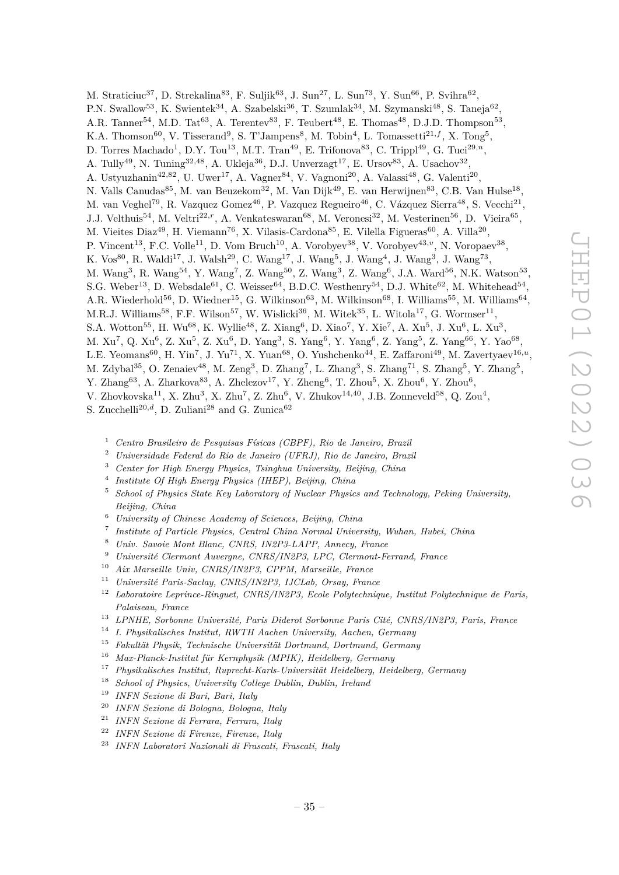M. Straticiuc<sup>37</sup>, D. Strekalina<sup>83</sup>, F. Suljik<sup>63</sup>, J. Sun<sup>27</sup>, L. Sun<sup>73</sup>, Y. Sun<sup>66</sup>, P. Svihra<sup>62</sup>, P.N. Swallow<sup>53</sup>, K. Swientek<sup>34</sup>, A. Szabelski<sup>36</sup>, T. Szumlak<sup>34</sup>, M. Szymanski<sup>48</sup>, S. Taneja<sup>62</sup>, A.R. Tanner<sup>54</sup>, M.D. Tat<sup>63</sup>, A. Terentev<sup>83</sup>, F. Teubert<sup>48</sup>, E. Thomas<sup>48</sup>, D.J.D. Thompson<sup>53</sup>, K.A. Thomson<sup>60</sup>, V. Tisserand<sup>9</sup>, S. T'Jampens<sup>8</sup>, M. Tobin<sup>4</sup>, L. Tomassetti<sup>21,f</sup>, X. Tong<sup>5</sup>, D. Torres Machado<sup>1</sup>, D.Y. Tou<sup>13</sup>, M.T. Tran<sup>49</sup>, E. Trifonova<sup>83</sup>, C. Trippl<sup>49</sup>, G. Tuci<sup>29,*n*</sup>, A. Tully<sup>49</sup>, N. Tuning<sup>32,48</sup>, A. Ukleja<sup>36</sup>, D.J. Unverzagt<sup>17</sup>, E. Ursov<sup>83</sup>, A. Usachov<sup>32</sup>, A. Ustyuzhanin<sup>42,82</sup>, U. Uwer<sup>17</sup>, A. Vagner<sup>84</sup>, V. Vagnoni<sup>20</sup>, A. Valassi<sup>48</sup>, G. Valenti<sup>20</sup>, N. Valls Canudas<sup>85</sup>, M. van Beuzekom<sup>32</sup>, M. Van Dijk<sup>49</sup>, E. van Herwijnen<sup>83</sup>, C.B. Van Hulse<sup>18</sup>, M. van Veghel<sup>79</sup>, R. Vazquez Gomez<sup>46</sup>, P. Vazquez Regueiro<sup>46</sup>, C. Vázquez Sierra<sup>48</sup>, S. Vecchi<sup>21</sup>, J.J. Velthuis<sup>54</sup>, M. Veltri<sup>22, r</sup>, A. Venkateswaran<sup>68</sup>, M. Veronesi<sup>32</sup>, M. Vesterinen<sup>56</sup>, D. Vieira<sup>65</sup>, M. Vieites Diaz<sup>49</sup>, H. Viemann<sup>76</sup>, X. Vilasis-Cardona<sup>85</sup>, E. Vilella Figueras<sup>60</sup>, A. Villa<sup>20</sup>, P. Vincent<sup>13</sup>, F.C. Volle<sup>11</sup>, D. Vom Bruch<sup>10</sup>, A. Vorobyev<sup>38</sup>, V. Vorobyev<sup>43,*v*</sup>, N. Voropaev<sup>38</sup>, K. Vos<sup>80</sup>, R. Waldi<sup>17</sup>, J. Walsh<sup>29</sup>, C. Wang<sup>17</sup>, J. Wang<sup>5</sup>, J. Wang<sup>4</sup>, J. Wang<sup>3</sup>, J. Wang<sup>73</sup>, M. Wang<sup>3</sup>, R. Wang<sup>54</sup>, Y. Wang<sup>7</sup>, Z. Wang<sup>50</sup>, Z. Wang<sup>3</sup>, Z. Wang<sup>6</sup>, J.A. Ward<sup>56</sup>, N.K. Watson<sup>53</sup>, S.G. Weber<sup>13</sup>, D. Websdale<sup>61</sup>, C. Weisser<sup>64</sup>, B.D.C. Westhenry<sup>54</sup>, D.J. White<sup>62</sup>, M. Whitehead<sup>54</sup>, A.R. Wiederhold<sup>56</sup>, D. Wiedner<sup>15</sup>, G. Wilkinson<sup>63</sup>, M. Wilkinson<sup>68</sup>, I. Williams<sup>55</sup>, M. Williams<sup>64</sup>, M.R.J. Williams<sup>58</sup>, F.F. Wilson<sup>57</sup>, W. Wislicki<sup>36</sup>, M. Witek<sup>35</sup>, L. Witola<sup>17</sup>, G. Wormser<sup>11</sup>, S.A. Wotton<sup>55</sup>, H. Wu<sup>68</sup>, K. Wyllie<sup>48</sup>, Z. Xiang<sup>6</sup>, D. Xiao<sup>7</sup>, Y. Xie<sup>7</sup>, A. Xu<sup>5</sup>, J. Xu<sup>6</sup>, L. Xu<sup>3</sup>, M. Xu<sup>7</sup>, Q. Xu<sup>6</sup>, Z. Xu<sup>5</sup>, Z. Xu<sup>6</sup>, D. Yang<sup>3</sup>, S. Yang<sup>6</sup>, Y. Yang<sup>6</sup>, Z. Yang<sup>5</sup>, Z. Yang<sup>66</sup>, Y. Yao<sup>68</sup>, L.E. Yeomans<sup>60</sup>, H. Yin<sup>7</sup>, J. Yu<sup>71</sup>, X. Yuan<sup>68</sup>, O. Yushchenko<sup>44</sup>, E. Zaffaroni<sup>49</sup>, M. Zavertyaev<sup>16,*u*</sup>, M. Zdybal<sup>35</sup>, O. Zenaiev<sup>48</sup>, M. Zeng<sup>3</sup>, D. Zhang<sup>7</sup>, L. Zhang<sup>3</sup>, S. Zhang<sup>71</sup>, S. Zhang<sup>5</sup>, Y. Zhang<sup>5</sup>, Y. Zhang<sup>63</sup>, A. Zharkova<sup>83</sup>, A. Zhelezov<sup>17</sup>, Y. Zheng<sup>6</sup>, T. Zhou<sup>5</sup>, X. Zhou<sup>6</sup>, Y. Zhou<sup>6</sup>, V. Zhovkovska<sup>11</sup>, X. Zhu<sup>3</sup>, X. Zhu<sup>7</sup>, Z. Zhu<sup>6</sup>, V. Zhukov<sup>14,40</sup>, J.B. Zonneveld<sup>58</sup>, Q. Zou<sup>4</sup>, S. Zucchelli<sup>20,d</sup>, D. Zuliani<sup>28</sup> and G. Zunica<sup>62</sup>

- <sup>1</sup> *Centro Brasileiro de Pesquisas Físicas (CBPF), Rio de Janeiro, Brazil*
- <sup>2</sup> *Universidade Federal do Rio de Janeiro (UFRJ), Rio de Janeiro, Brazil*
- <sup>3</sup> *Center for High Energy Physics, Tsinghua University, Beijing, China*
- 4 *Institute Of High Energy Physics (IHEP), Beijing, China*
- <sup>5</sup> *School of Physics State Key Laboratory of Nuclear Physics and Technology, Peking University, Beijing, China*
- <sup>6</sup> *University of Chinese Academy of Sciences, Beijing, China*
- 7 *Institute of Particle Physics, Central China Normal University, Wuhan, Hubei, China*
- <sup>8</sup> *Univ. Savoie Mont Blanc, CNRS, IN2P3-LAPP, Annecy, France*
- <sup>9</sup> *Université Clermont Auvergne, CNRS/IN2P3, LPC, Clermont-Ferrand, France*
- <sup>10</sup> *Aix Marseille Univ, CNRS/IN2P3, CPPM, Marseille, France*
- <sup>11</sup> *Université Paris-Saclay, CNRS/IN2P3, IJCLab, Orsay, France*
- <sup>12</sup> *Laboratoire Leprince-Ringuet, CNRS/IN2P3, Ecole Polytechnique, Institut Polytechnique de Paris, Palaiseau, France*
- <sup>13</sup> *LPNHE, Sorbonne Université, Paris Diderot Sorbonne Paris Cité, CNRS/IN2P3, Paris, France*
- <sup>14</sup> *I. Physikalisches Institut, RWTH Aachen University, Aachen, Germany*
- <sup>15</sup> *Fakultät Physik, Technische Universität Dortmund, Dortmund, Germany*
- <sup>16</sup> *Max-Planck-Institut für Kernphysik (MPIK), Heidelberg, Germany*
- <sup>17</sup> *Physikalisches Institut, Ruprecht-Karls-Universität Heidelberg, Heidelberg, Germany*
- <sup>18</sup> *School of Physics, University College Dublin, Dublin, Ireland*
- <sup>19</sup> *INFN Sezione di Bari, Bari, Italy*
- <sup>20</sup> *INFN Sezione di Bologna, Bologna, Italy*
- <sup>21</sup> *INFN Sezione di Ferrara, Ferrara, Italy*
- <sup>22</sup> *INFN Sezione di Firenze, Firenze, Italy*
- <sup>23</sup> *INFN Laboratori Nazionali di Frascati, Frascati, Italy*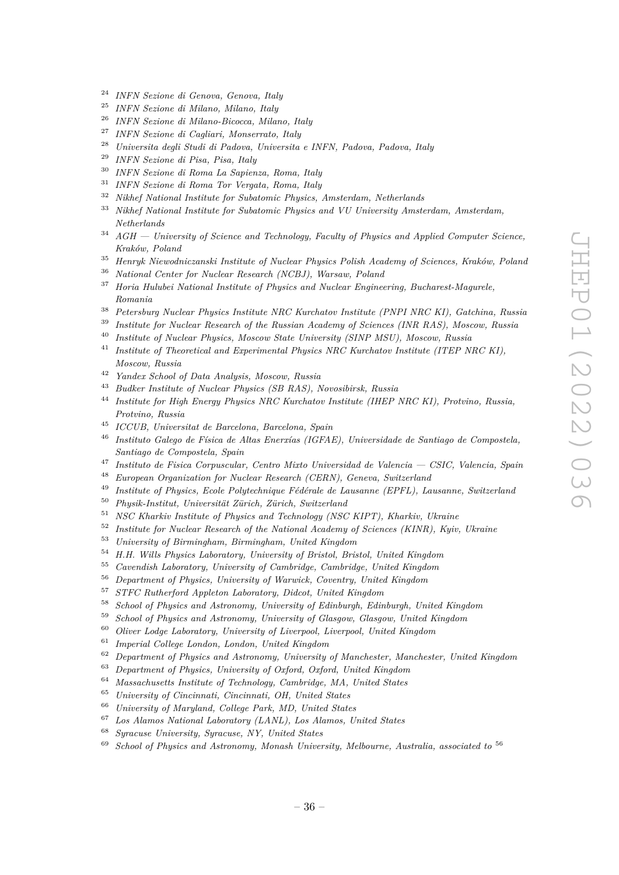- *INFN Sezione di Genova, Genova, Italy*
- *INFN Sezione di Milano, Milano, Italy*
- *INFN Sezione di Milano-Bicocca, Milano, Italy*
- *INFN Sezione di Cagliari, Monserrato, Italy*
- *Universita degli Studi di Padova, Universita e INFN, Padova, Padova, Italy*
- *INFN Sezione di Pisa, Pisa, Italy*
- *INFN Sezione di Roma La Sapienza, Roma, Italy*
- *INFN Sezione di Roma Tor Vergata, Roma, Italy*
- *Nikhef National Institute for Subatomic Physics, Amsterdam, Netherlands*
- *Nikhef National Institute for Subatomic Physics and VU University Amsterdam, Amsterdam, Netherlands*
- *AGH University of Science and Technology, Faculty of Physics and Applied Computer Science, Kraków, Poland*
- *Henryk Niewodniczanski Institute of Nuclear Physics Polish Academy of Sciences, Kraków, Poland*
- *National Center for Nuclear Research (NCBJ), Warsaw, Poland*
- *Horia Hulubei National Institute of Physics and Nuclear Engineering, Bucharest-Magurele, Romania*
- *Petersburg Nuclear Physics Institute NRC Kurchatov Institute (PNPI NRC KI), Gatchina, Russia*
- *Institute for Nuclear Research of the Russian Academy of Sciences (INR RAS), Moscow, Russia*
- *Institute of Nuclear Physics, Moscow State University (SINP MSU), Moscow, Russia*
- *Institute of Theoretical and Experimental Physics NRC Kurchatov Institute (ITEP NRC KI), Moscow, Russia*
- *Yandex School of Data Analysis, Moscow, Russia*
- *Budker Institute of Nuclear Physics (SB RAS), Novosibirsk, Russia*
- *Institute for High Energy Physics NRC Kurchatov Institute (IHEP NRC KI), Protvino, Russia, Protvino, Russia*
- *ICCUB, Universitat de Barcelona, Barcelona, Spain*
- *Instituto Galego de Física de Altas Enerxías (IGFAE), Universidade de Santiago de Compostela, Santiago de Compostela, Spain*
- *Instituto de Fisica Corpuscular, Centro Mixto Universidad de Valencia CSIC, Valencia, Spain*
- *European Organization for Nuclear Research (CERN), Geneva, Switzerland*
- *Institute of Physics, Ecole Polytechnique Fédérale de Lausanne (EPFL), Lausanne, Switzerland*
- *Physik-Institut, Universität Zürich, Zürich, Switzerland*
- *NSC Kharkiv Institute of Physics and Technology (NSC KIPT), Kharkiv, Ukraine*
- *Institute for Nuclear Research of the National Academy of Sciences (KINR), Kyiv, Ukraine*
- *University of Birmingham, Birmingham, United Kingdom*
- *H.H. Wills Physics Laboratory, University of Bristol, Bristol, United Kingdom*
- *Cavendish Laboratory, University of Cambridge, Cambridge, United Kingdom*
- *Department of Physics, University of Warwick, Coventry, United Kingdom*
- *STFC Rutherford Appleton Laboratory, Didcot, United Kingdom*
- *School of Physics and Astronomy, University of Edinburgh, Edinburgh, United Kingdom*
- *School of Physics and Astronomy, University of Glasgow, Glasgow, United Kingdom*
- *Oliver Lodge Laboratory, University of Liverpool, Liverpool, United Kingdom*
- *Imperial College London, London, United Kingdom*
- *Department of Physics and Astronomy, University of Manchester, Manchester, United Kingdom*
- *Department of Physics, University of Oxford, Oxford, United Kingdom*
- *Massachusetts Institute of Technology, Cambridge, MA, United States*
- *University of Cincinnati, Cincinnati, OH, United States*
- *University of Maryland, College Park, MD, United States*
- *Los Alamos National Laboratory (LANL), Los Alamos, United States*
- *Syracuse University, Syracuse, NY, United States*
- *School of Physics and Astronomy, Monash University, Melbourne, Australia, associated to* <sup>56</sup>